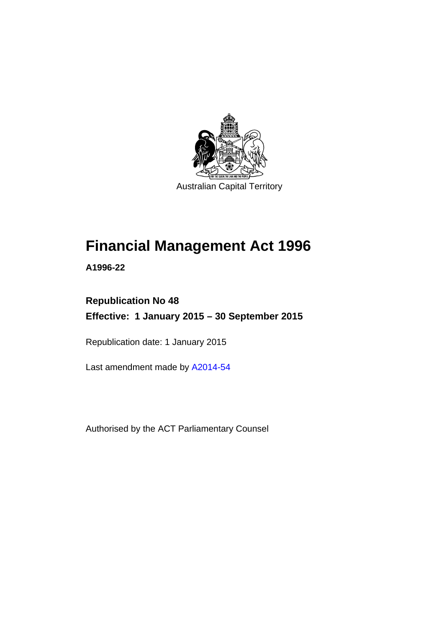

Australian Capital Territory

# **Financial Management Act 1996**

**A1996-22** 

# **Republication No 48 Effective: 1 January 2015 – 30 September 2015**

Republication date: 1 January 2015

Last amendment made by [A2014-54](http://www.legislation.act.gov.au/a/2014-54/default.asp)

Authorised by the ACT Parliamentary Counsel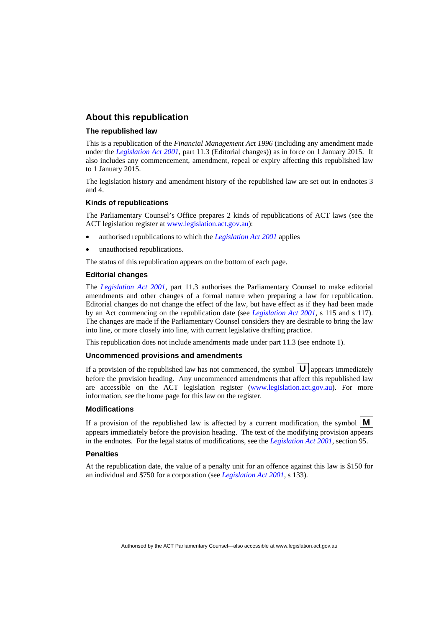#### **About this republication**

#### **The republished law**

This is a republication of the *Financial Management Act 1996* (including any amendment made under the *[Legislation Act 2001](http://www.legislation.act.gov.au/a/2001-14)*, part 11.3 (Editorial changes)) as in force on 1 January 2015*.* It also includes any commencement, amendment, repeal or expiry affecting this republished law to 1 January 2015.

The legislation history and amendment history of the republished law are set out in endnotes 3 and 4.

#### **Kinds of republications**

The Parliamentary Counsel's Office prepares 2 kinds of republications of ACT laws (see the ACT legislation register at [www.legislation.act.gov.au](http://www.legislation.act.gov.au/)):

- authorised republications to which the *[Legislation Act 2001](http://www.legislation.act.gov.au/a/2001-14)* applies
- unauthorised republications.

The status of this republication appears on the bottom of each page.

#### **Editorial changes**

The *[Legislation Act 2001](http://www.legislation.act.gov.au/a/2001-14)*, part 11.3 authorises the Parliamentary Counsel to make editorial amendments and other changes of a formal nature when preparing a law for republication. Editorial changes do not change the effect of the law, but have effect as if they had been made by an Act commencing on the republication date (see *[Legislation Act 2001](http://www.legislation.act.gov.au/a/2001-14)*, s 115 and s 117). The changes are made if the Parliamentary Counsel considers they are desirable to bring the law into line, or more closely into line, with current legislative drafting practice.

This republication does not include amendments made under part 11.3 (see endnote 1).

#### **Uncommenced provisions and amendments**

If a provision of the republished law has not commenced, the symbol  $\mathbf{U}$  appears immediately before the provision heading. Any uncommenced amendments that affect this republished law are accessible on the ACT legislation register [\(www.legislation.act.gov.au\)](http://www.legislation.act.gov.au/). For more information, see the home page for this law on the register.

#### **Modifications**

If a provision of the republished law is affected by a current modification, the symbol  $\mathbf{M}$ appears immediately before the provision heading. The text of the modifying provision appears in the endnotes. For the legal status of modifications, see the *[Legislation Act 2001](http://www.legislation.act.gov.au/a/2001-14)*, section 95.

#### **Penalties**

At the republication date, the value of a penalty unit for an offence against this law is \$150 for an individual and \$750 for a corporation (see *[Legislation Act 2001](http://www.legislation.act.gov.au/a/2001-14)*, s 133).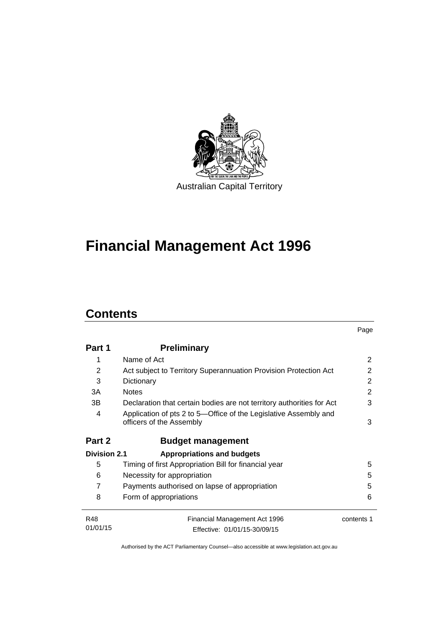

# **Financial Management Act 1996**

# **Contents**

|                     |                                                                                              | Page       |
|---------------------|----------------------------------------------------------------------------------------------|------------|
| Part 1              | <b>Preliminary</b>                                                                           |            |
| 1                   | Name of Act                                                                                  | 2          |
| 2                   | Act subject to Territory Superannuation Provision Protection Act                             | 2          |
| 3                   | Dictionary                                                                                   | 2          |
| 3A                  | <b>Notes</b>                                                                                 | 2          |
| 3B                  | Declaration that certain bodies are not territory authorities for Act                        | 3          |
| 4                   | Application of pts 2 to 5-Office of the Legislative Assembly and<br>officers of the Assembly | 3          |
| Part 2              | <b>Budget management</b>                                                                     |            |
| <b>Division 2.1</b> | <b>Appropriations and budgets</b>                                                            |            |
| 5                   | Timing of first Appropriation Bill for financial year                                        | 5          |
| 6                   | Necessity for appropriation                                                                  | 5          |
| 7                   | Payments authorised on lapse of appropriation                                                | 5          |
| 8                   | Form of appropriations                                                                       | 6          |
| <b>R48</b>          | Financial Management Act 1996                                                                | contents 1 |
| 01/01/15            | Effective: 01/01/15-30/09/15                                                                 |            |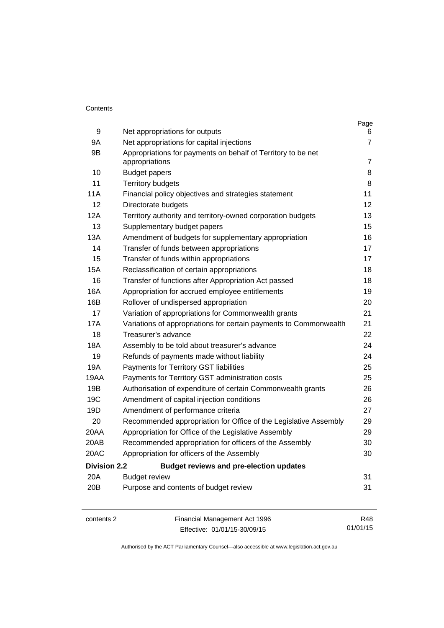#### **Contents**

|                     |                                                                                | Page           |
|---------------------|--------------------------------------------------------------------------------|----------------|
| 9                   | Net appropriations for outputs                                                 | 6              |
| 9Α                  | Net appropriations for capital injections                                      | 7              |
| 9B                  | Appropriations for payments on behalf of Territory to be net<br>appropriations | $\overline{7}$ |
| 10                  | <b>Budget papers</b>                                                           | 8              |
| 11                  | <b>Territory budgets</b>                                                       | 8              |
| 11A                 | Financial policy objectives and strategies statement                           | 11             |
| 12                  | Directorate budgets                                                            | 12             |
| 12A                 | Territory authority and territory-owned corporation budgets                    | 13             |
| 13                  | Supplementary budget papers                                                    | 15             |
| 13A                 | Amendment of budgets for supplementary appropriation                           | 16             |
| 14                  | Transfer of funds between appropriations                                       | 17             |
| 15                  | Transfer of funds within appropriations                                        | 17             |
| <b>15A</b>          | Reclassification of certain appropriations                                     | 18             |
| 16                  | Transfer of functions after Appropriation Act passed                           | 18             |
| 16A                 | Appropriation for accrued employee entitlements                                | 19             |
| 16B                 | Rollover of undispersed appropriation                                          | 20             |
| 17                  | Variation of appropriations for Commonwealth grants                            | 21             |
| 17A                 | Variations of appropriations for certain payments to Commonwealth              | 21             |
| 18                  | Treasurer's advance                                                            | 22             |
| 18A                 | Assembly to be told about treasurer's advance                                  | 24             |
| 19                  | Refunds of payments made without liability                                     | 24             |
| 19A                 | Payments for Territory GST liabilities                                         | 25             |
| 19AA                | Payments for Territory GST administration costs                                | 25             |
| 19B                 | Authorisation of expenditure of certain Commonwealth grants                    | 26             |
| 19C                 | Amendment of capital injection conditions                                      | 26             |
| 19D                 | Amendment of performance criteria                                              | 27             |
| 20                  | Recommended appropriation for Office of the Legislative Assembly               | 29             |
| 20AA                | Appropriation for Office of the Legislative Assembly                           | 29             |
| 20AB                | Recommended appropriation for officers of the Assembly                         | 30             |
| 20AC                | Appropriation for officers of the Assembly                                     | 30             |
| <b>Division 2.2</b> | <b>Budget reviews and pre-election updates</b>                                 |                |
| 20A                 | <b>Budget review</b>                                                           | 31             |
| 20B                 | Purpose and contents of budget review                                          | 31             |
|                     |                                                                                |                |
|                     |                                                                                |                |

contents 2 Financial Management Act 1996 Effective: 01/01/15-30/09/15

R48 01/01/15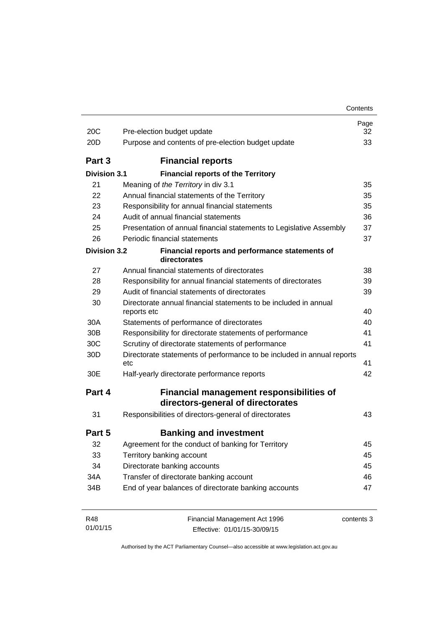| 20C                 | Pre-election budget update                                                           | Page<br>32 |
|---------------------|--------------------------------------------------------------------------------------|------------|
| 20 <sub>D</sub>     | Purpose and contents of pre-election budget update                                   | 33         |
| Part 3              | <b>Financial reports</b>                                                             |            |
| Division 3.1        | <b>Financial reports of the Territory</b>                                            |            |
| 21                  | Meaning of the Territory in div 3.1                                                  | 35         |
| 22                  | Annual financial statements of the Territory                                         | 35         |
| 23                  | Responsibility for annual financial statements                                       | 35         |
| 24                  | Audit of annual financial statements                                                 | 36         |
| 25                  | Presentation of annual financial statements to Legislative Assembly                  | 37         |
| 26                  | Periodic financial statements                                                        | 37         |
| <b>Division 3.2</b> | Financial reports and performance statements of<br>directorates                      |            |
| 27                  | Annual financial statements of directorates                                          | 38         |
| 28                  | Responsibility for annual financial statements of directorates                       | 39         |
| 29                  | Audit of financial statements of directorates                                        | 39         |
| 30                  | Directorate annual financial statements to be included in annual<br>reports etc      | 40         |
| 30A                 | Statements of performance of directorates                                            | 40         |
| 30 <sub>B</sub>     | Responsibility for directorate statements of performance                             | 41         |
| 30C                 | Scrutiny of directorate statements of performance                                    | 41         |
| 30 <sub>D</sub>     | Directorate statements of performance to be included in annual reports<br>etc        | 41         |
| 30E                 | Half-yearly directorate performance reports                                          | 42         |
| Part 4              | <b>Financial management responsibilities of</b><br>directors-general of directorates |            |
| 31                  | Responsibilities of directors-general of directorates                                | 43         |
| Part 5              | <b>Banking and investment</b>                                                        |            |
| 32                  | Agreement for the conduct of banking for Territory                                   | 45         |
| 33                  | Territory banking account                                                            | 45         |
| 34                  | Directorate banking accounts                                                         | 45         |
| 34A                 | Transfer of directorate banking account                                              | 46         |
| 34B                 | End of year balances of directorate banking accounts                                 | 47         |
| R48<br>01/01/15     | Financial Management Act 1996<br>Effective: 01/01/15-30/09/15                        | contents 3 |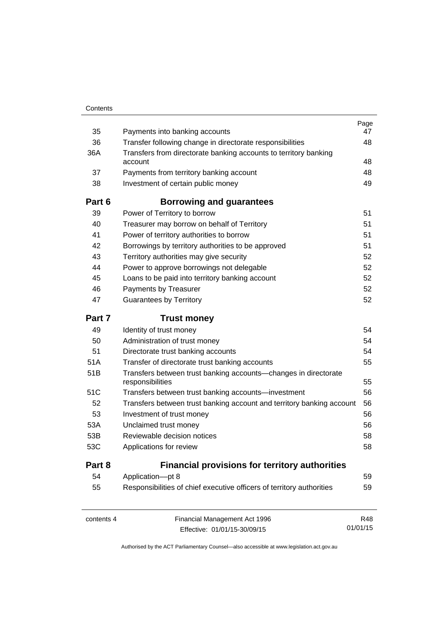| 35     | Payments into banking accounts                                                      | Page<br>47 |
|--------|-------------------------------------------------------------------------------------|------------|
| 36     | Transfer following change in directorate responsibilities                           | 48         |
| 36A    | Transfers from directorate banking accounts to territory banking<br>account         | 48         |
| 37     | Payments from territory banking account                                             | 48         |
| 38     | Investment of certain public money                                                  | 49         |
|        |                                                                                     |            |
| Part 6 | <b>Borrowing and guarantees</b>                                                     |            |
| 39     | Power of Territory to borrow                                                        | 51         |
| 40     | Treasurer may borrow on behalf of Territory                                         | 51         |
| 41     | Power of territory authorities to borrow                                            | 51         |
| 42     | Borrowings by territory authorities to be approved                                  | 51         |
| 43     | Territory authorities may give security                                             | 52         |
| 44     | Power to approve borrowings not delegable                                           | 52         |
| 45     | Loans to be paid into territory banking account                                     | 52         |
| 46     | Payments by Treasurer                                                               | 52         |
| 47     | <b>Guarantees by Territory</b>                                                      | 52         |
| Part 7 | <b>Trust money</b>                                                                  |            |
| 49     | Identity of trust money                                                             | 54         |
| 50     | Administration of trust money                                                       | 54         |
| 51     | Directorate trust banking accounts                                                  | 54         |
| 51A    | Transfer of directorate trust banking accounts                                      | 55         |
| 51B    | Transfers between trust banking accounts-changes in directorate<br>responsibilities | 55         |
| 51C    | Transfers between trust banking accounts-investment                                 | 56         |
| 52     | Transfers between trust banking account and territory banking account               | 56         |
| 53     | Investment of trust money                                                           | 56         |
| 53A    | Unclaimed trust money                                                               | 56         |
| 53B    | Reviewable decision notices                                                         | 58         |
| 53C    | Applications for review                                                             | 58         |
| Part 8 | <b>Financial provisions for territory authorities</b>                               |            |
| 54     | Application-pt 8                                                                    | 59         |
| 55     | Responsibilities of chief executive officers of territory authorities               | 59         |

contents 4 Financial Management Act 1996 Effective: 01/01/15-30/09/15

R48 01/01/15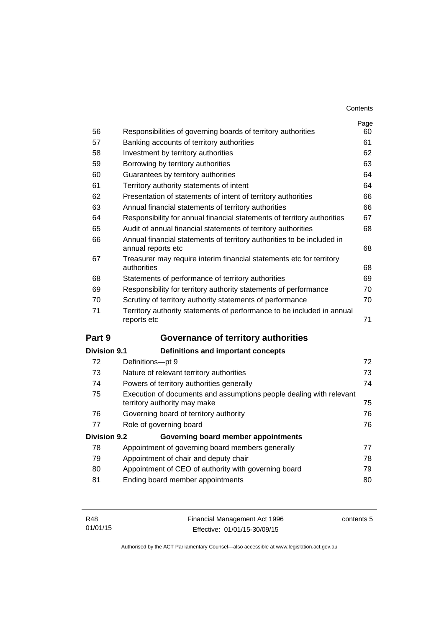| Contents |
|----------|
|----------|

|                     |                                                                                                     | Page |
|---------------------|-----------------------------------------------------------------------------------------------------|------|
| 56                  | Responsibilities of governing boards of territory authorities                                       | 60   |
| 57                  | Banking accounts of territory authorities                                                           | 61   |
| 58                  | Investment by territory authorities                                                                 | 62   |
| 59                  | Borrowing by territory authorities                                                                  | 63   |
| 60                  | Guarantees by territory authorities                                                                 | 64   |
| 61                  | Territory authority statements of intent                                                            | 64   |
| 62                  | Presentation of statements of intent of territory authorities                                       | 66   |
| 63                  | Annual financial statements of territory authorities                                                | 66   |
| 64                  | Responsibility for annual financial statements of territory authorities                             | 67   |
| 65                  | Audit of annual financial statements of territory authorities                                       | 68   |
| 66                  | Annual financial statements of territory authorities to be included in<br>annual reports etc        | 68   |
| 67                  | Treasurer may require interim financial statements etc for territory<br>authorities                 | 68   |
| 68                  | Statements of performance of territory authorities                                                  | 69   |
| 69                  | Responsibility for territory authority statements of performance                                    | 70   |
| 70                  | Scrutiny of territory authority statements of performance                                           | 70   |
| 71                  | Territory authority statements of performance to be included in annual<br>reports etc               | 71   |
| Part 9              | Governance of territory authorities                                                                 |      |
| <b>Division 9.1</b> | <b>Definitions and important concepts</b>                                                           |      |
| 72                  | Definitions-pt 9                                                                                    | 72   |
| 73                  | Nature of relevant territory authorities                                                            | 73   |
| 74                  | Powers of territory authorities generally                                                           | 74   |
| 75                  | Execution of documents and assumptions people dealing with relevant<br>territory authority may make | 75   |
| 76                  | Governing board of territory authority                                                              | 76   |
| 77                  | Role of governing board                                                                             | 76   |
| <b>Division 9.2</b> | Governing board member appointments                                                                 |      |
| 78                  | Appointment of governing board members generally                                                    | 77   |
| 79                  | Appointment of chair and deputy chair                                                               | 78   |
| 80                  | Appointment of CEO of authority with governing board                                                | 79   |
| 81                  | Ending board member appointments                                                                    | 80   |
|                     |                                                                                                     |      |

| R48      | Financial Management Act 1996 | contents 5 |
|----------|-------------------------------|------------|
| 01/01/15 | Effective: 01/01/15-30/09/15  |            |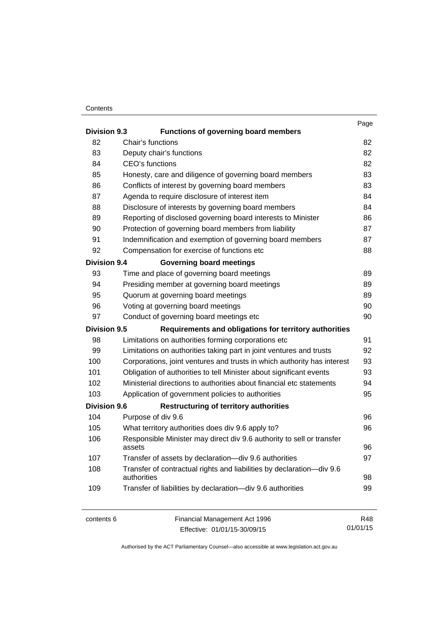#### **Contents**

| <b>Division 9.3</b> | <b>Functions of governing board members</b>                                          | Page |
|---------------------|--------------------------------------------------------------------------------------|------|
|                     |                                                                                      |      |
| 82                  | Chair's functions                                                                    | 82   |
| 83                  | Deputy chair's functions                                                             | 82   |
| 84                  | CEO's functions                                                                      | 82   |
| 85                  | Honesty, care and diligence of governing board members                               | 83   |
| 86                  | Conflicts of interest by governing board members                                     | 83   |
| 87                  | Agenda to require disclosure of interest item                                        | 84   |
| 88                  | Disclosure of interests by governing board members                                   | 84   |
| 89                  | Reporting of disclosed governing board interests to Minister                         | 86   |
| 90                  | Protection of governing board members from liability                                 | 87   |
| 91                  | Indemnification and exemption of governing board members                             | 87   |
| 92                  | Compensation for exercise of functions etc                                           | 88   |
| <b>Division 9.4</b> | <b>Governing board meetings</b>                                                      |      |
| 93                  | Time and place of governing board meetings                                           | 89   |
| 94                  | Presiding member at governing board meetings                                         | 89   |
| 95                  | Quorum at governing board meetings                                                   | 89   |
| 96                  | Voting at governing board meetings                                                   | 90   |
| 97                  | Conduct of governing board meetings etc                                              | 90   |
| <b>Division 9.5</b> | Requirements and obligations for territory authorities                               |      |
| 98                  | Limitations on authorities forming corporations etc                                  | 91   |
| 99                  | Limitations on authorities taking part in joint ventures and trusts                  | 92   |
| 100                 | Corporations, joint ventures and trusts in which authority has interest              | 93   |
| 101                 | Obligation of authorities to tell Minister about significant events                  | 93   |
| 102                 | Ministerial directions to authorities about financial etc statements                 | 94   |
| 103                 | Application of government policies to authorities                                    | 95   |
| <b>Division 9.6</b> | <b>Restructuring of territory authorities</b>                                        |      |
| 104                 | Purpose of div 9.6                                                                   | 96   |
| 105                 | What territory authorities does div 9.6 apply to?                                    | 96   |
| 106                 | Responsible Minister may direct div 9.6 authority to sell or transfer<br>assets      | 96   |
| 107                 | Transfer of assets by declaration-div 9.6 authorities                                | 97   |
| 108                 | Transfer of contractual rights and liabilities by declaration-div 9.6<br>authorities | 98   |
| 109                 | Transfer of liabilities by declaration-div 9.6 authorities                           | 99   |
| contents 6          | Financial Management Act 1996                                                        | R48  |

Effective: 01/01/15-30/09/15

01/01/15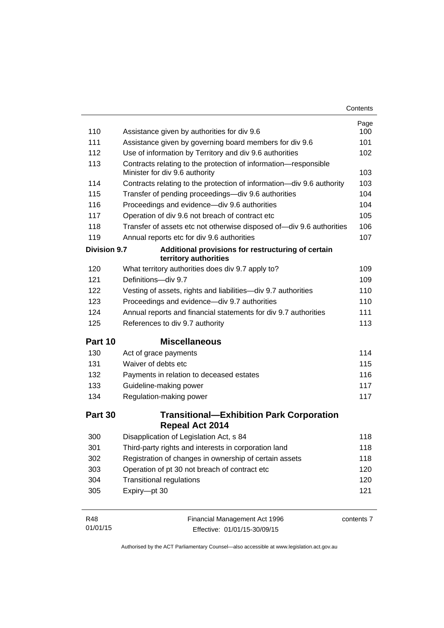| Contents |
|----------|
|----------|

| 110                 | Assistance given by authorities for div 9.6                                 | Page<br>100 |
|---------------------|-----------------------------------------------------------------------------|-------------|
| 111                 | Assistance given by governing board members for div 9.6                     | 101         |
| 112                 | Use of information by Territory and div 9.6 authorities                     | 102         |
| 113                 | Contracts relating to the protection of information-responsible             |             |
|                     | Minister for div 9.6 authority                                              | 103         |
| 114                 | Contracts relating to the protection of information-div 9.6 authority       | 103         |
| 115                 | Transfer of pending proceedings-div 9.6 authorities                         | 104         |
| 116                 | Proceedings and evidence-div 9.6 authorities                                | 104         |
| 117                 | Operation of div 9.6 not breach of contract etc                             | 105         |
| 118                 | Transfer of assets etc not otherwise disposed of-div 9.6 authorities        | 106         |
| 119                 | Annual reports etc for div 9.6 authorities                                  | 107         |
| <b>Division 9.7</b> | Additional provisions for restructuring of certain<br>territory authorities |             |
| 120                 | What territory authorities does div 9.7 apply to?                           | 109         |
| 121                 | Definitions-div 9.7                                                         | 109         |
| 122                 | Vesting of assets, rights and liabilities-div 9.7 authorities               | 110         |
| 123                 | Proceedings and evidence-div 9.7 authorities                                | 110         |
| 124                 | Annual reports and financial statements for div 9.7 authorities             | 111         |
| 125                 | References to div 9.7 authority                                             | 113         |
| Part 10             | <b>Miscellaneous</b>                                                        |             |
| 130                 | Act of grace payments                                                       | 114         |
| 131                 | Waiver of debts etc                                                         | 115         |
| 132                 | Payments in relation to deceased estates                                    | 116         |
| 133                 | Guideline-making power                                                      | 117         |
| 134                 | Regulation-making power                                                     | 117         |
| Part 30             | <b>Transitional-Exhibition Park Corporation</b><br><b>Repeal Act 2014</b>   |             |
| 300                 | Disapplication of Legislation Act, s 84                                     | 118         |
| 301                 | Third-party rights and interests in corporation land                        | 118         |
| 302                 | Registration of changes in ownership of certain assets                      | 118         |
| 303                 | Operation of pt 30 not breach of contract etc                               | 120         |
| 304                 | <b>Transitional regulations</b>                                             | 120         |
| 305                 | Expiry-pt 30                                                                | 121         |
| R48                 | Financial Management Act 1996                                               | contents 7  |

| 01/01/15 | Effective: 01/01/15-30/09/15 |
|----------|------------------------------|
|          |                              |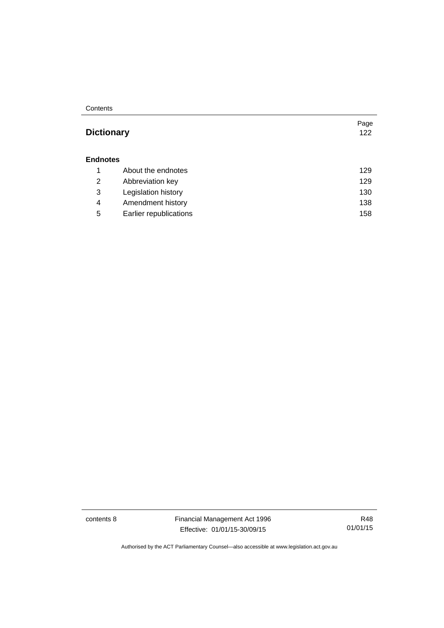#### **Contents**

### **Dictionary** [122](#page-131-0)

#### **[Endnotes](#page-138-0)**

|   | About the endnotes     | 129 |
|---|------------------------|-----|
| 2 | Abbreviation key       | 129 |
| 3 | Legislation history    | 130 |
| 4 | Amendment history      | 138 |
| 5 | Earlier republications | 158 |

contents 8 Financial Management Act 1996 Effective: 01/01/15-30/09/15

R48 01/01/15

Page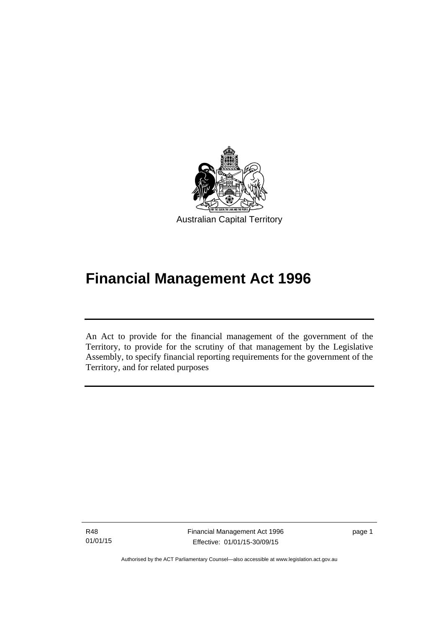

# **Financial Management Act 1996**

An Act to provide for the financial management of the government of the Territory, to provide for the scrutiny of that management by the Legislative Assembly, to specify financial reporting requirements for the government of the Territory, and for related purposes

R48 01/01/15

Ī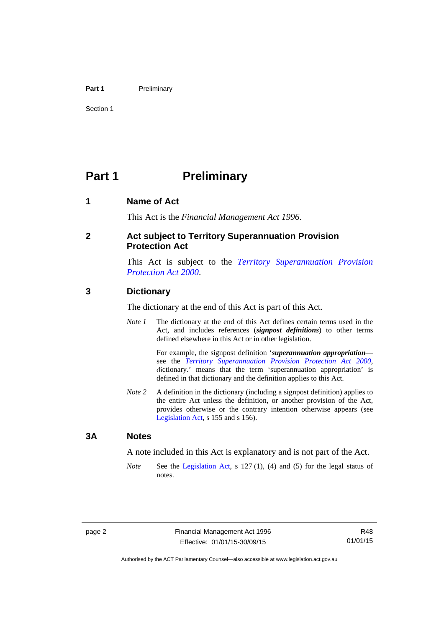#### Part 1 **Preliminary**

Section 1

## <span id="page-11-0"></span>**Part 1** Preliminary

#### <span id="page-11-1"></span>**1 Name of Act**

This Act is the *Financial Management Act 1996*.

#### <span id="page-11-2"></span>**2 Act subject to Territory Superannuation Provision Protection Act**

This Act is subject to the *[Territory Superannuation Provision](http://www.legislation.act.gov.au/a/2000-21)  [Protection Act 2000](http://www.legislation.act.gov.au/a/2000-21)*.

#### <span id="page-11-3"></span>**3 Dictionary**

The dictionary at the end of this Act is part of this Act.

*Note 1* The dictionary at the end of this Act defines certain terms used in the Act, and includes references (*signpost definitions*) to other terms defined elsewhere in this Act or in other legislation.

> For example, the signpost definition '*superannuation appropriation* see the *[Territory Superannuation Provision Protection Act 2000](http://www.legislation.act.gov.au/a/2000-21)*, dictionary.' means that the term 'superannuation appropriation' is defined in that dictionary and the definition applies to this Act.

*Note 2* A definition in the dictionary (including a signpost definition) applies to the entire Act unless the definition, or another provision of the Act, provides otherwise or the contrary intention otherwise appears (see [Legislation Act,](http://www.legislation.act.gov.au/a/2001-14) s 155 and s 156).

#### <span id="page-11-4"></span>**3A Notes**

A note included in this Act is explanatory and is not part of the Act.

*Note* See the [Legislation Act,](http://www.legislation.act.gov.au/a/2001-14) s 127 (1), (4) and (5) for the legal status of notes.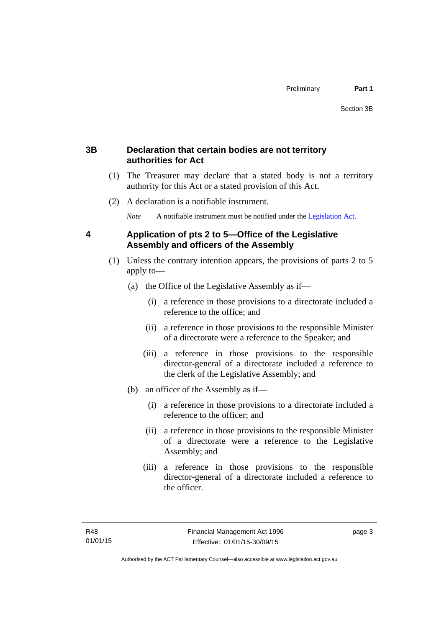#### <span id="page-12-0"></span>**3B Declaration that certain bodies are not territory authorities for Act**

- (1) The Treasurer may declare that a stated body is not a territory authority for this Act or a stated provision of this Act.
- (2) A declaration is a notifiable instrument.

*Note* A notifiable instrument must be notified under the [Legislation Act](http://www.legislation.act.gov.au/a/2001-14).

#### <span id="page-12-1"></span>**4 Application of pts 2 to 5—Office of the Legislative Assembly and officers of the Assembly**

- (1) Unless the contrary intention appears, the provisions of parts 2 to 5 apply to—
	- (a) the Office of the Legislative Assembly as if—
		- (i) a reference in those provisions to a directorate included a reference to the office; and
		- (ii) a reference in those provisions to the responsible Minister of a directorate were a reference to the Speaker; and
		- (iii) a reference in those provisions to the responsible director-general of a directorate included a reference to the clerk of the Legislative Assembly; and
	- (b) an officer of the Assembly as if—
		- (i) a reference in those provisions to a directorate included a reference to the officer; and
		- (ii) a reference in those provisions to the responsible Minister of a directorate were a reference to the Legislative Assembly; and
		- (iii) a reference in those provisions to the responsible director-general of a directorate included a reference to the officer.

page 3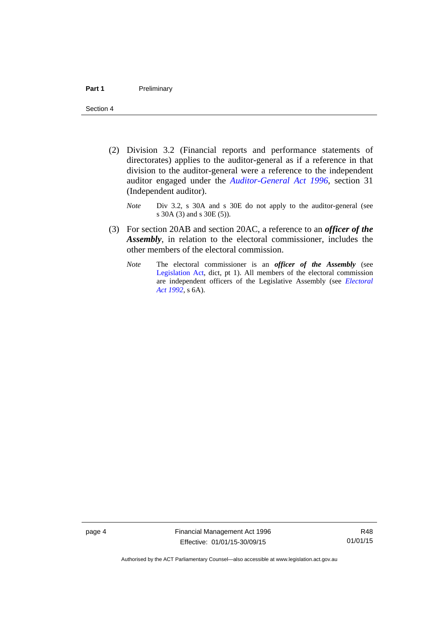- (2) Division 3.2 (Financial reports and performance statements of directorates) applies to the auditor-general as if a reference in that division to the auditor-general were a reference to the independent auditor engaged under the *[Auditor-General Act 1996](http://www.legislation.act.gov.au/a/1996-23)*, section 31 (Independent auditor).
	- *Note* Div 3.2, s 30A and s 30E do not apply to the auditor-general (see s 30A (3) and s 30E (5)).
- (3) For section 20AB and section 20AC, a reference to an *officer of the Assembly*, in relation to the electoral commissioner, includes the other members of the electoral commission.
	- *Note* The electoral commissioner is an *officer of the Assembly* (see [Legislation Act](http://www.legislation.act.gov.au/a/2001-14), dict, pt 1). All members of the electoral commission are independent officers of the Legislative Assembly (see *[Electoral](http://www.legislation.act.gov.au/a/1992-71)  [Act 1992](http://www.legislation.act.gov.au/a/1992-71)*, s 6A).

page 4 Financial Management Act 1996 Effective: 01/01/15-30/09/15

R48 01/01/15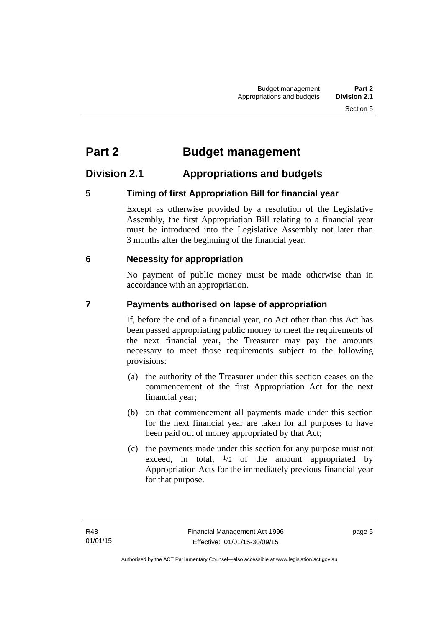# <span id="page-14-0"></span>**Part 2 Budget management**

### <span id="page-14-1"></span>**Division 2.1 Appropriations and budgets**

### <span id="page-14-2"></span>**5 Timing of first Appropriation Bill for financial year**

Except as otherwise provided by a resolution of the Legislative Assembly, the first Appropriation Bill relating to a financial year must be introduced into the Legislative Assembly not later than 3 months after the beginning of the financial year.

#### <span id="page-14-3"></span> **6 Necessity for appropriation**

No payment of public money must be made otherwise than in accordance with an appropriation.

### <span id="page-14-4"></span>**7 Payments authorised on lapse of appropriation**

If, before the end of a financial year, no Act other than this Act has been passed appropriating public money to meet the requirements of the next financial year, the Treasurer may pay the amounts necessary to meet those requirements subject to the following provisions:

- (a) the authority of the Treasurer under this section ceases on the commencement of the first Appropriation Act for the next financial year;
- (b) on that commencement all payments made under this section for the next financial year are taken for all purposes to have been paid out of money appropriated by that Act;
- (c) the payments made under this section for any purpose must not exceed, in total,  $\frac{1}{2}$  of the amount appropriated by Appropriation Acts for the immediately previous financial year for that purpose.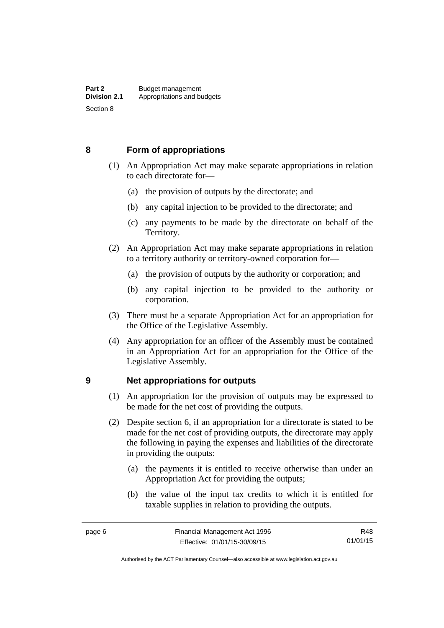#### <span id="page-15-0"></span>**8 Form of appropriations**

- (1) An Appropriation Act may make separate appropriations in relation to each directorate for—
	- (a) the provision of outputs by the directorate; and
	- (b) any capital injection to be provided to the directorate; and
	- (c) any payments to be made by the directorate on behalf of the Territory.
- (2) An Appropriation Act may make separate appropriations in relation to a territory authority or territory-owned corporation for—
	- (a) the provision of outputs by the authority or corporation; and
	- (b) any capital injection to be provided to the authority or corporation.
- (3) There must be a separate Appropriation Act for an appropriation for the Office of the Legislative Assembly.
- (4) Any appropriation for an officer of the Assembly must be contained in an Appropriation Act for an appropriation for the Office of the Legislative Assembly.

#### <span id="page-15-1"></span>**9 Net appropriations for outputs**

- (1) An appropriation for the provision of outputs may be expressed to be made for the net cost of providing the outputs.
- (2) Despite section 6, if an appropriation for a directorate is stated to be made for the net cost of providing outputs, the directorate may apply the following in paying the expenses and liabilities of the directorate in providing the outputs:
	- (a) the payments it is entitled to receive otherwise than under an Appropriation Act for providing the outputs;
	- (b) the value of the input tax credits to which it is entitled for taxable supplies in relation to providing the outputs.

R48 01/01/15

Authorised by the ACT Parliamentary Counsel—also accessible at www.legislation.act.gov.au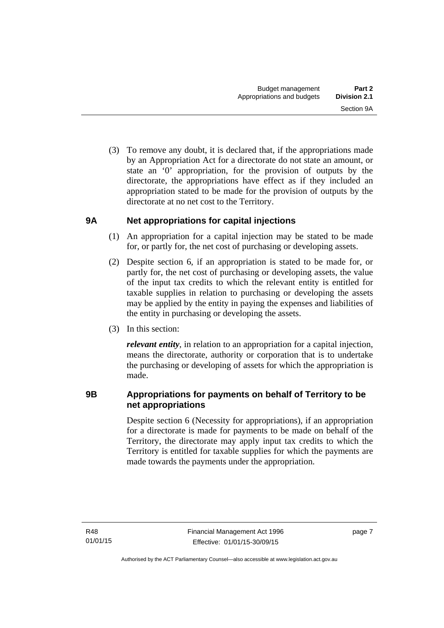(3) To remove any doubt, it is declared that, if the appropriations made by an Appropriation Act for a directorate do not state an amount, or state an '0' appropriation, for the provision of outputs by the directorate, the appropriations have effect as if they included an appropriation stated to be made for the provision of outputs by the directorate at no net cost to the Territory.

#### <span id="page-16-0"></span>**9A Net appropriations for capital injections**

- (1) An appropriation for a capital injection may be stated to be made for, or partly for, the net cost of purchasing or developing assets.
- (2) Despite section 6, if an appropriation is stated to be made for, or partly for, the net cost of purchasing or developing assets, the value of the input tax credits to which the relevant entity is entitled for taxable supplies in relation to purchasing or developing the assets may be applied by the entity in paying the expenses and liabilities of the entity in purchasing or developing the assets.
- (3) In this section:

*relevant entity*, in relation to an appropriation for a capital injection, means the directorate, authority or corporation that is to undertake the purchasing or developing of assets for which the appropriation is made.

#### <span id="page-16-1"></span>**9B Appropriations for payments on behalf of Territory to be net appropriations**

Despite section 6 (Necessity for appropriations), if an appropriation for a directorate is made for payments to be made on behalf of the Territory, the directorate may apply input tax credits to which the Territory is entitled for taxable supplies for which the payments are made towards the payments under the appropriation.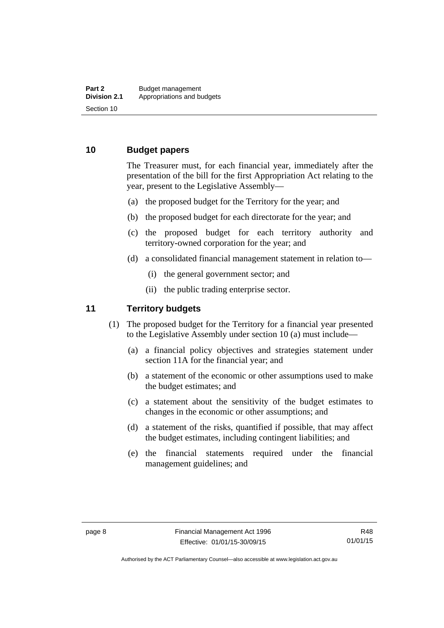#### <span id="page-17-0"></span>**10 Budget papers**

The Treasurer must, for each financial year, immediately after the presentation of the bill for the first Appropriation Act relating to the year, present to the Legislative Assembly—

- (a) the proposed budget for the Territory for the year; and
- (b) the proposed budget for each directorate for the year; and
- (c) the proposed budget for each territory authority and territory-owned corporation for the year; and
- (d) a consolidated financial management statement in relation to—
	- (i) the general government sector; and
	- (ii) the public trading enterprise sector.

#### <span id="page-17-1"></span>**11 Territory budgets**

- (1) The proposed budget for the Territory for a financial year presented to the Legislative Assembly under section 10 (a) must include—
	- (a) a financial policy objectives and strategies statement under section 11A for the financial year; and
	- (b) a statement of the economic or other assumptions used to make the budget estimates; and
	- (c) a statement about the sensitivity of the budget estimates to changes in the economic or other assumptions; and
	- (d) a statement of the risks, quantified if possible, that may affect the budget estimates, including contingent liabilities; and
	- (e) the financial statements required under the financial management guidelines; and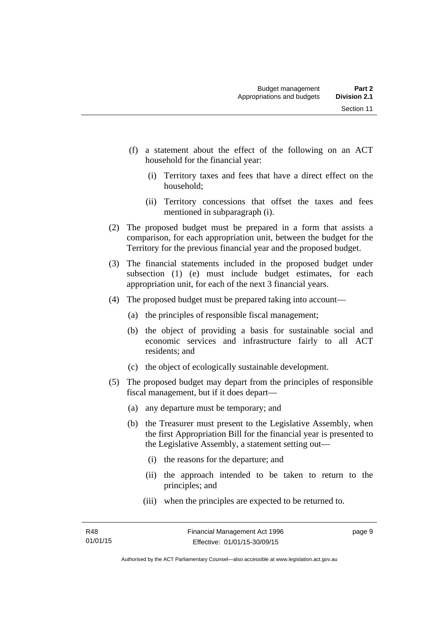- (f) a statement about the effect of the following on an ACT household for the financial year:
	- (i) Territory taxes and fees that have a direct effect on the household;
	- (ii) Territory concessions that offset the taxes and fees mentioned in subparagraph (i).
- (2) The proposed budget must be prepared in a form that assists a comparison, for each appropriation unit, between the budget for the Territory for the previous financial year and the proposed budget.
- (3) The financial statements included in the proposed budget under subsection (1) (e) must include budget estimates, for each appropriation unit, for each of the next 3 financial years.
- (4) The proposed budget must be prepared taking into account—
	- (a) the principles of responsible fiscal management;
	- (b) the object of providing a basis for sustainable social and economic services and infrastructure fairly to all ACT residents; and
	- (c) the object of ecologically sustainable development.
- (5) The proposed budget may depart from the principles of responsible fiscal management, but if it does depart—
	- (a) any departure must be temporary; and
	- (b) the Treasurer must present to the Legislative Assembly, when the first Appropriation Bill for the financial year is presented to the Legislative Assembly, a statement setting out—
		- (i) the reasons for the departure; and
		- (ii) the approach intended to be taken to return to the principles; and
		- (iii) when the principles are expected to be returned to.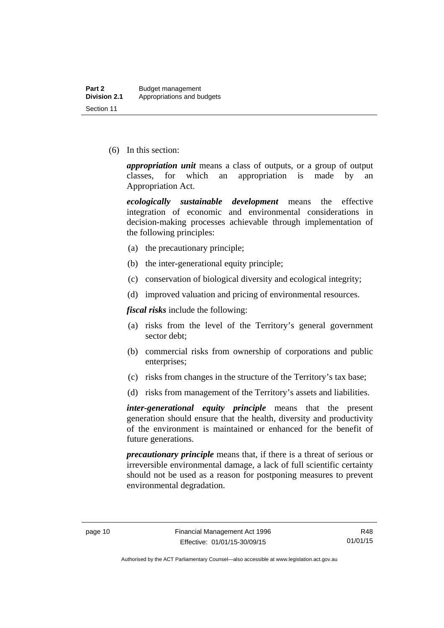(6) In this section:

*appropriation unit* means a class of outputs, or a group of output classes, for which an appropriation is made by an Appropriation Act.

*ecologically sustainable development* means the effective integration of economic and environmental considerations in decision-making processes achievable through implementation of the following principles:

- (a) the precautionary principle;
- (b) the inter-generational equity principle;
- (c) conservation of biological diversity and ecological integrity;
- (d) improved valuation and pricing of environmental resources.

*fiscal risks* include the following:

- (a) risks from the level of the Territory's general government sector debt;
- (b) commercial risks from ownership of corporations and public enterprises;
- (c) risks from changes in the structure of the Territory's tax base;
- (d) risks from management of the Territory's assets and liabilities.

*inter-generational equity principle* means that the present generation should ensure that the health, diversity and productivity of the environment is maintained or enhanced for the benefit of future generations.

*precautionary principle* means that, if there is a threat of serious or irreversible environmental damage, a lack of full scientific certainty should not be used as a reason for postponing measures to prevent environmental degradation.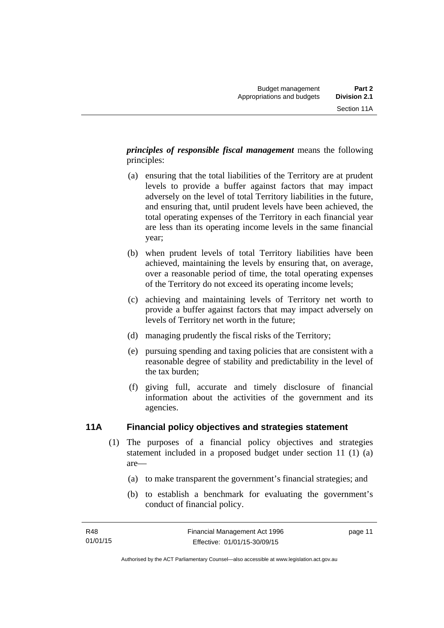*principles of responsible fiscal management* means the following principles:

- (a) ensuring that the total liabilities of the Territory are at prudent levels to provide a buffer against factors that may impact adversely on the level of total Territory liabilities in the future, and ensuring that, until prudent levels have been achieved, the total operating expenses of the Territory in each financial year are less than its operating income levels in the same financial year;
- (b) when prudent levels of total Territory liabilities have been achieved, maintaining the levels by ensuring that, on average, over a reasonable period of time, the total operating expenses of the Territory do not exceed its operating income levels;
- (c) achieving and maintaining levels of Territory net worth to provide a buffer against factors that may impact adversely on levels of Territory net worth in the future;
- (d) managing prudently the fiscal risks of the Territory;
- (e) pursuing spending and taxing policies that are consistent with a reasonable degree of stability and predictability in the level of the tax burden;
- (f) giving full, accurate and timely disclosure of financial information about the activities of the government and its agencies.

### <span id="page-20-0"></span>**11A Financial policy objectives and strategies statement**

- (1) The purposes of a financial policy objectives and strategies statement included in a proposed budget under section 11 (1) (a) are—
	- (a) to make transparent the government's financial strategies; and
	- (b) to establish a benchmark for evaluating the government's conduct of financial policy.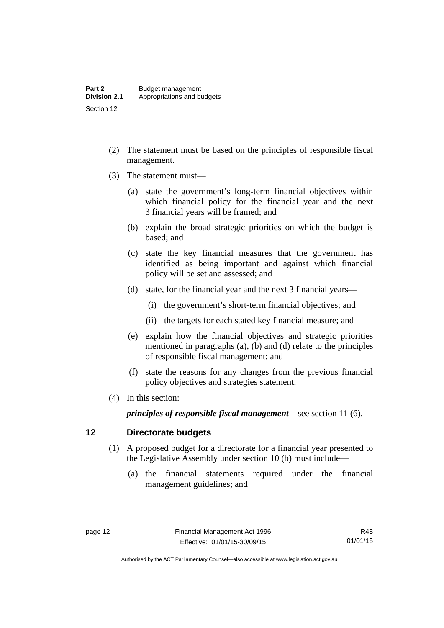- (2) The statement must be based on the principles of responsible fiscal management.
- (3) The statement must—
	- (a) state the government's long-term financial objectives within which financial policy for the financial year and the next 3 financial years will be framed; and
	- (b) explain the broad strategic priorities on which the budget is based; and
	- (c) state the key financial measures that the government has identified as being important and against which financial policy will be set and assessed; and
	- (d) state, for the financial year and the next 3 financial years—
		- (i) the government's short-term financial objectives; and
		- (ii) the targets for each stated key financial measure; and
	- (e) explain how the financial objectives and strategic priorities mentioned in paragraphs (a), (b) and (d) relate to the principles of responsible fiscal management; and
	- (f) state the reasons for any changes from the previous financial policy objectives and strategies statement.
- (4) In this section:

*principles of responsible fiscal management*—see section 11 (6).

#### <span id="page-21-0"></span>**12 Directorate budgets**

- (1) A proposed budget for a directorate for a financial year presented to the Legislative Assembly under section 10 (b) must include—
	- (a) the financial statements required under the financial management guidelines; and

R48 01/01/15

Authorised by the ACT Parliamentary Counsel—also accessible at www.legislation.act.gov.au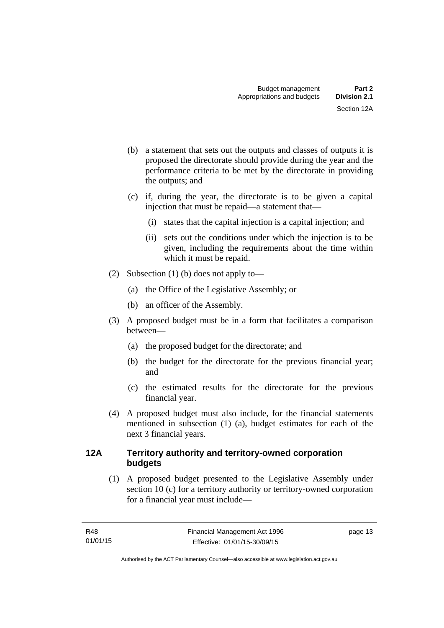- (b) a statement that sets out the outputs and classes of outputs it is proposed the directorate should provide during the year and the performance criteria to be met by the directorate in providing the outputs; and
- (c) if, during the year, the directorate is to be given a capital injection that must be repaid—a statement that—
	- (i) states that the capital injection is a capital injection; and
	- (ii) sets out the conditions under which the injection is to be given, including the requirements about the time within which it must be repaid.
- (2) Subsection (1) (b) does not apply to—
	- (a) the Office of the Legislative Assembly; or
	- (b) an officer of the Assembly.
- (3) A proposed budget must be in a form that facilitates a comparison between—
	- (a) the proposed budget for the directorate; and
	- (b) the budget for the directorate for the previous financial year; and
	- (c) the estimated results for the directorate for the previous financial year.
- (4) A proposed budget must also include, for the financial statements mentioned in subsection (1) (a), budget estimates for each of the next 3 financial years.

#### <span id="page-22-0"></span>**12A Territory authority and territory-owned corporation budgets**

(1) A proposed budget presented to the Legislative Assembly under section 10 (c) for a territory authority or territory-owned corporation for a financial year must include—

page 13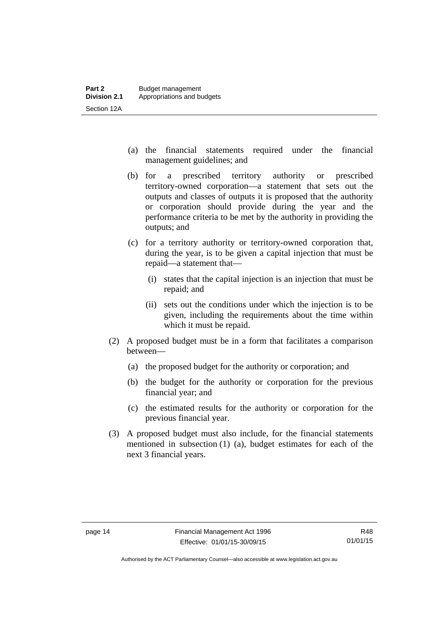- (a) the financial statements required under the financial management guidelines; and
- (b) for a prescribed territory authority or prescribed territory-owned corporation—a statement that sets out the outputs and classes of outputs it is proposed that the authority or corporation should provide during the year and the performance criteria to be met by the authority in providing the outputs; and
- (c) for a territory authority or territory-owned corporation that, during the year, is to be given a capital injection that must be repaid—a statement that—
	- (i) states that the capital injection is an injection that must be repaid; and
	- (ii) sets out the conditions under which the injection is to be given, including the requirements about the time within which it must be repaid.
- (2) A proposed budget must be in a form that facilitates a comparison between—
	- (a) the proposed budget for the authority or corporation; and
	- (b) the budget for the authority or corporation for the previous financial year; and
	- (c) the estimated results for the authority or corporation for the previous financial year.
- (3) A proposed budget must also include, for the financial statements mentioned in subsection (1) (a), budget estimates for each of the next 3 financial years.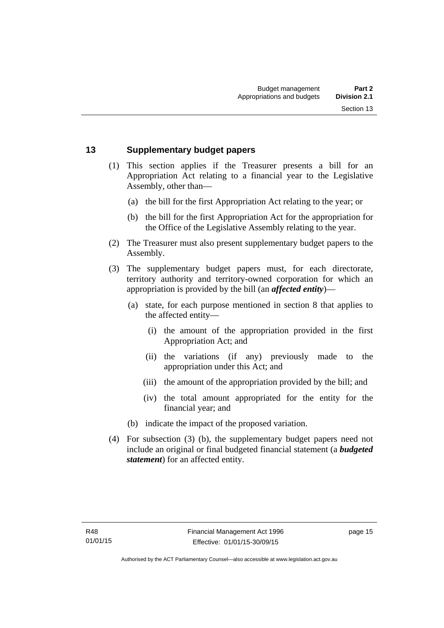#### <span id="page-24-0"></span>**13 Supplementary budget papers**

- (1) This section applies if the Treasurer presents a bill for an Appropriation Act relating to a financial year to the Legislative Assembly, other than—
	- (a) the bill for the first Appropriation Act relating to the year; or
	- (b) the bill for the first Appropriation Act for the appropriation for the Office of the Legislative Assembly relating to the year.
- (2) The Treasurer must also present supplementary budget papers to the Assembly.
- (3) The supplementary budget papers must, for each directorate, territory authority and territory-owned corporation for which an appropriation is provided by the bill (an *affected entity*)—
	- (a) state, for each purpose mentioned in section 8 that applies to the affected entity—
		- (i) the amount of the appropriation provided in the first Appropriation Act; and
		- (ii) the variations (if any) previously made to the appropriation under this Act; and
		- (iii) the amount of the appropriation provided by the bill; and
		- (iv) the total amount appropriated for the entity for the financial year; and
	- (b) indicate the impact of the proposed variation.
- (4) For subsection (3) (b), the supplementary budget papers need not include an original or final budgeted financial statement (a *budgeted statement*) for an affected entity.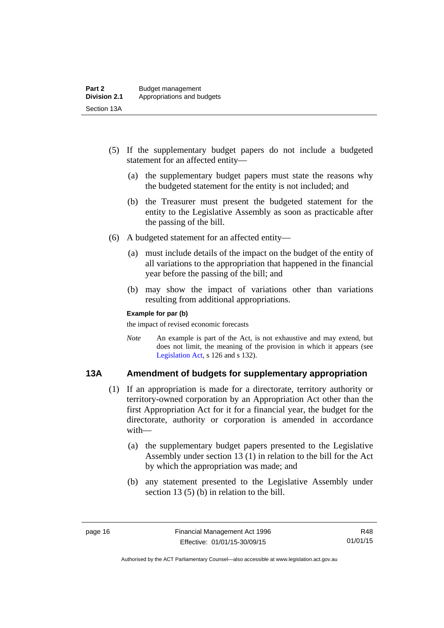- (5) If the supplementary budget papers do not include a budgeted statement for an affected entity—
	- (a) the supplementary budget papers must state the reasons why the budgeted statement for the entity is not included; and
	- (b) the Treasurer must present the budgeted statement for the entity to the Legislative Assembly as soon as practicable after the passing of the bill.
- (6) A budgeted statement for an affected entity—
	- (a) must include details of the impact on the budget of the entity of all variations to the appropriation that happened in the financial year before the passing of the bill; and
	- (b) may show the impact of variations other than variations resulting from additional appropriations.

#### **Example for par (b)**

the impact of revised economic forecasts

*Note* An example is part of the Act, is not exhaustive and may extend, but does not limit, the meaning of the provision in which it appears (see [Legislation Act,](http://www.legislation.act.gov.au/a/2001-14) s 126 and s 132).

#### <span id="page-25-0"></span>**13A Amendment of budgets for supplementary appropriation**

- (1) If an appropriation is made for a directorate, territory authority or territory-owned corporation by an Appropriation Act other than the first Appropriation Act for it for a financial year, the budget for the directorate, authority or corporation is amended in accordance with—
	- (a) the supplementary budget papers presented to the Legislative Assembly under section 13 (1) in relation to the bill for the Act by which the appropriation was made; and
	- (b) any statement presented to the Legislative Assembly under section 13 (5) (b) in relation to the bill.

R48 01/01/15

Authorised by the ACT Parliamentary Counsel—also accessible at www.legislation.act.gov.au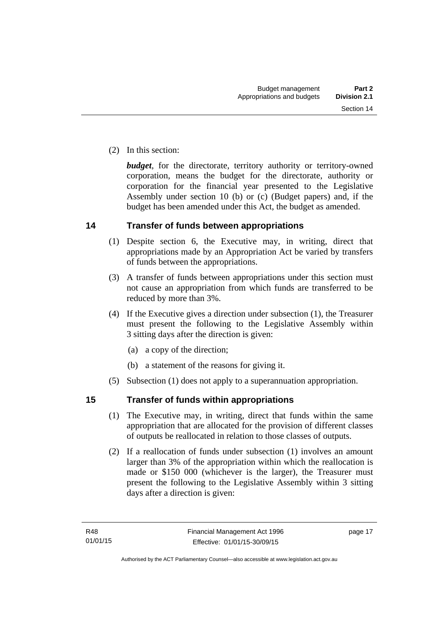(2) In this section:

*budget*, for the directorate, territory authority or territory-owned corporation, means the budget for the directorate, authority or corporation for the financial year presented to the Legislative Assembly under section 10 (b) or (c) (Budget papers) and, if the budget has been amended under this Act, the budget as amended.

#### <span id="page-26-0"></span>**14 Transfer of funds between appropriations**

- (1) Despite section 6, the Executive may, in writing, direct that appropriations made by an Appropriation Act be varied by transfers of funds between the appropriations.
- (3) A transfer of funds between appropriations under this section must not cause an appropriation from which funds are transferred to be reduced by more than 3%.
- (4) If the Executive gives a direction under subsection (1), the Treasurer must present the following to the Legislative Assembly within 3 sitting days after the direction is given:
	- (a) a copy of the direction;
	- (b) a statement of the reasons for giving it.
- (5) Subsection (1) does not apply to a superannuation appropriation.

#### <span id="page-26-1"></span>**15 Transfer of funds within appropriations**

- (1) The Executive may, in writing, direct that funds within the same appropriation that are allocated for the provision of different classes of outputs be reallocated in relation to those classes of outputs.
- (2) If a reallocation of funds under subsection (1) involves an amount larger than 3% of the appropriation within which the reallocation is made or \$150 000 (whichever is the larger), the Treasurer must present the following to the Legislative Assembly within 3 sitting days after a direction is given: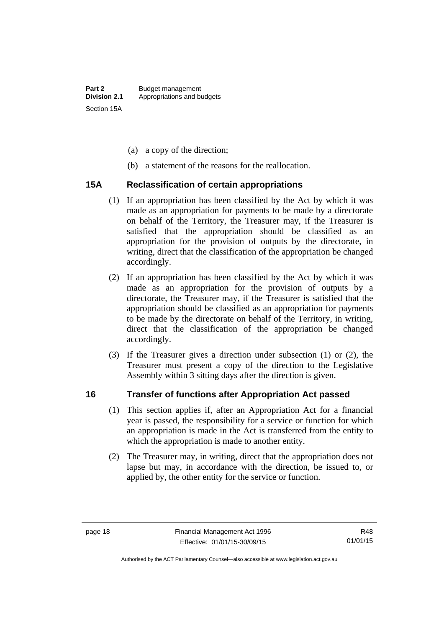- (a) a copy of the direction;
- (b) a statement of the reasons for the reallocation.

#### <span id="page-27-0"></span>**15A Reclassification of certain appropriations**

- (1) If an appropriation has been classified by the Act by which it was made as an appropriation for payments to be made by a directorate on behalf of the Territory, the Treasurer may, if the Treasurer is satisfied that the appropriation should be classified as an appropriation for the provision of outputs by the directorate, in writing, direct that the classification of the appropriation be changed accordingly.
- (2) If an appropriation has been classified by the Act by which it was made as an appropriation for the provision of outputs by a directorate, the Treasurer may, if the Treasurer is satisfied that the appropriation should be classified as an appropriation for payments to be made by the directorate on behalf of the Territory, in writing, direct that the classification of the appropriation be changed accordingly.
- (3) If the Treasurer gives a direction under subsection (1) or (2), the Treasurer must present a copy of the direction to the Legislative Assembly within 3 sitting days after the direction is given.

#### <span id="page-27-1"></span>**16 Transfer of functions after Appropriation Act passed**

- (1) This section applies if, after an Appropriation Act for a financial year is passed, the responsibility for a service or function for which an appropriation is made in the Act is transferred from the entity to which the appropriation is made to another entity.
- (2) The Treasurer may, in writing, direct that the appropriation does not lapse but may, in accordance with the direction, be issued to, or applied by, the other entity for the service or function.

R48 01/01/15

Authorised by the ACT Parliamentary Counsel—also accessible at www.legislation.act.gov.au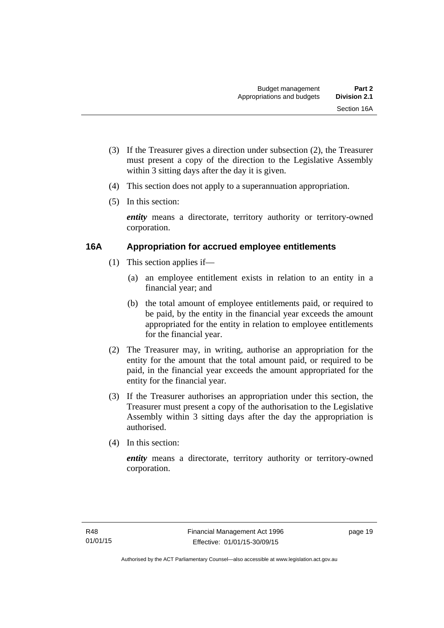- (3) If the Treasurer gives a direction under subsection (2), the Treasurer must present a copy of the direction to the Legislative Assembly within 3 sitting days after the day it is given.
- (4) This section does not apply to a superannuation appropriation.
- (5) In this section:

*entity* means a directorate, territory authority or territory-owned corporation.

#### <span id="page-28-0"></span>**16A Appropriation for accrued employee entitlements**

- (1) This section applies if—
	- (a) an employee entitlement exists in relation to an entity in a financial year; and
	- (b) the total amount of employee entitlements paid, or required to be paid, by the entity in the financial year exceeds the amount appropriated for the entity in relation to employee entitlements for the financial year.
- (2) The Treasurer may, in writing, authorise an appropriation for the entity for the amount that the total amount paid, or required to be paid, in the financial year exceeds the amount appropriated for the entity for the financial year.
- (3) If the Treasurer authorises an appropriation under this section, the Treasurer must present a copy of the authorisation to the Legislative Assembly within 3 sitting days after the day the appropriation is authorised.
- (4) In this section:

*entity* means a directorate, territory authority or territory-owned corporation.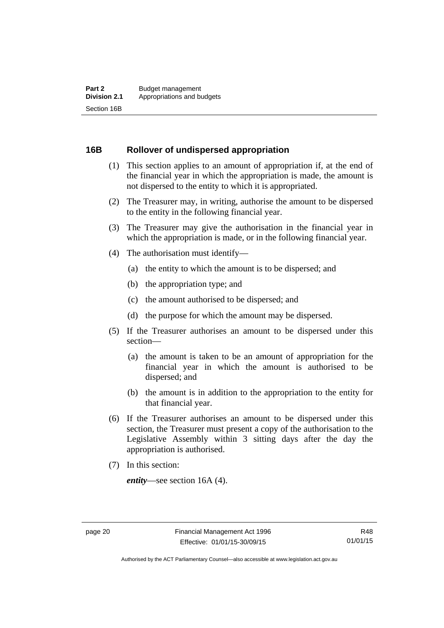#### <span id="page-29-0"></span>**16B Rollover of undispersed appropriation**

- (1) This section applies to an amount of appropriation if, at the end of the financial year in which the appropriation is made, the amount is not dispersed to the entity to which it is appropriated.
- (2) The Treasurer may, in writing, authorise the amount to be dispersed to the entity in the following financial year.
- (3) The Treasurer may give the authorisation in the financial year in which the appropriation is made, or in the following financial year.
- (4) The authorisation must identify—
	- (a) the entity to which the amount is to be dispersed; and
	- (b) the appropriation type; and
	- (c) the amount authorised to be dispersed; and
	- (d) the purpose for which the amount may be dispersed.
- (5) If the Treasurer authorises an amount to be dispersed under this section—
	- (a) the amount is taken to be an amount of appropriation for the financial year in which the amount is authorised to be dispersed; and
	- (b) the amount is in addition to the appropriation to the entity for that financial year.
- (6) If the Treasurer authorises an amount to be dispersed under this section, the Treasurer must present a copy of the authorisation to the Legislative Assembly within 3 sitting days after the day the appropriation is authorised.
- (7) In this section:

*entity*—see section 16A (4).

Authorised by the ACT Parliamentary Counsel—also accessible at www.legislation.act.gov.au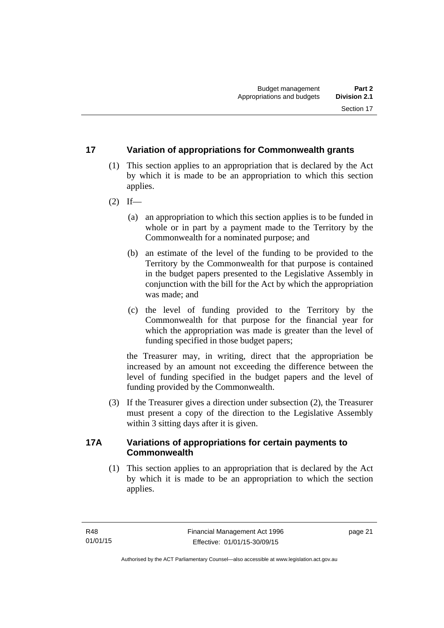#### <span id="page-30-0"></span>**17 Variation of appropriations for Commonwealth grants**

- (1) This section applies to an appropriation that is declared by the Act by which it is made to be an appropriation to which this section applies.
- $(2)$  If—
	- (a) an appropriation to which this section applies is to be funded in whole or in part by a payment made to the Territory by the Commonwealth for a nominated purpose; and
	- (b) an estimate of the level of the funding to be provided to the Territory by the Commonwealth for that purpose is contained in the budget papers presented to the Legislative Assembly in conjunction with the bill for the Act by which the appropriation was made; and
	- (c) the level of funding provided to the Territory by the Commonwealth for that purpose for the financial year for which the appropriation was made is greater than the level of funding specified in those budget papers;

the Treasurer may, in writing, direct that the appropriation be increased by an amount not exceeding the difference between the level of funding specified in the budget papers and the level of funding provided by the Commonwealth.

 (3) If the Treasurer gives a direction under subsection (2), the Treasurer must present a copy of the direction to the Legislative Assembly within 3 sitting days after it is given.

#### <span id="page-30-1"></span>**17A Variations of appropriations for certain payments to Commonwealth**

 (1) This section applies to an appropriation that is declared by the Act by which it is made to be an appropriation to which the section applies.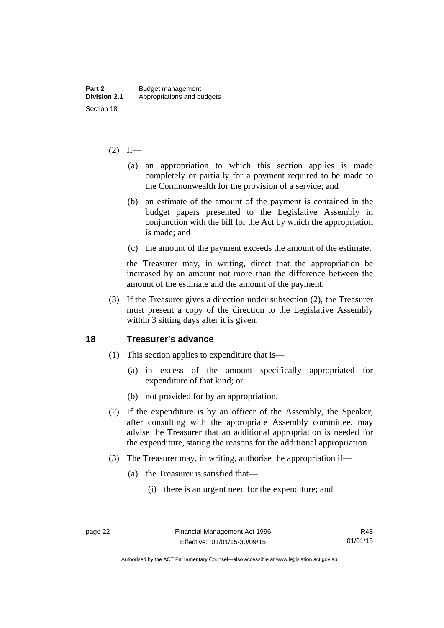#### $(2)$  If—

- (a) an appropriation to which this section applies is made completely or partially for a payment required to be made to the Commonwealth for the provision of a service; and
- (b) an estimate of the amount of the payment is contained in the budget papers presented to the Legislative Assembly in conjunction with the bill for the Act by which the appropriation is made; and
- (c) the amount of the payment exceeds the amount of the estimate;

the Treasurer may, in writing, direct that the appropriation be increased by an amount not more than the difference between the amount of the estimate and the amount of the payment.

 (3) If the Treasurer gives a direction under subsection (2), the Treasurer must present a copy of the direction to the Legislative Assembly within 3 sitting days after it is given.

#### <span id="page-31-0"></span>**18 Treasurer's advance**

- (1) This section applies to expenditure that is—
	- (a) in excess of the amount specifically appropriated for expenditure of that kind; or
	- (b) not provided for by an appropriation.
- (2) If the expenditure is by an officer of the Assembly, the Speaker, after consulting with the appropriate Assembly committee, may advise the Treasurer that an additional appropriation is needed for the expenditure, stating the reasons for the additional appropriation.
- (3) The Treasurer may, in writing, authorise the appropriation if—
	- (a) the Treasurer is satisfied that—
		- (i) there is an urgent need for the expenditure; and

Authorised by the ACT Parliamentary Counsel—also accessible at www.legislation.act.gov.au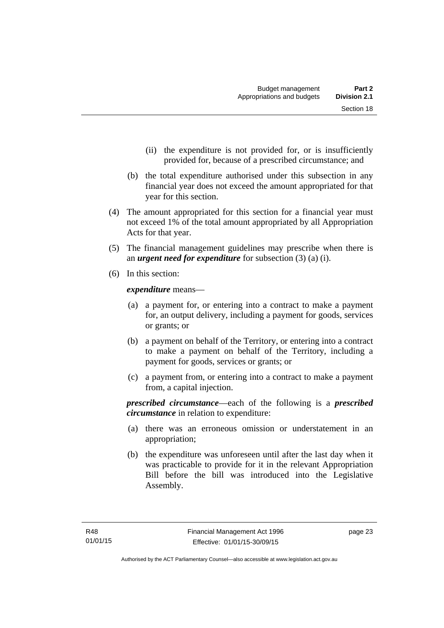- (ii) the expenditure is not provided for, or is insufficiently provided for, because of a prescribed circumstance; and
- (b) the total expenditure authorised under this subsection in any financial year does not exceed the amount appropriated for that year for this section.
- (4) The amount appropriated for this section for a financial year must not exceed 1% of the total amount appropriated by all Appropriation Acts for that year.
- (5) The financial management guidelines may prescribe when there is an *urgent need for expenditure* for subsection (3) (a) (i).
- (6) In this section:

*expenditure* means—

- (a) a payment for, or entering into a contract to make a payment for, an output delivery, including a payment for goods, services or grants; or
- (b) a payment on behalf of the Territory, or entering into a contract to make a payment on behalf of the Territory, including a payment for goods, services or grants; or
- (c) a payment from, or entering into a contract to make a payment from, a capital injection.

*prescribed circumstance*—each of the following is a *prescribed circumstance* in relation to expenditure:

- (a) there was an erroneous omission or understatement in an appropriation;
- (b) the expenditure was unforeseen until after the last day when it was practicable to provide for it in the relevant Appropriation Bill before the bill was introduced into the Legislative Assembly.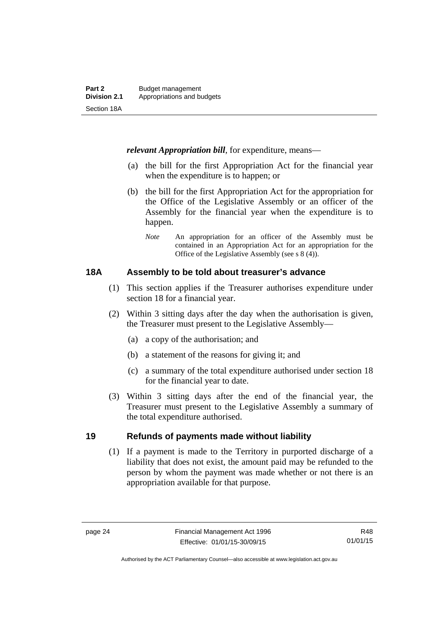*relevant Appropriation bill*, for expenditure, means—

- (a) the bill for the first Appropriation Act for the financial year when the expenditure is to happen; or
- (b) the bill for the first Appropriation Act for the appropriation for the Office of the Legislative Assembly or an officer of the Assembly for the financial year when the expenditure is to happen.
	- *Note* An appropriation for an officer of the Assembly must be contained in an Appropriation Act for an appropriation for the Office of the Legislative Assembly (see s 8 (4)).

#### <span id="page-33-0"></span>**18A Assembly to be told about treasurer's advance**

- (1) This section applies if the Treasurer authorises expenditure under section 18 for a financial year.
- (2) Within 3 sitting days after the day when the authorisation is given, the Treasurer must present to the Legislative Assembly—
	- (a) a copy of the authorisation; and
	- (b) a statement of the reasons for giving it; and
	- (c) a summary of the total expenditure authorised under section 18 for the financial year to date.
- (3) Within 3 sitting days after the end of the financial year, the Treasurer must present to the Legislative Assembly a summary of the total expenditure authorised.

#### <span id="page-33-1"></span>**19 Refunds of payments made without liability**

(1) If a payment is made to the Territory in purported discharge of a liability that does not exist, the amount paid may be refunded to the person by whom the payment was made whether or not there is an appropriation available for that purpose.

R48 01/01/15

Authorised by the ACT Parliamentary Counsel—also accessible at www.legislation.act.gov.au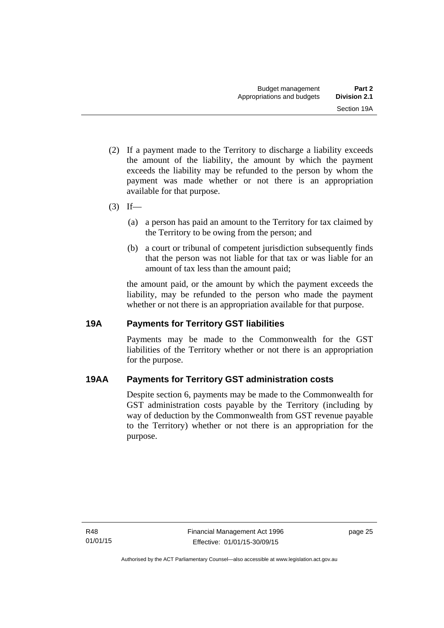- (2) If a payment made to the Territory to discharge a liability exceeds the amount of the liability, the amount by which the payment exceeds the liability may be refunded to the person by whom the payment was made whether or not there is an appropriation available for that purpose.
- $(3)$  If—
	- (a) a person has paid an amount to the Territory for tax claimed by the Territory to be owing from the person; and
	- (b) a court or tribunal of competent jurisdiction subsequently finds that the person was not liable for that tax or was liable for an amount of tax less than the amount paid;

the amount paid, or the amount by which the payment exceeds the liability, may be refunded to the person who made the payment whether or not there is an appropriation available for that purpose.

#### <span id="page-34-0"></span>**19A Payments for Territory GST liabilities**

Payments may be made to the Commonwealth for the GST liabilities of the Territory whether or not there is an appropriation for the purpose.

#### <span id="page-34-1"></span>**19AA Payments for Territory GST administration costs**

Despite section 6, payments may be made to the Commonwealth for GST administration costs payable by the Territory (including by way of deduction by the Commonwealth from GST revenue payable to the Territory) whether or not there is an appropriation for the purpose.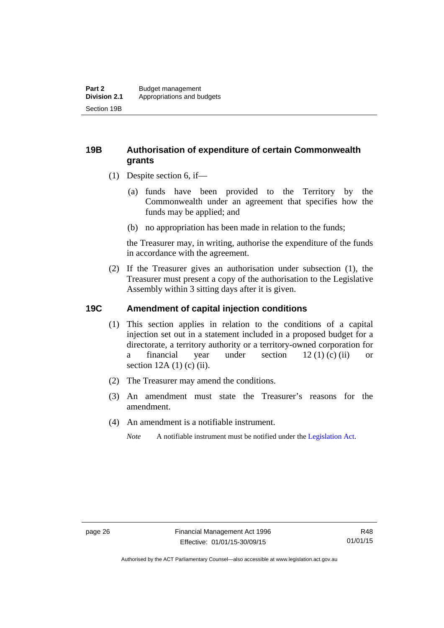#### <span id="page-35-0"></span>**19B Authorisation of expenditure of certain Commonwealth grants**

- (1) Despite section 6, if—
	- (a) funds have been provided to the Territory by the Commonwealth under an agreement that specifies how the funds may be applied; and
	- (b) no appropriation has been made in relation to the funds;

the Treasurer may, in writing, authorise the expenditure of the funds in accordance with the agreement.

 (2) If the Treasurer gives an authorisation under subsection (1), the Treasurer must present a copy of the authorisation to the Legislative Assembly within 3 sitting days after it is given.

#### <span id="page-35-1"></span>**19C Amendment of capital injection conditions**

- (1) This section applies in relation to the conditions of a capital injection set out in a statement included in a proposed budget for a directorate, a territory authority or a territory-owned corporation for a financial year under section 12 (1) (c) (ii) or section  $12A(1)$  (c) (ii).
- (2) The Treasurer may amend the conditions.
- (3) An amendment must state the Treasurer's reasons for the amendment.
- (4) An amendment is a notifiable instrument.

*Note* A notifiable instrument must be notified under the [Legislation Act](http://www.legislation.act.gov.au/a/2001-14).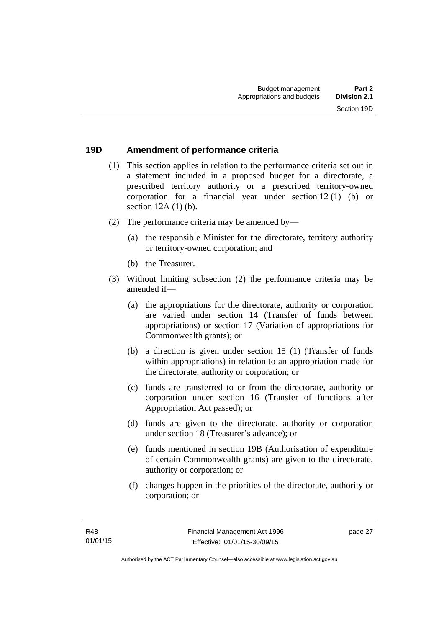#### **19D Amendment of performance criteria**

- (1) This section applies in relation to the performance criteria set out in a statement included in a proposed budget for a directorate, a prescribed territory authority or a prescribed territory-owned corporation for a financial year under section 12 (1) (b) or section 12A (1) (b).
- (2) The performance criteria may be amended by—
	- (a) the responsible Minister for the directorate, territory authority or territory-owned corporation; and
	- (b) the Treasurer.
- (3) Without limiting subsection (2) the performance criteria may be amended if—
	- (a) the appropriations for the directorate, authority or corporation are varied under section 14 (Transfer of funds between appropriations) or section 17 (Variation of appropriations for Commonwealth grants); or
	- (b) a direction is given under section 15 (1) (Transfer of funds within appropriations) in relation to an appropriation made for the directorate, authority or corporation; or
	- (c) funds are transferred to or from the directorate, authority or corporation under section 16 (Transfer of functions after Appropriation Act passed); or
	- (d) funds are given to the directorate, authority or corporation under section 18 (Treasurer's advance); or
	- (e) funds mentioned in section 19B (Authorisation of expenditure of certain Commonwealth grants) are given to the directorate, authority or corporation; or
	- (f) changes happen in the priorities of the directorate, authority or corporation; or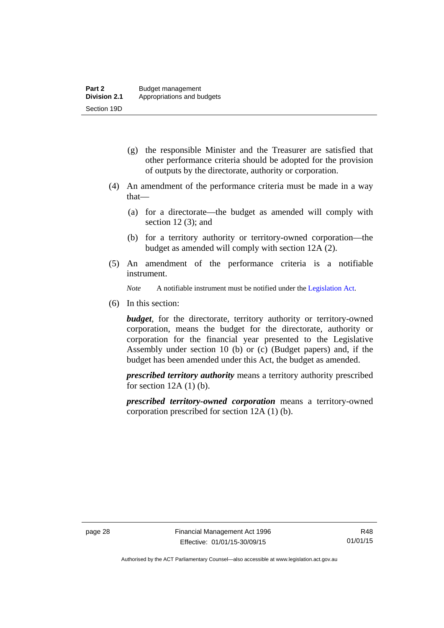- (g) the responsible Minister and the Treasurer are satisfied that other performance criteria should be adopted for the provision of outputs by the directorate, authority or corporation.
- (4) An amendment of the performance criteria must be made in a way that—
	- (a) for a directorate—the budget as amended will comply with section  $12(3)$ ; and
	- (b) for a territory authority or territory-owned corporation—the budget as amended will comply with section 12A (2).
- (5) An amendment of the performance criteria is a notifiable instrument.

*Note* A notifiable instrument must be notified under the [Legislation Act](http://www.legislation.act.gov.au/a/2001-14).

(6) In this section:

*budget*, for the directorate, territory authority or territory-owned corporation, means the budget for the directorate, authority or corporation for the financial year presented to the Legislative Assembly under section 10 (b) or (c) (Budget papers) and, if the budget has been amended under this Act, the budget as amended.

*prescribed territory authority* means a territory authority prescribed for section  $12A(1)(b)$ .

*prescribed territory-owned corporation* means a territory-owned corporation prescribed for section 12A (1) (b).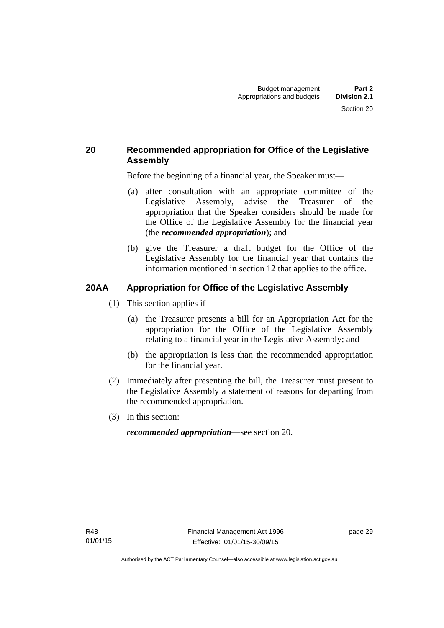## **20 Recommended appropriation for Office of the Legislative Assembly**

Before the beginning of a financial year, the Speaker must—

- (a) after consultation with an appropriate committee of the Legislative Assembly, advise the Treasurer of the appropriation that the Speaker considers should be made for the Office of the Legislative Assembly for the financial year (the *recommended appropriation*); and
- (b) give the Treasurer a draft budget for the Office of the Legislative Assembly for the financial year that contains the information mentioned in section 12 that applies to the office.

# **20AA Appropriation for Office of the Legislative Assembly**

- (1) This section applies if—
	- (a) the Treasurer presents a bill for an Appropriation Act for the appropriation for the Office of the Legislative Assembly relating to a financial year in the Legislative Assembly; and
	- (b) the appropriation is less than the recommended appropriation for the financial year.
- (2) Immediately after presenting the bill, the Treasurer must present to the Legislative Assembly a statement of reasons for departing from the recommended appropriation.
- (3) In this section:

*recommended appropriation*—see section 20.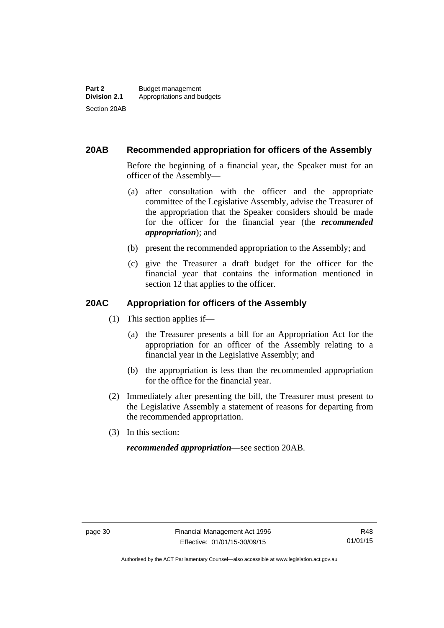### **20AB Recommended appropriation for officers of the Assembly**

Before the beginning of a financial year, the Speaker must for an officer of the Assembly—

- (a) after consultation with the officer and the appropriate committee of the Legislative Assembly, advise the Treasurer of the appropriation that the Speaker considers should be made for the officer for the financial year (the *recommended appropriation*); and
- (b) present the recommended appropriation to the Assembly; and
- (c) give the Treasurer a draft budget for the officer for the financial year that contains the information mentioned in section 12 that applies to the officer.

#### **20AC Appropriation for officers of the Assembly**

- (1) This section applies if—
	- (a) the Treasurer presents a bill for an Appropriation Act for the appropriation for an officer of the Assembly relating to a financial year in the Legislative Assembly; and
	- (b) the appropriation is less than the recommended appropriation for the office for the financial year.
- (2) Immediately after presenting the bill, the Treasurer must present to the Legislative Assembly a statement of reasons for departing from the recommended appropriation.
- (3) In this section:

*recommended appropriation*—see section 20AB.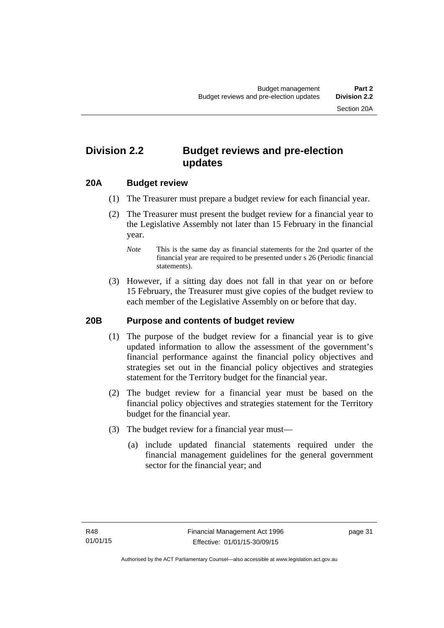# **Division 2.2 Budget reviews and pre-election updates**

#### **20A Budget review**

- (1) The Treasurer must prepare a budget review for each financial year.
- (2) The Treasurer must present the budget review for a financial year to the Legislative Assembly not later than 15 February in the financial year.
	- *Note* This is the same day as financial statements for the 2nd quarter of the financial year are required to be presented under s 26 (Periodic financial statements).
- (3) However, if a sitting day does not fall in that year on or before 15 February, the Treasurer must give copies of the budget review to each member of the Legislative Assembly on or before that day.

#### **20B Purpose and contents of budget review**

- (1) The purpose of the budget review for a financial year is to give updated information to allow the assessment of the government's financial performance against the financial policy objectives and strategies set out in the financial policy objectives and strategies statement for the Territory budget for the financial year.
- (2) The budget review for a financial year must be based on the financial policy objectives and strategies statement for the Territory budget for the financial year.
- (3) The budget review for a financial year must—
	- (a) include updated financial statements required under the financial management guidelines for the general government sector for the financial year; and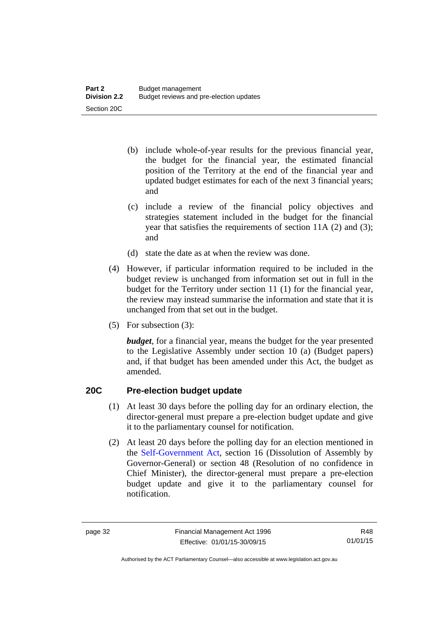- (b) include whole-of-year results for the previous financial year, the budget for the financial year, the estimated financial position of the Territory at the end of the financial year and updated budget estimates for each of the next 3 financial years; and
- (c) include a review of the financial policy objectives and strategies statement included in the budget for the financial year that satisfies the requirements of section 11A (2) and (3); and
- (d) state the date as at when the review was done.
- (4) However, if particular information required to be included in the budget review is unchanged from information set out in full in the budget for the Territory under section 11 (1) for the financial year, the review may instead summarise the information and state that it is unchanged from that set out in the budget.
- (5) For subsection (3):

*budget*, for a financial year, means the budget for the year presented to the Legislative Assembly under section 10 (a) (Budget papers) and, if that budget has been amended under this Act, the budget as amended.

### **20C Pre-election budget update**

- (1) At least 30 days before the polling day for an ordinary election, the director-general must prepare a pre-election budget update and give it to the parliamentary counsel for notification.
- (2) At least 20 days before the polling day for an election mentioned in the [Self-Government Act,](http://www.comlaw.gov.au/Series/C2004A03699) section 16 (Dissolution of Assembly by Governor-General) or section 48 (Resolution of no confidence in Chief Minister), the director-general must prepare a pre-election budget update and give it to the parliamentary counsel for notification.

Authorised by the ACT Parliamentary Counsel—also accessible at www.legislation.act.gov.au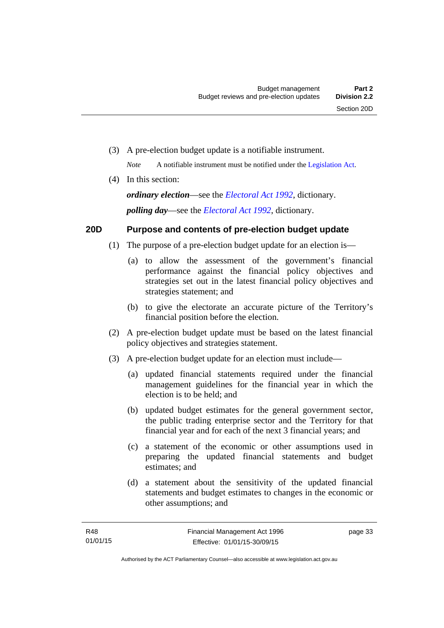(3) A pre-election budget update is a notifiable instrument.

*Note* A notifiable instrument must be notified under the [Legislation Act](http://www.legislation.act.gov.au/a/2001-14).

(4) In this section:

*ordinary election*—see the *[Electoral Act 1992](http://www.legislation.act.gov.au/a/1992-71)*, dictionary. *polling day*—see the *[Electoral Act 1992](http://www.legislation.act.gov.au/a/1992-71)*, dictionary.

# **20D Purpose and contents of pre-election budget update**

- (1) The purpose of a pre-election budget update for an election is—
	- (a) to allow the assessment of the government's financial performance against the financial policy objectives and strategies set out in the latest financial policy objectives and strategies statement; and
	- (b) to give the electorate an accurate picture of the Territory's financial position before the election.
- (2) A pre-election budget update must be based on the latest financial policy objectives and strategies statement.
- (3) A pre-election budget update for an election must include—
	- (a) updated financial statements required under the financial management guidelines for the financial year in which the election is to be held; and
	- (b) updated budget estimates for the general government sector, the public trading enterprise sector and the Territory for that financial year and for each of the next 3 financial years; and
	- (c) a statement of the economic or other assumptions used in preparing the updated financial statements and budget estimates; and
	- (d) a statement about the sensitivity of the updated financial statements and budget estimates to changes in the economic or other assumptions; and

page 33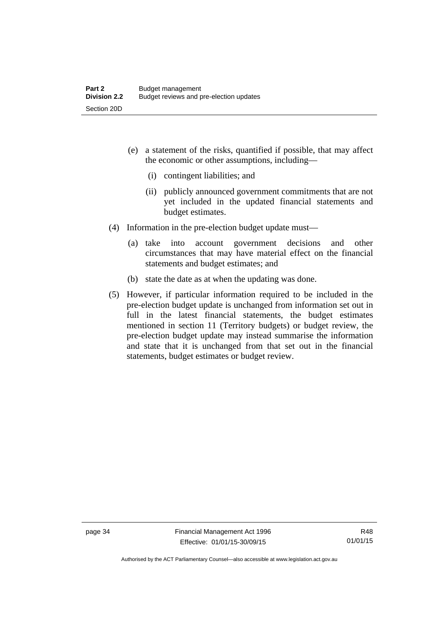- (e) a statement of the risks, quantified if possible, that may affect the economic or other assumptions, including—
	- (i) contingent liabilities; and
	- (ii) publicly announced government commitments that are not yet included in the updated financial statements and budget estimates.
- (4) Information in the pre-election budget update must—
	- (a) take into account government decisions and other circumstances that may have material effect on the financial statements and budget estimates; and
	- (b) state the date as at when the updating was done.
- (5) However, if particular information required to be included in the pre-election budget update is unchanged from information set out in full in the latest financial statements, the budget estimates mentioned in section 11 (Territory budgets) or budget review, the pre-election budget update may instead summarise the information and state that it is unchanged from that set out in the financial statements, budget estimates or budget review.

Authorised by the ACT Parliamentary Counsel—also accessible at www.legislation.act.gov.au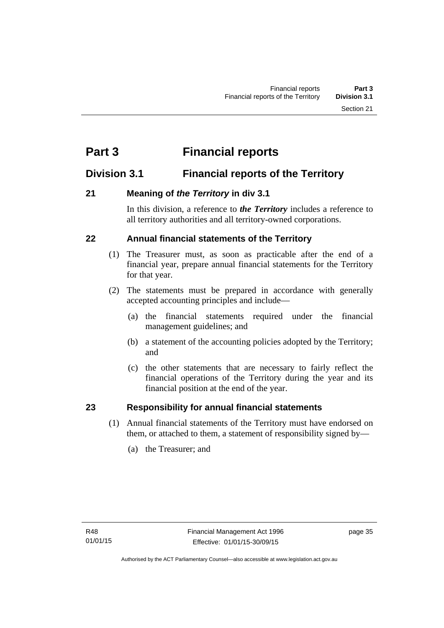# **Part 3 Financial reports**

# **Division 3.1 Financial reports of the Territory**

# **21 Meaning of** *the Territory* **in div 3.1**

In this division, a reference to *the Territory* includes a reference to all territory authorities and all territory-owned corporations.

# **22 Annual financial statements of the Territory**

- (1) The Treasurer must, as soon as practicable after the end of a financial year, prepare annual financial statements for the Territory for that year.
- (2) The statements must be prepared in accordance with generally accepted accounting principles and include—
	- (a) the financial statements required under the financial management guidelines; and
	- (b) a statement of the accounting policies adopted by the Territory; and
	- (c) the other statements that are necessary to fairly reflect the financial operations of the Territory during the year and its financial position at the end of the year.

### **23 Responsibility for annual financial statements**

- (1) Annual financial statements of the Territory must have endorsed on them, or attached to them, a statement of responsibility signed by—
	- (a) the Treasurer; and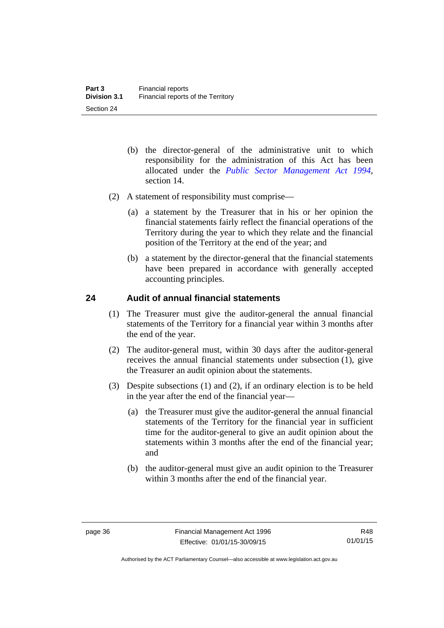- (b) the director-general of the administrative unit to which responsibility for the administration of this Act has been allocated under the *[Public Sector Management Act 1994](http://www.legislation.act.gov.au/a/1994-37)*, section 14.
- (2) A statement of responsibility must comprise—
	- (a) a statement by the Treasurer that in his or her opinion the financial statements fairly reflect the financial operations of the Territory during the year to which they relate and the financial position of the Territory at the end of the year; and
	- (b) a statement by the director-general that the financial statements have been prepared in accordance with generally accepted accounting principles.

#### **24 Audit of annual financial statements**

- (1) The Treasurer must give the auditor-general the annual financial statements of the Territory for a financial year within 3 months after the end of the year.
- (2) The auditor-general must, within 30 days after the auditor-general receives the annual financial statements under subsection (1), give the Treasurer an audit opinion about the statements.
- (3) Despite subsections (1) and (2), if an ordinary election is to be held in the year after the end of the financial year—
	- (a) the Treasurer must give the auditor-general the annual financial statements of the Territory for the financial year in sufficient time for the auditor-general to give an audit opinion about the statements within 3 months after the end of the financial year; and
	- (b) the auditor-general must give an audit opinion to the Treasurer within 3 months after the end of the financial year.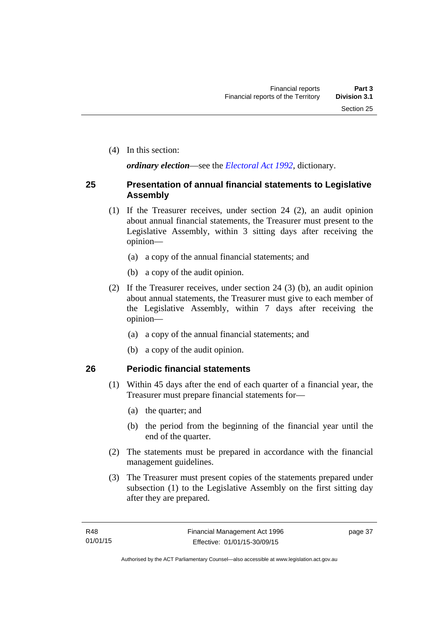(4) In this section:

*ordinary election*—see the *[Electoral Act 1992](http://www.legislation.act.gov.au/a/1992-71)*, dictionary.

#### **25 Presentation of annual financial statements to Legislative Assembly**

- (1) If the Treasurer receives, under section 24 (2), an audit opinion about annual financial statements, the Treasurer must present to the Legislative Assembly, within 3 sitting days after receiving the opinion—
	- (a) a copy of the annual financial statements; and
	- (b) a copy of the audit opinion.
- (2) If the Treasurer receives, under section 24 (3) (b), an audit opinion about annual statements, the Treasurer must give to each member of the Legislative Assembly, within 7 days after receiving the opinion—
	- (a) a copy of the annual financial statements; and
	- (b) a copy of the audit opinion.

#### **26 Periodic financial statements**

- (1) Within 45 days after the end of each quarter of a financial year, the Treasurer must prepare financial statements for—
	- (a) the quarter; and
	- (b) the period from the beginning of the financial year until the end of the quarter.
- (2) The statements must be prepared in accordance with the financial management guidelines.
- (3) The Treasurer must present copies of the statements prepared under subsection (1) to the Legislative Assembly on the first sitting day after they are prepared.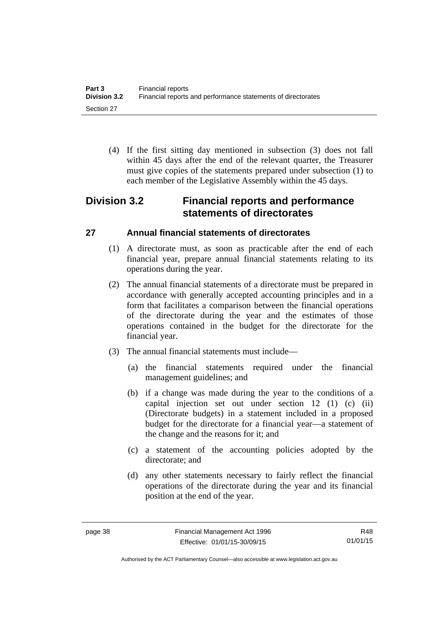(4) If the first sitting day mentioned in subsection (3) does not fall within 45 days after the end of the relevant quarter, the Treasurer must give copies of the statements prepared under subsection (1) to each member of the Legislative Assembly within the 45 days.

# **Division 3.2 Financial reports and performance statements of directorates**

# **27 Annual financial statements of directorates**

- (1) A directorate must, as soon as practicable after the end of each financial year, prepare annual financial statements relating to its operations during the year.
- (2) The annual financial statements of a directorate must be prepared in accordance with generally accepted accounting principles and in a form that facilitates a comparison between the financial operations of the directorate during the year and the estimates of those operations contained in the budget for the directorate for the financial year.
- (3) The annual financial statements must include—
	- (a) the financial statements required under the financial management guidelines; and
	- (b) if a change was made during the year to the conditions of a capital injection set out under section 12 (1) (c) (ii) (Directorate budgets) in a statement included in a proposed budget for the directorate for a financial year—a statement of the change and the reasons for it; and
	- (c) a statement of the accounting policies adopted by the directorate; and
	- (d) any other statements necessary to fairly reflect the financial operations of the directorate during the year and its financial position at the end of the year.

R48 01/01/15

Authorised by the ACT Parliamentary Counsel—also accessible at www.legislation.act.gov.au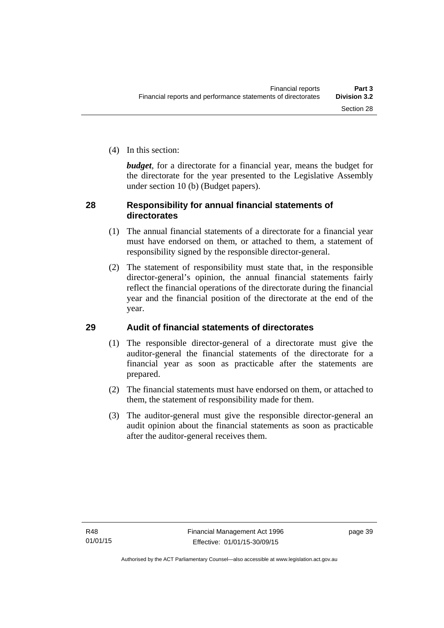(4) In this section:

*budget*, for a directorate for a financial year, means the budget for the directorate for the year presented to the Legislative Assembly under section 10 (b) (Budget papers).

#### **28 Responsibility for annual financial statements of directorates**

- (1) The annual financial statements of a directorate for a financial year must have endorsed on them, or attached to them, a statement of responsibility signed by the responsible director-general.
- (2) The statement of responsibility must state that, in the responsible director-general's opinion, the annual financial statements fairly reflect the financial operations of the directorate during the financial year and the financial position of the directorate at the end of the year.

### **29 Audit of financial statements of directorates**

- (1) The responsible director-general of a directorate must give the auditor-general the financial statements of the directorate for a financial year as soon as practicable after the statements are prepared.
- (2) The financial statements must have endorsed on them, or attached to them, the statement of responsibility made for them.
- (3) The auditor-general must give the responsible director-general an audit opinion about the financial statements as soon as practicable after the auditor-general receives them.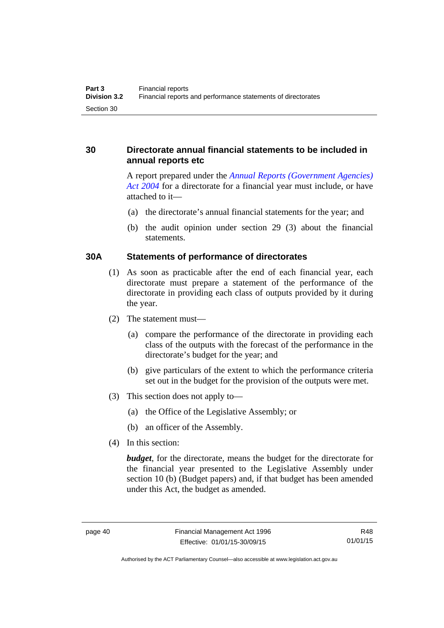### **30 Directorate annual financial statements to be included in annual reports etc**

A report prepared under the *[Annual Reports \(Government Agencies\)](http://www.legislation.act.gov.au/a/2004-8)  [Act 2004](http://www.legislation.act.gov.au/a/2004-8)* for a directorate for a financial year must include, or have attached to it—

- (a) the directorate's annual financial statements for the year; and
- (b) the audit opinion under section 29 (3) about the financial statements.

#### **30A Statements of performance of directorates**

- (1) As soon as practicable after the end of each financial year, each directorate must prepare a statement of the performance of the directorate in providing each class of outputs provided by it during the year.
- (2) The statement must—
	- (a) compare the performance of the directorate in providing each class of the outputs with the forecast of the performance in the directorate's budget for the year; and
	- (b) give particulars of the extent to which the performance criteria set out in the budget for the provision of the outputs were met.
- (3) This section does not apply to—
	- (a) the Office of the Legislative Assembly; or
	- (b) an officer of the Assembly.
- (4) In this section:

*budget*, for the directorate, means the budget for the directorate for the financial year presented to the Legislative Assembly under section 10 (b) (Budget papers) and, if that budget has been amended under this Act, the budget as amended.

R48 01/01/15

Authorised by the ACT Parliamentary Counsel—also accessible at www.legislation.act.gov.au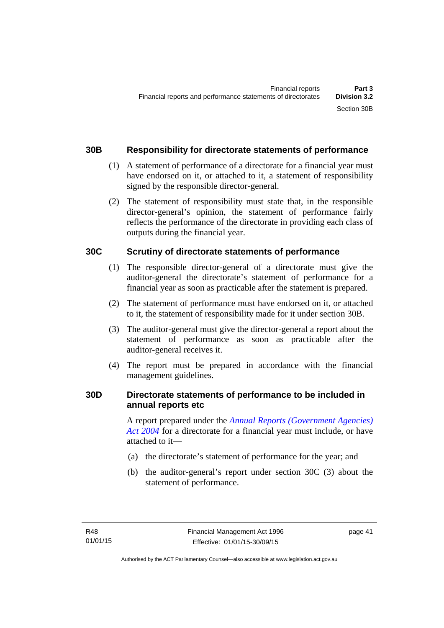#### **30B Responsibility for directorate statements of performance**

- (1) A statement of performance of a directorate for a financial year must have endorsed on it, or attached to it, a statement of responsibility signed by the responsible director-general.
- (2) The statement of responsibility must state that, in the responsible director-general's opinion, the statement of performance fairly reflects the performance of the directorate in providing each class of outputs during the financial year.

#### **30C Scrutiny of directorate statements of performance**

- (1) The responsible director-general of a directorate must give the auditor-general the directorate's statement of performance for a financial year as soon as practicable after the statement is prepared.
- (2) The statement of performance must have endorsed on it, or attached to it, the statement of responsibility made for it under section 30B.
- (3) The auditor-general must give the director-general a report about the statement of performance as soon as practicable after the auditor-general receives it.
- (4) The report must be prepared in accordance with the financial management guidelines.

#### **30D Directorate statements of performance to be included in annual reports etc**

A report prepared under the *[Annual Reports \(Government Agencies\)](http://www.legislation.act.gov.au/a/2004-8)  [Act 2004](http://www.legislation.act.gov.au/a/2004-8)* for a directorate for a financial year must include, or have attached to it—

- (a) the directorate's statement of performance for the year; and
- (b) the auditor-general's report under section 30C (3) about the statement of performance.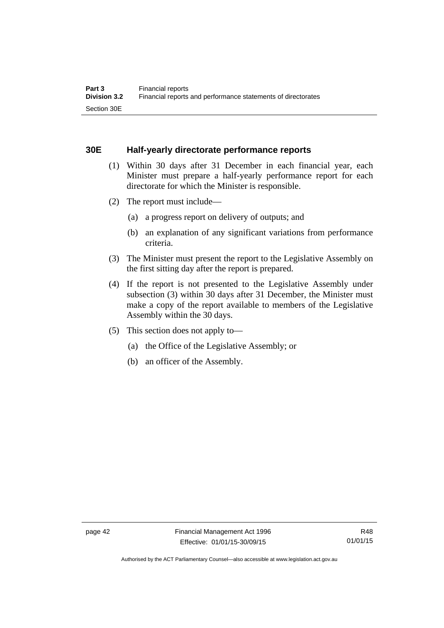#### **30E Half-yearly directorate performance reports**

- (1) Within 30 days after 31 December in each financial year, each Minister must prepare a half-yearly performance report for each directorate for which the Minister is responsible.
- (2) The report must include—
	- (a) a progress report on delivery of outputs; and
	- (b) an explanation of any significant variations from performance criteria.
- (3) The Minister must present the report to the Legislative Assembly on the first sitting day after the report is prepared.
- (4) If the report is not presented to the Legislative Assembly under subsection (3) within 30 days after 31 December, the Minister must make a copy of the report available to members of the Legislative Assembly within the 30 days.
- (5) This section does not apply to—
	- (a) the Office of the Legislative Assembly; or
	- (b) an officer of the Assembly.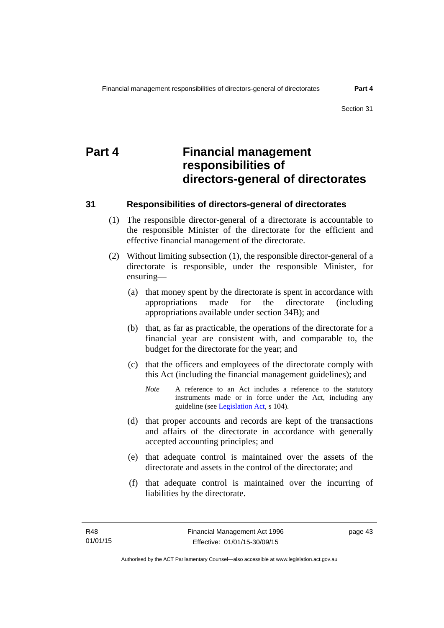# **Part 4 Financial management responsibilities of directors-general of directorates**

#### **31 Responsibilities of directors-general of directorates**

- (1) The responsible director-general of a directorate is accountable to the responsible Minister of the directorate for the efficient and effective financial management of the directorate.
- (2) Without limiting subsection (1), the responsible director-general of a directorate is responsible, under the responsible Minister, for ensuring—
	- (a) that money spent by the directorate is spent in accordance with appropriations made for the directorate (including appropriations available under section 34B); and
	- (b) that, as far as practicable, the operations of the directorate for a financial year are consistent with, and comparable to, the budget for the directorate for the year; and
	- (c) that the officers and employees of the directorate comply with this Act (including the financial management guidelines); and
		- *Note* A reference to an Act includes a reference to the statutory instruments made or in force under the Act, including any guideline (see [Legislation Act](http://www.legislation.act.gov.au/a/2001-14), s 104).
	- (d) that proper accounts and records are kept of the transactions and affairs of the directorate in accordance with generally accepted accounting principles; and
	- (e) that adequate control is maintained over the assets of the directorate and assets in the control of the directorate; and
	- (f) that adequate control is maintained over the incurring of liabilities by the directorate.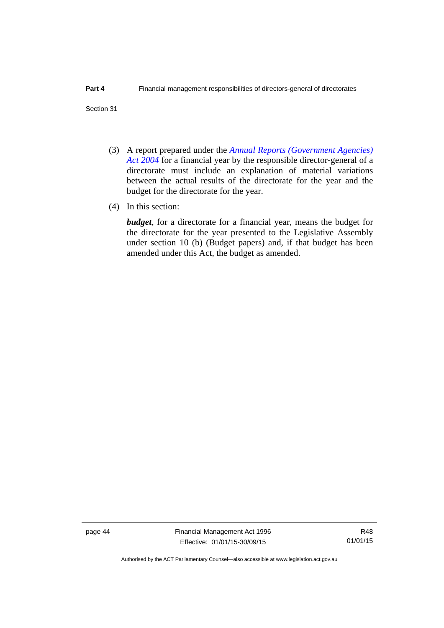- (3) A report prepared under the *[Annual Reports \(Government Agencies\)](http://www.legislation.act.gov.au/a/2004-8)  [Act 2004](http://www.legislation.act.gov.au/a/2004-8)* for a financial year by the responsible director-general of a directorate must include an explanation of material variations between the actual results of the directorate for the year and the budget for the directorate for the year.
- (4) In this section:

*budget*, for a directorate for a financial year, means the budget for the directorate for the year presented to the Legislative Assembly under section 10 (b) (Budget papers) and, if that budget has been amended under this Act, the budget as amended.

page 44 Financial Management Act 1996 Effective: 01/01/15-30/09/15

Authorised by the ACT Parliamentary Counsel—also accessible at www.legislation.act.gov.au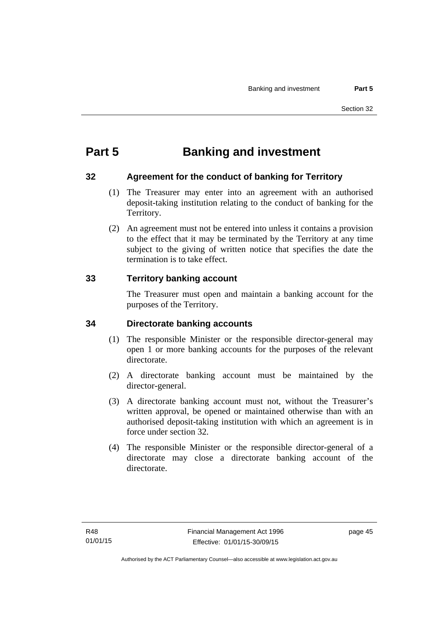# **Part 5 Banking and investment**

### **32 Agreement for the conduct of banking for Territory**

- (1) The Treasurer may enter into an agreement with an authorised deposit-taking institution relating to the conduct of banking for the Territory.
- (2) An agreement must not be entered into unless it contains a provision to the effect that it may be terminated by the Territory at any time subject to the giving of written notice that specifies the date the termination is to take effect.

### **33 Territory banking account**

The Treasurer must open and maintain a banking account for the purposes of the Territory.

### **34 Directorate banking accounts**

- (1) The responsible Minister or the responsible director-general may open 1 or more banking accounts for the purposes of the relevant directorate.
- (2) A directorate banking account must be maintained by the director-general.
- (3) A directorate banking account must not, without the Treasurer's written approval, be opened or maintained otherwise than with an authorised deposit-taking institution with which an agreement is in force under section 32.
- (4) The responsible Minister or the responsible director-general of a directorate may close a directorate banking account of the directorate.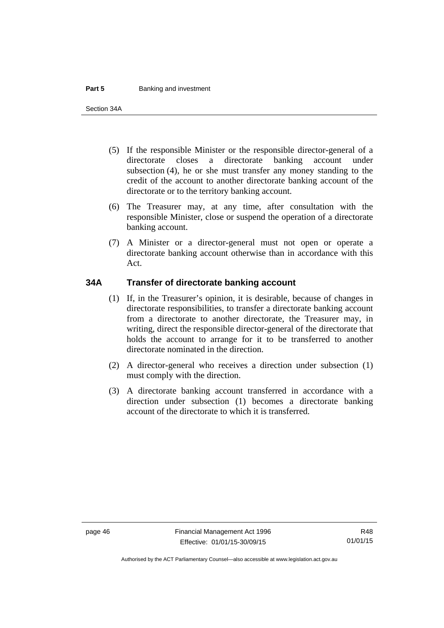#### **Part 5 Banking and investment**

Section 34A

- (5) If the responsible Minister or the responsible director-general of a directorate closes a directorate banking account under subsection (4), he or she must transfer any money standing to the credit of the account to another directorate banking account of the directorate or to the territory banking account.
- (6) The Treasurer may, at any time, after consultation with the responsible Minister, close or suspend the operation of a directorate banking account.
- (7) A Minister or a director-general must not open or operate a directorate banking account otherwise than in accordance with this Act.

#### **34A Transfer of directorate banking account**

- (1) If, in the Treasurer's opinion, it is desirable, because of changes in directorate responsibilities, to transfer a directorate banking account from a directorate to another directorate, the Treasurer may, in writing, direct the responsible director-general of the directorate that holds the account to arrange for it to be transferred to another directorate nominated in the direction.
- (2) A director-general who receives a direction under subsection (1) must comply with the direction.
- (3) A directorate banking account transferred in accordance with a direction under subsection (1) becomes a directorate banking account of the directorate to which it is transferred.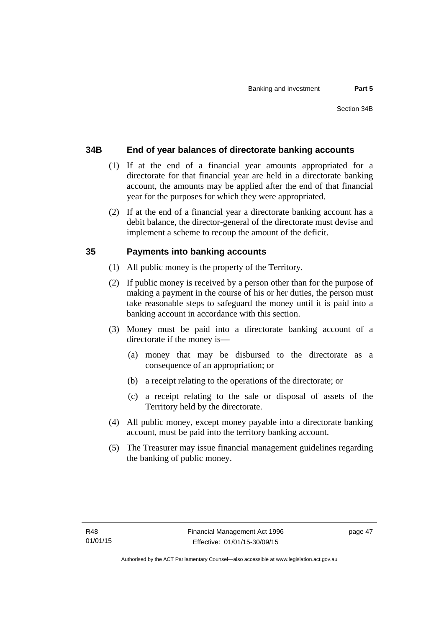#### **34B End of year balances of directorate banking accounts**

- (1) If at the end of a financial year amounts appropriated for a directorate for that financial year are held in a directorate banking account, the amounts may be applied after the end of that financial year for the purposes for which they were appropriated.
- (2) If at the end of a financial year a directorate banking account has a debit balance, the director-general of the directorate must devise and implement a scheme to recoup the amount of the deficit.

#### **35 Payments into banking accounts**

- (1) All public money is the property of the Territory.
- (2) If public money is received by a person other than for the purpose of making a payment in the course of his or her duties, the person must take reasonable steps to safeguard the money until it is paid into a banking account in accordance with this section.
- (3) Money must be paid into a directorate banking account of a directorate if the money is—
	- (a) money that may be disbursed to the directorate as a consequence of an appropriation; or
	- (b) a receipt relating to the operations of the directorate; or
	- (c) a receipt relating to the sale or disposal of assets of the Territory held by the directorate.
- (4) All public money, except money payable into a directorate banking account, must be paid into the territory banking account.
- (5) The Treasurer may issue financial management guidelines regarding the banking of public money.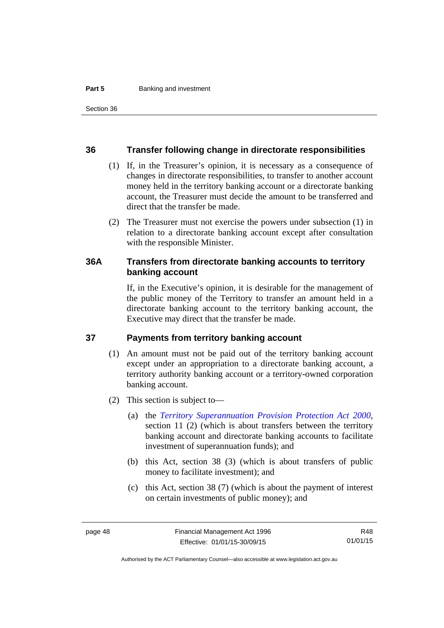#### **36 Transfer following change in directorate responsibilities**

- (1) If, in the Treasurer's opinion, it is necessary as a consequence of changes in directorate responsibilities, to transfer to another account money held in the territory banking account or a directorate banking account, the Treasurer must decide the amount to be transferred and direct that the transfer be made.
- (2) The Treasurer must not exercise the powers under subsection (1) in relation to a directorate banking account except after consultation with the responsible Minister.

#### **36A Transfers from directorate banking accounts to territory banking account**

If, in the Executive's opinion, it is desirable for the management of the public money of the Territory to transfer an amount held in a directorate banking account to the territory banking account, the Executive may direct that the transfer be made.

#### **37 Payments from territory banking account**

- (1) An amount must not be paid out of the territory banking account except under an appropriation to a directorate banking account, a territory authority banking account or a territory-owned corporation banking account.
- (2) This section is subject to—
	- (a) the *[Territory Superannuation Provision Protection Act 2000](http://www.legislation.act.gov.au/a/2000-21)*, section 11 (2) (which is about transfers between the territory banking account and directorate banking accounts to facilitate investment of superannuation funds); and
	- (b) this Act, section 38 (3) (which is about transfers of public money to facilitate investment); and
	- (c) this Act, section 38 (7) (which is about the payment of interest on certain investments of public money); and

R48 01/01/15

Authorised by the ACT Parliamentary Counsel—also accessible at www.legislation.act.gov.au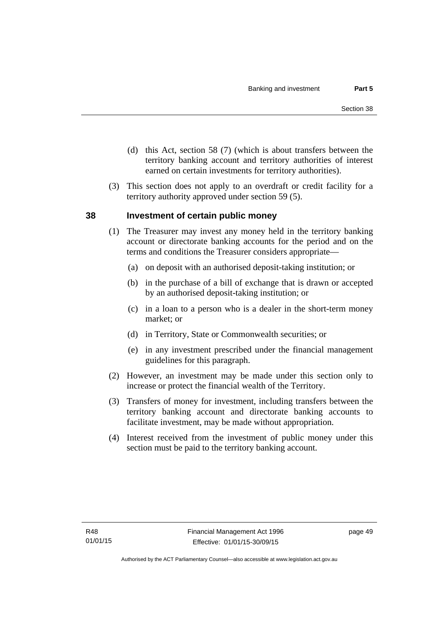- (d) this Act, section 58 (7) (which is about transfers between the territory banking account and territory authorities of interest earned on certain investments for territory authorities).
- (3) This section does not apply to an overdraft or credit facility for a territory authority approved under section 59 (5).

#### **38 Investment of certain public money**

- (1) The Treasurer may invest any money held in the territory banking account or directorate banking accounts for the period and on the terms and conditions the Treasurer considers appropriate—
	- (a) on deposit with an authorised deposit-taking institution; or
	- (b) in the purchase of a bill of exchange that is drawn or accepted by an authorised deposit-taking institution; or
	- (c) in a loan to a person who is a dealer in the short-term money market; or
	- (d) in Territory, State or Commonwealth securities; or
	- (e) in any investment prescribed under the financial management guidelines for this paragraph.
- (2) However, an investment may be made under this section only to increase or protect the financial wealth of the Territory.
- (3) Transfers of money for investment, including transfers between the territory banking account and directorate banking accounts to facilitate investment, may be made without appropriation.
- (4) Interest received from the investment of public money under this section must be paid to the territory banking account.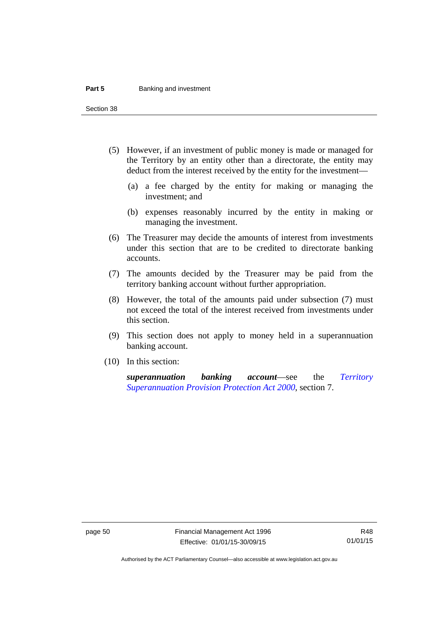#### **Part 5 Banking and investment**

Section 38

- (5) However, if an investment of public money is made or managed for the Territory by an entity other than a directorate, the entity may deduct from the interest received by the entity for the investment—
	- (a) a fee charged by the entity for making or managing the investment; and
	- (b) expenses reasonably incurred by the entity in making or managing the investment.
- (6) The Treasurer may decide the amounts of interest from investments under this section that are to be credited to directorate banking accounts.
- (7) The amounts decided by the Treasurer may be paid from the territory banking account without further appropriation.
- (8) However, the total of the amounts paid under subsection (7) must not exceed the total of the interest received from investments under this section.
- (9) This section does not apply to money held in a superannuation banking account.
- (10) In this section:

*superannuation banking account*—see the *[Territory](http://www.legislation.act.gov.au/a/2000-21)  [Superannuation Provision Protection Act 2000](http://www.legislation.act.gov.au/a/2000-21)*, section 7.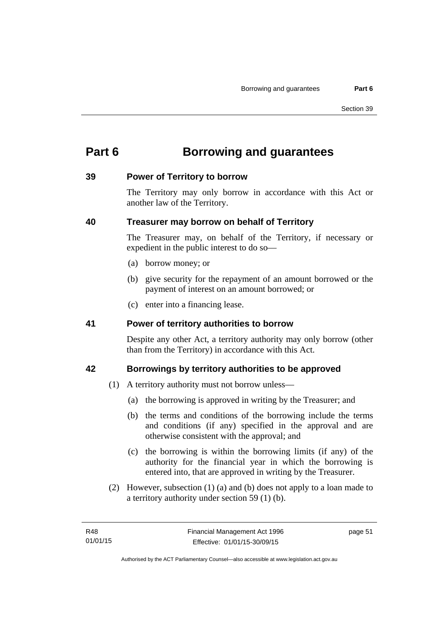# **Part 6 Borrowing and guarantees**

#### **39 Power of Territory to borrow**

The Territory may only borrow in accordance with this Act or another law of the Territory.

### **40 Treasurer may borrow on behalf of Territory**

The Treasurer may, on behalf of the Territory, if necessary or expedient in the public interest to do so—

- (a) borrow money; or
- (b) give security for the repayment of an amount borrowed or the payment of interest on an amount borrowed; or
- (c) enter into a financing lease.

### **41 Power of territory authorities to borrow**

Despite any other Act, a territory authority may only borrow (other than from the Territory) in accordance with this Act.

### **42 Borrowings by territory authorities to be approved**

- (1) A territory authority must not borrow unless—
	- (a) the borrowing is approved in writing by the Treasurer; and
	- (b) the terms and conditions of the borrowing include the terms and conditions (if any) specified in the approval and are otherwise consistent with the approval; and
	- (c) the borrowing is within the borrowing limits (if any) of the authority for the financial year in which the borrowing is entered into, that are approved in writing by the Treasurer.
- (2) However, subsection (1) (a) and (b) does not apply to a loan made to a territory authority under section 59 (1) (b).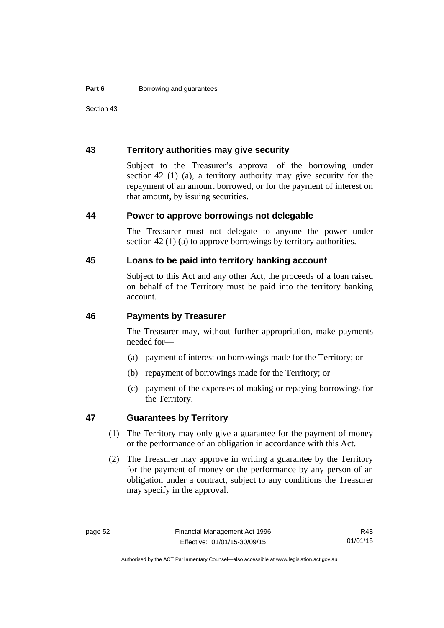Section 43

#### **43 Territory authorities may give security**

Subject to the Treasurer's approval of the borrowing under section 42 (1) (a), a territory authority may give security for the repayment of an amount borrowed, or for the payment of interest on that amount, by issuing securities.

#### **44 Power to approve borrowings not delegable**

The Treasurer must not delegate to anyone the power under section 42 (1) (a) to approve borrowings by territory authorities.

#### **45 Loans to be paid into territory banking account**

Subject to this Act and any other Act, the proceeds of a loan raised on behalf of the Territory must be paid into the territory banking account.

#### **46 Payments by Treasurer**

The Treasurer may, without further appropriation, make payments needed for—

- (a) payment of interest on borrowings made for the Territory; or
- (b) repayment of borrowings made for the Territory; or
- (c) payment of the expenses of making or repaying borrowings for the Territory.

#### **47 Guarantees by Territory**

- (1) The Territory may only give a guarantee for the payment of money or the performance of an obligation in accordance with this Act.
- (2) The Treasurer may approve in writing a guarantee by the Territory for the payment of money or the performance by any person of an obligation under a contract, subject to any conditions the Treasurer may specify in the approval.

R48 01/01/15

Authorised by the ACT Parliamentary Counsel—also accessible at www.legislation.act.gov.au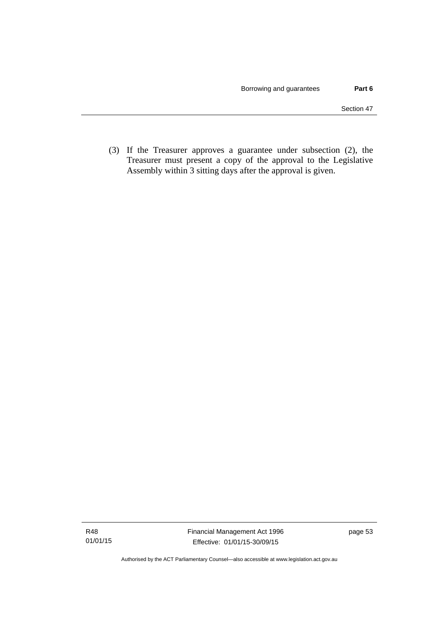(3) If the Treasurer approves a guarantee under subsection (2), the Treasurer must present a copy of the approval to the Legislative Assembly within 3 sitting days after the approval is given.

Authorised by the ACT Parliamentary Counsel—also accessible at www.legislation.act.gov.au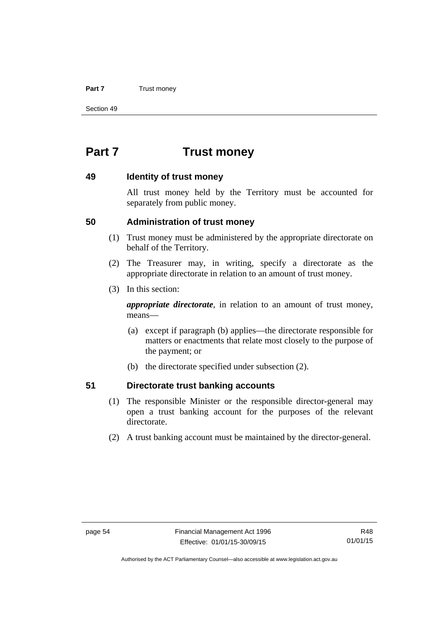#### **Part 7** Trust money

Section 49

# **Part 7 Trust money**

#### **49 Identity of trust money**

All trust money held by the Territory must be accounted for separately from public money.

#### **50 Administration of trust money**

- (1) Trust money must be administered by the appropriate directorate on behalf of the Territory.
- (2) The Treasurer may, in writing, specify a directorate as the appropriate directorate in relation to an amount of trust money.
- (3) In this section:

*appropriate directorate*, in relation to an amount of trust money, means—

- (a) except if paragraph (b) applies—the directorate responsible for matters or enactments that relate most closely to the purpose of the payment; or
- (b) the directorate specified under subsection (2).

#### **51 Directorate trust banking accounts**

- (1) The responsible Minister or the responsible director-general may open a trust banking account for the purposes of the relevant directorate.
- (2) A trust banking account must be maintained by the director-general.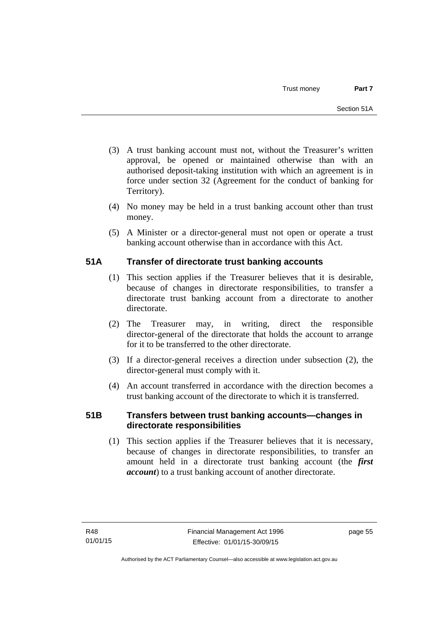- (3) A trust banking account must not, without the Treasurer's written approval, be opened or maintained otherwise than with an authorised deposit-taking institution with which an agreement is in force under section 32 (Agreement for the conduct of banking for Territory).
- (4) No money may be held in a trust banking account other than trust money.
- (5) A Minister or a director-general must not open or operate a trust banking account otherwise than in accordance with this Act.

### **51A Transfer of directorate trust banking accounts**

- (1) This section applies if the Treasurer believes that it is desirable, because of changes in directorate responsibilities, to transfer a directorate trust banking account from a directorate to another directorate.
- (2) The Treasurer may, in writing, direct the responsible director-general of the directorate that holds the account to arrange for it to be transferred to the other directorate.
- (3) If a director-general receives a direction under subsection (2), the director-general must comply with it.
- (4) An account transferred in accordance with the direction becomes a trust banking account of the directorate to which it is transferred.

### **51B Transfers between trust banking accounts—changes in directorate responsibilities**

 (1) This section applies if the Treasurer believes that it is necessary, because of changes in directorate responsibilities, to transfer an amount held in a directorate trust banking account (the *first account*) to a trust banking account of another directorate.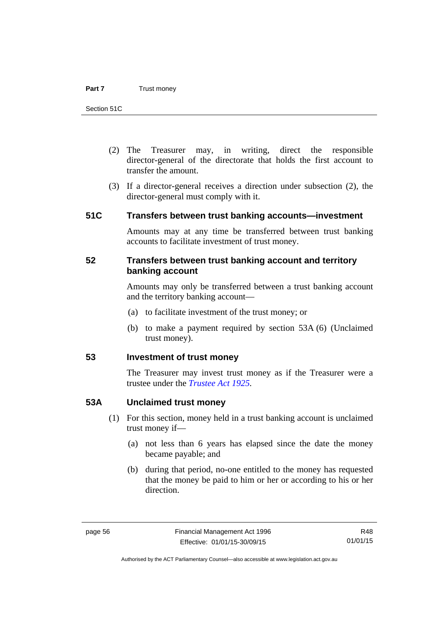- (2) The Treasurer may, in writing, direct the responsible director-general of the directorate that holds the first account to transfer the amount.
- (3) If a director-general receives a direction under subsection (2), the director-general must comply with it.

#### **51C Transfers between trust banking accounts—investment**

Amounts may at any time be transferred between trust banking accounts to facilitate investment of trust money.

#### **52 Transfers between trust banking account and territory banking account**

Amounts may only be transferred between a trust banking account and the territory banking account—

- (a) to facilitate investment of the trust money; or
- (b) to make a payment required by section 53A (6) (Unclaimed trust money).

#### **53 Investment of trust money**

The Treasurer may invest trust money as if the Treasurer were a trustee under the *[Trustee Act 1925](http://www.legislation.act.gov.au/a/1925-14).*

#### **53A Unclaimed trust money**

- (1) For this section, money held in a trust banking account is unclaimed trust money if—
	- (a) not less than 6 years has elapsed since the date the money became payable; and
	- (b) during that period, no-one entitled to the money has requested that the money be paid to him or her or according to his or her direction.

Authorised by the ACT Parliamentary Counsel—also accessible at www.legislation.act.gov.au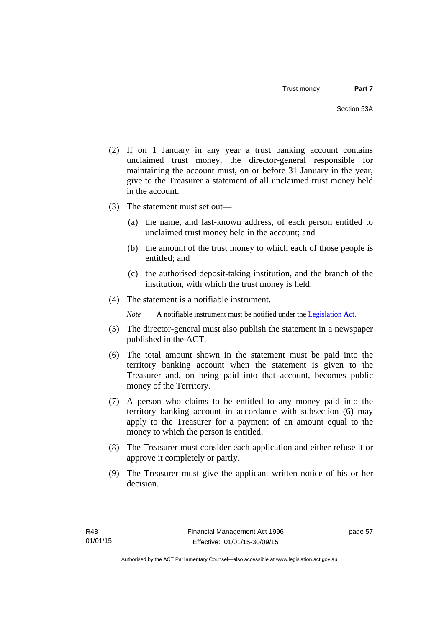- (2) If on 1 January in any year a trust banking account contains unclaimed trust money, the director-general responsible for maintaining the account must, on or before 31 January in the year, give to the Treasurer a statement of all unclaimed trust money held in the account.
- (3) The statement must set out—
	- (a) the name, and last-known address, of each person entitled to unclaimed trust money held in the account; and
	- (b) the amount of the trust money to which each of those people is entitled; and
	- (c) the authorised deposit-taking institution, and the branch of the institution, with which the trust money is held.
- (4) The statement is a notifiable instrument.

*Note* A notifiable instrument must be notified under the [Legislation Act](http://www.legislation.act.gov.au/a/2001-14).

- (5) The director-general must also publish the statement in a newspaper published in the ACT.
- (6) The total amount shown in the statement must be paid into the territory banking account when the statement is given to the Treasurer and, on being paid into that account, becomes public money of the Territory.
- (7) A person who claims to be entitled to any money paid into the territory banking account in accordance with subsection (6) may apply to the Treasurer for a payment of an amount equal to the money to which the person is entitled.
- (8) The Treasurer must consider each application and either refuse it or approve it completely or partly.
- (9) The Treasurer must give the applicant written notice of his or her decision.

page 57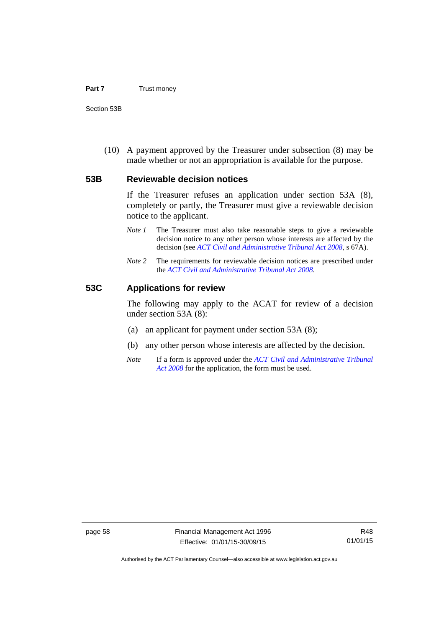#### **Part 7** Trust money

Section 53B

 (10) A payment approved by the Treasurer under subsection (8) may be made whether or not an appropriation is available for the purpose.

#### **53B Reviewable decision notices**

If the Treasurer refuses an application under section 53A (8), completely or partly, the Treasurer must give a reviewable decision notice to the applicant.

- *Note 1* The Treasurer must also take reasonable steps to give a reviewable decision notice to any other person whose interests are affected by the decision (see *[ACT Civil and Administrative Tribunal Act 2008](http://www.legislation.act.gov.au/a/2008-35)*, s 67A).
- *Note* 2 The requirements for reviewable decision notices are prescribed under the *[ACT Civil and Administrative Tribunal Act 2008](http://www.legislation.act.gov.au/a/2008-35)*.

#### **53C Applications for review**

The following may apply to the ACAT for review of a decision under section 53A (8):

- (a) an applicant for payment under section 53A (8);
- (b) any other person whose interests are affected by the decision.
- *Note* If a form is approved under the *[ACT Civil and Administrative Tribunal](http://www.legislation.act.gov.au/a/2008-35)  [Act 2008](http://www.legislation.act.gov.au/a/2008-35)* for the application, the form must be used.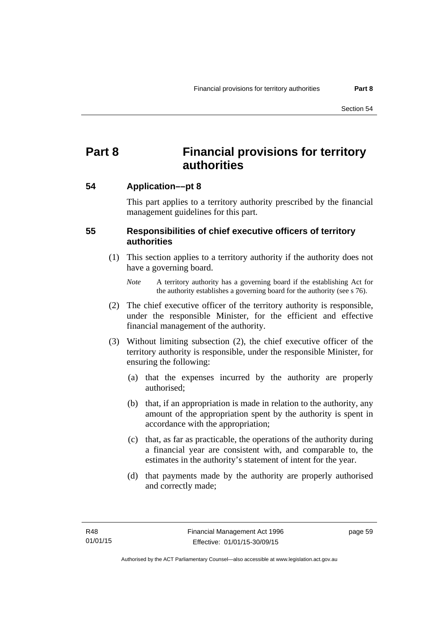# **Part 8 Financial provisions for territory authorities**

### **54 Application––pt 8**

This part applies to a territory authority prescribed by the financial management guidelines for this part.

### **55 Responsibilities of chief executive officers of territory authorities**

- (1) This section applies to a territory authority if the authority does not have a governing board.
	- *Note* A territory authority has a governing board if the establishing Act for the authority establishes a governing board for the authority (see s 76).
- (2) The chief executive officer of the territory authority is responsible, under the responsible Minister, for the efficient and effective financial management of the authority.
- (3) Without limiting subsection (2), the chief executive officer of the territory authority is responsible, under the responsible Minister, for ensuring the following:
	- (a) that the expenses incurred by the authority are properly authorised;
	- (b) that, if an appropriation is made in relation to the authority, any amount of the appropriation spent by the authority is spent in accordance with the appropriation;
	- (c) that, as far as practicable, the operations of the authority during a financial year are consistent with, and comparable to, the estimates in the authority's statement of intent for the year.
	- (d) that payments made by the authority are properly authorised and correctly made;

page 59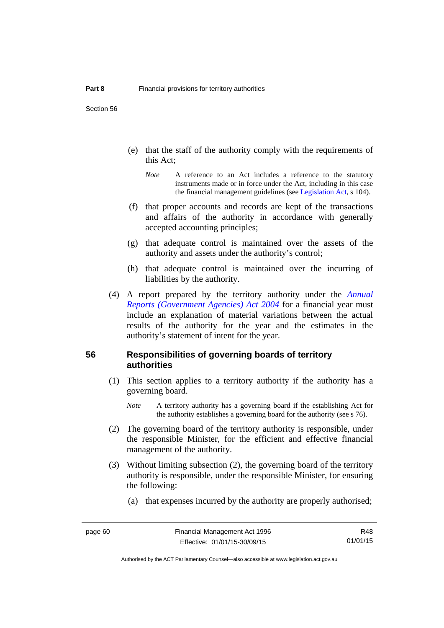Section 56

- (e) that the staff of the authority comply with the requirements of this Act;
	- *Note* A reference to an Act includes a reference to the statutory instruments made or in force under the Act, including in this case the financial management guidelines (see [Legislation Act,](http://www.legislation.act.gov.au/a/2001-14) s 104).
- (f) that proper accounts and records are kept of the transactions and affairs of the authority in accordance with generally accepted accounting principles;
- (g) that adequate control is maintained over the assets of the authority and assets under the authority's control;
- (h) that adequate control is maintained over the incurring of liabilities by the authority.
- (4) A report prepared by the territory authority under the *[Annual](http://www.legislation.act.gov.au/a/2004-8)  [Reports \(Government Agencies\) Act 2004](http://www.legislation.act.gov.au/a/2004-8)* for a financial year must include an explanation of material variations between the actual results of the authority for the year and the estimates in the authority's statement of intent for the year.

#### **56 Responsibilities of governing boards of territory authorities**

- (1) This section applies to a territory authority if the authority has a governing board.
	- *Note* A territory authority has a governing board if the establishing Act for the authority establishes a governing board for the authority (see s 76).
- (2) The governing board of the territory authority is responsible, under the responsible Minister, for the efficient and effective financial management of the authority.
- (3) Without limiting subsection (2), the governing board of the territory authority is responsible, under the responsible Minister, for ensuring the following:
	- (a) that expenses incurred by the authority are properly authorised;

R48 01/01/15

Authorised by the ACT Parliamentary Counsel—also accessible at www.legislation.act.gov.au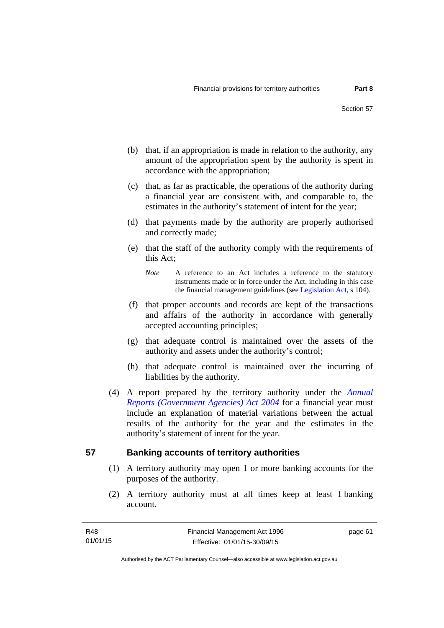- (b) that, if an appropriation is made in relation to the authority, any amount of the appropriation spent by the authority is spent in accordance with the appropriation;
- (c) that, as far as practicable, the operations of the authority during a financial year are consistent with, and comparable to, the estimates in the authority's statement of intent for the year;
- (d) that payments made by the authority are properly authorised and correctly made;
- (e) that the staff of the authority comply with the requirements of this Act;
	- *Note* A reference to an Act includes a reference to the statutory instruments made or in force under the Act, including in this case the financial management guidelines (see [Legislation Act,](http://www.legislation.act.gov.au/a/2001-14) s 104).
- (f) that proper accounts and records are kept of the transactions and affairs of the authority in accordance with generally accepted accounting principles;
- (g) that adequate control is maintained over the assets of the authority and assets under the authority's control;
- (h) that adequate control is maintained over the incurring of liabilities by the authority.
- (4) A report prepared by the territory authority under the *[Annual](http://www.legislation.act.gov.au/a/2004-8)  [Reports \(Government Agencies\) Act 2004](http://www.legislation.act.gov.au/a/2004-8)* for a financial year must include an explanation of material variations between the actual results of the authority for the year and the estimates in the authority's statement of intent for the year.

### **57 Banking accounts of territory authorities**

- (1) A territory authority may open 1 or more banking accounts for the purposes of the authority.
- (2) A territory authority must at all times keep at least 1 banking account.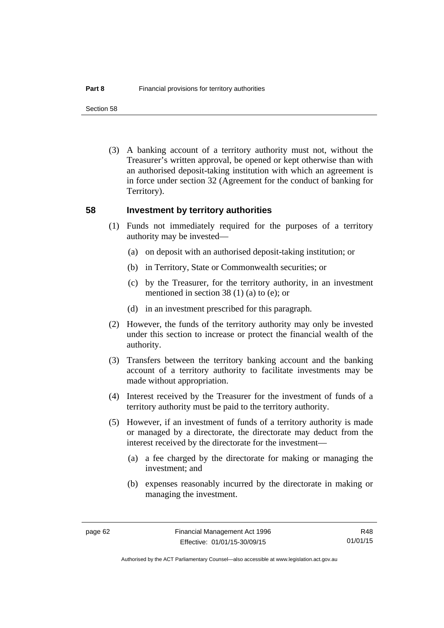Section 58

 (3) A banking account of a territory authority must not, without the Treasurer's written approval, be opened or kept otherwise than with an authorised deposit-taking institution with which an agreement is in force under section 32 (Agreement for the conduct of banking for Territory).

#### **58 Investment by territory authorities**

- (1) Funds not immediately required for the purposes of a territory authority may be invested—
	- (a) on deposit with an authorised deposit-taking institution; or
	- (b) in Territory, State or Commonwealth securities; or
	- (c) by the Treasurer, for the territory authority, in an investment mentioned in section 38 (1) (a) to (e); or
	- (d) in an investment prescribed for this paragraph.
- (2) However, the funds of the territory authority may only be invested under this section to increase or protect the financial wealth of the authority.
- (3) Transfers between the territory banking account and the banking account of a territory authority to facilitate investments may be made without appropriation.
- (4) Interest received by the Treasurer for the investment of funds of a territory authority must be paid to the territory authority.
- (5) However, if an investment of funds of a territory authority is made or managed by a directorate, the directorate may deduct from the interest received by the directorate for the investment—
	- (a) a fee charged by the directorate for making or managing the investment; and
	- (b) expenses reasonably incurred by the directorate in making or managing the investment.

R48 01/01/15

Authorised by the ACT Parliamentary Counsel—also accessible at www.legislation.act.gov.au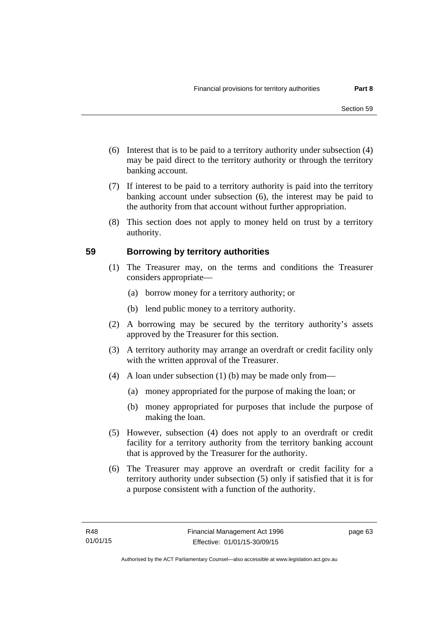- (6) Interest that is to be paid to a territory authority under subsection (4) may be paid direct to the territory authority or through the territory banking account.
- (7) If interest to be paid to a territory authority is paid into the territory banking account under subsection (6), the interest may be paid to the authority from that account without further appropriation.
- (8) This section does not apply to money held on trust by a territory authority.

## **59 Borrowing by territory authorities**

- (1) The Treasurer may, on the terms and conditions the Treasurer considers appropriate—
	- (a) borrow money for a territory authority; or
	- (b) lend public money to a territory authority.
- (2) A borrowing may be secured by the territory authority's assets approved by the Treasurer for this section.
- (3) A territory authority may arrange an overdraft or credit facility only with the written approval of the Treasurer.
- (4) A loan under subsection (1) (b) may be made only from—
	- (a) money appropriated for the purpose of making the loan; or
	- (b) money appropriated for purposes that include the purpose of making the loan.
- (5) However, subsection (4) does not apply to an overdraft or credit facility for a territory authority from the territory banking account that is approved by the Treasurer for the authority.
- (6) The Treasurer may approve an overdraft or credit facility for a territory authority under subsection (5) only if satisfied that it is for a purpose consistent with a function of the authority.

page 63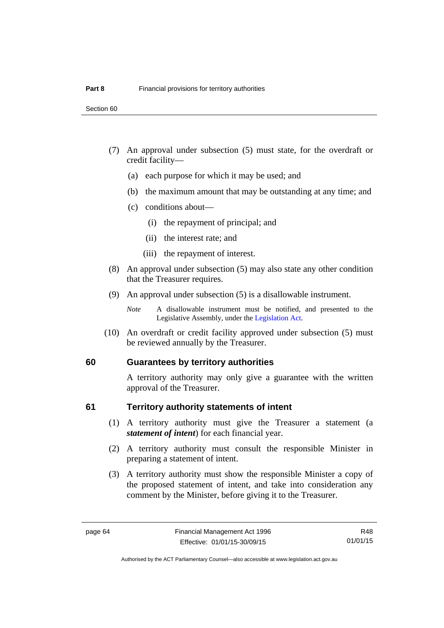- (7) An approval under subsection (5) must state, for the overdraft or credit facility—
	- (a) each purpose for which it may be used; and
	- (b) the maximum amount that may be outstanding at any time; and
	- (c) conditions about—
		- (i) the repayment of principal; and
		- (ii) the interest rate; and
		- (iii) the repayment of interest.
- (8) An approval under subsection (5) may also state any other condition that the Treasurer requires.
- (9) An approval under subsection (5) is a disallowable instrument.

 (10) An overdraft or credit facility approved under subsection (5) must be reviewed annually by the Treasurer.

#### **60 Guarantees by territory authorities**

A territory authority may only give a guarantee with the written approval of the Treasurer.

#### **61 Territory authority statements of intent**

- (1) A territory authority must give the Treasurer a statement (a *statement of intent*) for each financial year.
- (2) A territory authority must consult the responsible Minister in preparing a statement of intent.
- (3) A territory authority must show the responsible Minister a copy of the proposed statement of intent, and take into consideration any comment by the Minister, before giving it to the Treasurer.

*Note* A disallowable instrument must be notified, and presented to the Legislative Assembly, under the [Legislation Act.](http://www.legislation.act.gov.au/a/2001-14)

R48 01/01/15

Authorised by the ACT Parliamentary Counsel—also accessible at www.legislation.act.gov.au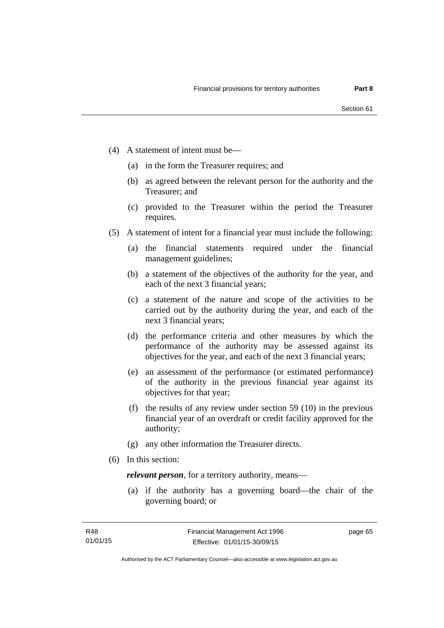- (4) A statement of intent must be—
	- (a) in the form the Treasurer requires; and
	- (b) as agreed between the relevant person for the authority and the Treasurer; and
	- (c) provided to the Treasurer within the period the Treasurer requires.
- (5) A statement of intent for a financial year must include the following:
	- (a) the financial statements required under the financial management guidelines;
	- (b) a statement of the objectives of the authority for the year, and each of the next 3 financial years;
	- (c) a statement of the nature and scope of the activities to be carried out by the authority during the year, and each of the next 3 financial years;
	- (d) the performance criteria and other measures by which the performance of the authority may be assessed against its objectives for the year, and each of the next 3 financial years;
	- (e) an assessment of the performance (or estimated performance) of the authority in the previous financial year against its objectives for that year;
	- (f) the results of any review under section 59 (10) in the previous financial year of an overdraft or credit facility approved for the authority;
	- (g) any other information the Treasurer directs.
- (6) In this section:

*relevant person*, for a territory authority, means—

 (a) if the authority has a governing board—the chair of the governing board; or

page 65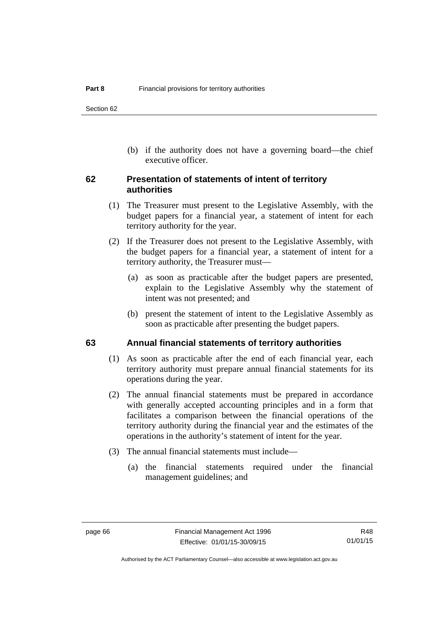(b) if the authority does not have a governing board—the chief executive officer.

### **62 Presentation of statements of intent of territory authorities**

- (1) The Treasurer must present to the Legislative Assembly, with the budget papers for a financial year, a statement of intent for each territory authority for the year.
- (2) If the Treasurer does not present to the Legislative Assembly, with the budget papers for a financial year, a statement of intent for a territory authority, the Treasurer must—
	- (a) as soon as practicable after the budget papers are presented, explain to the Legislative Assembly why the statement of intent was not presented; and
	- (b) present the statement of intent to the Legislative Assembly as soon as practicable after presenting the budget papers.

### **63 Annual financial statements of territory authorities**

- (1) As soon as practicable after the end of each financial year, each territory authority must prepare annual financial statements for its operations during the year.
- (2) The annual financial statements must be prepared in accordance with generally accepted accounting principles and in a form that facilitates a comparison between the financial operations of the territory authority during the financial year and the estimates of the operations in the authority's statement of intent for the year.
- (3) The annual financial statements must include—
	- (a) the financial statements required under the financial management guidelines; and

R48 01/01/15

Authorised by the ACT Parliamentary Counsel—also accessible at www.legislation.act.gov.au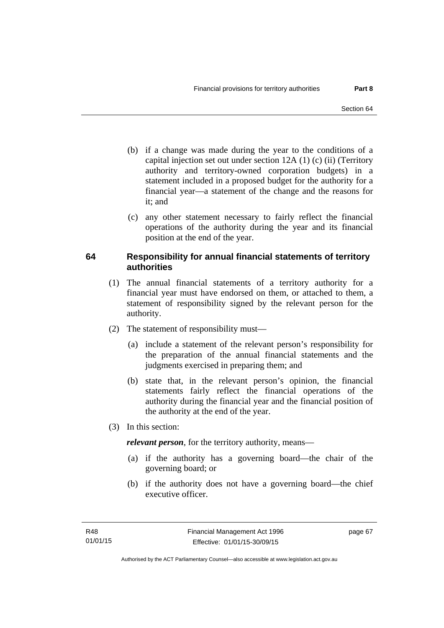- (b) if a change was made during the year to the conditions of a capital injection set out under section 12A (1) (c) (ii) (Territory authority and territory-owned corporation budgets) in a statement included in a proposed budget for the authority for a financial year—a statement of the change and the reasons for it: and
- (c) any other statement necessary to fairly reflect the financial operations of the authority during the year and its financial position at the end of the year.

## **64 Responsibility for annual financial statements of territory authorities**

- (1) The annual financial statements of a territory authority for a financial year must have endorsed on them, or attached to them, a statement of responsibility signed by the relevant person for the authority.
- (2) The statement of responsibility must—
	- (a) include a statement of the relevant person's responsibility for the preparation of the annual financial statements and the judgments exercised in preparing them; and
	- (b) state that, in the relevant person's opinion, the financial statements fairly reflect the financial operations of the authority during the financial year and the financial position of the authority at the end of the year.
- (3) In this section:

*relevant person*, for the territory authority, means—

- (a) if the authority has a governing board—the chair of the governing board; or
- (b) if the authority does not have a governing board—the chief executive officer.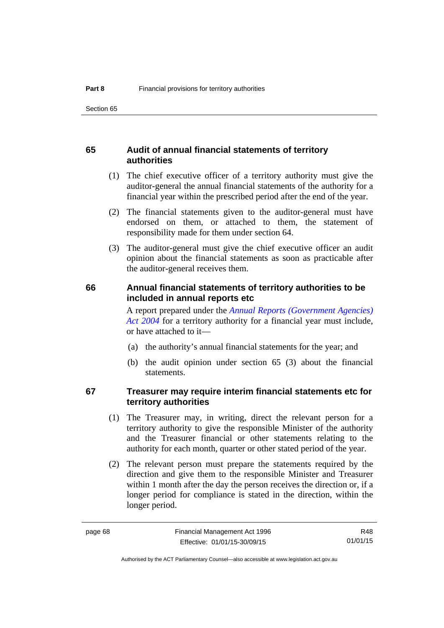## **65 Audit of annual financial statements of territory authorities**

- (1) The chief executive officer of a territory authority must give the auditor-general the annual financial statements of the authority for a financial year within the prescribed period after the end of the year.
- (2) The financial statements given to the auditor-general must have endorsed on them, or attached to them, the statement of responsibility made for them under section 64.
- (3) The auditor-general must give the chief executive officer an audit opinion about the financial statements as soon as practicable after the auditor-general receives them.

#### **66 Annual financial statements of territory authorities to be included in annual reports etc**

A report prepared under the *[Annual Reports \(Government Agencies\)](http://www.legislation.act.gov.au/a/2004-8)  [Act 2004](http://www.legislation.act.gov.au/a/2004-8)* for a territory authority for a financial year must include, or have attached to it—

- (a) the authority's annual financial statements for the year; and
- (b) the audit opinion under section 65 (3) about the financial statements.

## **67 Treasurer may require interim financial statements etc for territory authorities**

- (1) The Treasurer may, in writing, direct the relevant person for a territory authority to give the responsible Minister of the authority and the Treasurer financial or other statements relating to the authority for each month, quarter or other stated period of the year.
- (2) The relevant person must prepare the statements required by the direction and give them to the responsible Minister and Treasurer within 1 month after the day the person receives the direction or, if a longer period for compliance is stated in the direction, within the longer period.

R48 01/01/15

Authorised by the ACT Parliamentary Counsel—also accessible at www.legislation.act.gov.au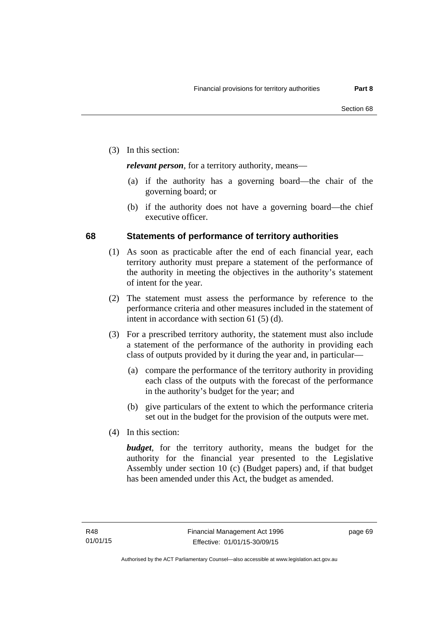(3) In this section:

*relevant person*, for a territory authority, means—

- (a) if the authority has a governing board—the chair of the governing board; or
- (b) if the authority does not have a governing board—the chief executive officer.

## **68 Statements of performance of territory authorities**

- (1) As soon as practicable after the end of each financial year, each territory authority must prepare a statement of the performance of the authority in meeting the objectives in the authority's statement of intent for the year.
- (2) The statement must assess the performance by reference to the performance criteria and other measures included in the statement of intent in accordance with section 61 (5) (d).
- (3) For a prescribed territory authority, the statement must also include a statement of the performance of the authority in providing each class of outputs provided by it during the year and, in particular—
	- (a) compare the performance of the territory authority in providing each class of the outputs with the forecast of the performance in the authority's budget for the year; and
	- (b) give particulars of the extent to which the performance criteria set out in the budget for the provision of the outputs were met.
- (4) In this section:

*budget*, for the territory authority, means the budget for the authority for the financial year presented to the Legislative Assembly under section 10 (c) (Budget papers) and, if that budget has been amended under this Act, the budget as amended.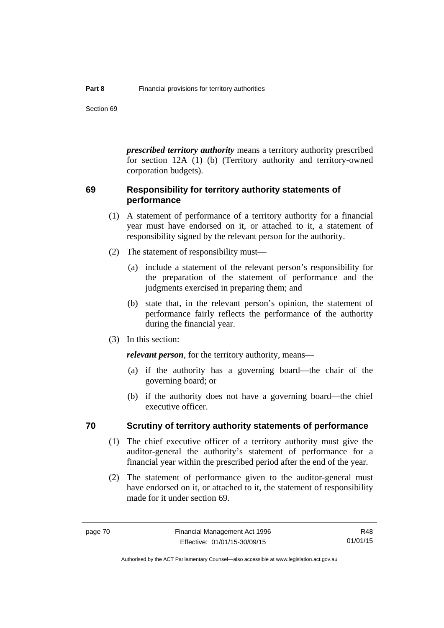Section 69

*prescribed territory authority* means a territory authority prescribed for section 12A (1) (b) (Territory authority and territory-owned corporation budgets).

## **69 Responsibility for territory authority statements of performance**

- (1) A statement of performance of a territory authority for a financial year must have endorsed on it, or attached to it, a statement of responsibility signed by the relevant person for the authority.
- (2) The statement of responsibility must—
	- (a) include a statement of the relevant person's responsibility for the preparation of the statement of performance and the judgments exercised in preparing them; and
	- (b) state that, in the relevant person's opinion, the statement of performance fairly reflects the performance of the authority during the financial year.
- (3) In this section:

*relevant person*, for the territory authority, means—

- (a) if the authority has a governing board—the chair of the governing board; or
- (b) if the authority does not have a governing board—the chief executive officer.

#### **70 Scrutiny of territory authority statements of performance**

- (1) The chief executive officer of a territory authority must give the auditor-general the authority's statement of performance for a financial year within the prescribed period after the end of the year.
- (2) The statement of performance given to the auditor-general must have endorsed on it, or attached to it, the statement of responsibility made for it under section 69.

R48 01/01/15

Authorised by the ACT Parliamentary Counsel—also accessible at www.legislation.act.gov.au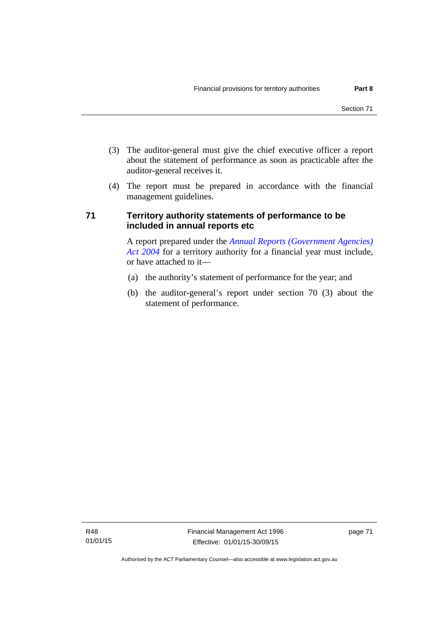- (3) The auditor-general must give the chief executive officer a report about the statement of performance as soon as practicable after the auditor-general receives it.
- (4) The report must be prepared in accordance with the financial management guidelines.

## **71 Territory authority statements of performance to be included in annual reports etc**

A report prepared under the *[Annual Reports \(Government Agencies\)](http://www.legislation.act.gov.au/a/2004-8)  [Act 2004](http://www.legislation.act.gov.au/a/2004-8)* for a territory authority for a financial year must include, or have attached to it—

- (a) the authority's statement of performance for the year; and
- (b) the auditor-general's report under section 70 (3) about the statement of performance.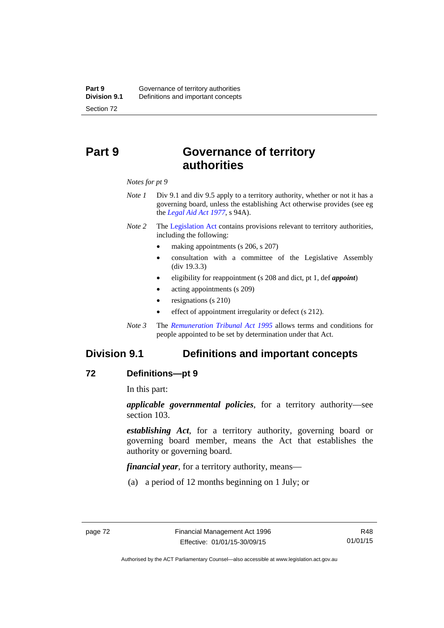# **Part 9 Governance of territory authorities**

*Notes for pt 9* 

- *Note 1* Div 9.1 and div 9.5 apply to a territory authority, whether or not it has a governing board, unless the establishing Act otherwise provides (see eg the *[Legal Aid Act 1977](http://www.legislation.act.gov.au/a/1977-31)*, s 94A).
- *Note 2* The [Legislation Act](http://www.legislation.act.gov.au/a/2001-14) contains provisions relevant to territory authorities, including the following:
	- making appointments (s 206, s 207)
	- consultation with a committee of the Legislative Assembly (div 19.3.3)
	- eligibility for reappointment (s 208 and dict, pt 1, def *appoint*)
	- acting appointments (s 209)
	- resignations (s 210)
	- effect of appointment irregularity or defect (s 212).
- *Note 3* The *[Remuneration Tribunal Act 1995](http://www.legislation.act.gov.au/a/1995-55)* allows terms and conditions for people appointed to be set by determination under that Act.

## **Division 9.1 Definitions and important concepts**

#### **72 Definitions—pt 9**

In this part:

*applicable governmental policies*, for a territory authority—see section 103.

*establishing Act*, for a territory authority, governing board or governing board member, means the Act that establishes the authority or governing board.

*financial year*, for a territory authority, means—

(a) a period of 12 months beginning on 1 July; or

Authorised by the ACT Parliamentary Counsel—also accessible at www.legislation.act.gov.au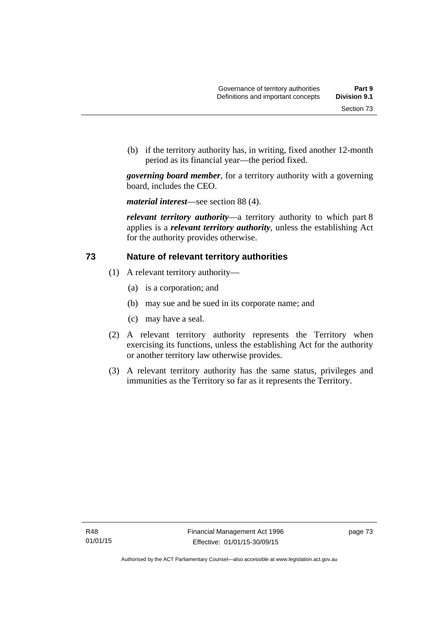(b) if the territory authority has, in writing, fixed another 12-month period as its financial year—the period fixed.

*governing board member*, for a territory authority with a governing board, includes the CEO.

*material interest*—see section 88 (4).

*relevant territory authority*—a territory authority to which part 8 applies is a *relevant territory authority*, unless the establishing Act for the authority provides otherwise.

## **73 Nature of relevant territory authorities**

- (1) A relevant territory authority—
	- (a) is a corporation; and
	- (b) may sue and be sued in its corporate name; and
	- (c) may have a seal.
- (2) A relevant territory authority represents the Territory when exercising its functions, unless the establishing Act for the authority or another territory law otherwise provides.
- (3) A relevant territory authority has the same status, privileges and immunities as the Territory so far as it represents the Territory.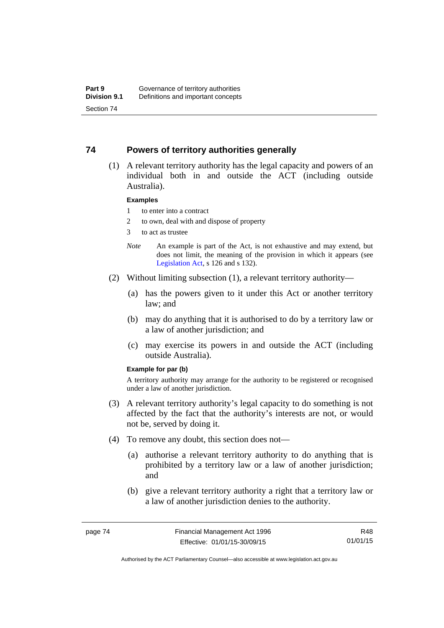### **74 Powers of territory authorities generally**

 (1) A relevant territory authority has the legal capacity and powers of an individual both in and outside the ACT (including outside Australia).

#### **Examples**

- 1 to enter into a contract
- 2 to own, deal with and dispose of property
- 3 to act as trustee
- *Note* An example is part of the Act, is not exhaustive and may extend, but does not limit, the meaning of the provision in which it appears (see [Legislation Act,](http://www.legislation.act.gov.au/a/2001-14) s 126 and s 132).
- (2) Without limiting subsection (1), a relevant territory authority—
	- (a) has the powers given to it under this Act or another territory law; and
	- (b) may do anything that it is authorised to do by a territory law or a law of another jurisdiction; and
	- (c) may exercise its powers in and outside the ACT (including outside Australia).

#### **Example for par (b)**

A territory authority may arrange for the authority to be registered or recognised under a law of another jurisdiction.

- (3) A relevant territory authority's legal capacity to do something is not affected by the fact that the authority's interests are not, or would not be, served by doing it.
- (4) To remove any doubt, this section does not—
	- (a) authorise a relevant territory authority to do anything that is prohibited by a territory law or a law of another jurisdiction; and
	- (b) give a relevant territory authority a right that a territory law or a law of another jurisdiction denies to the authority.

R48 01/01/15

Authorised by the ACT Parliamentary Counsel—also accessible at www.legislation.act.gov.au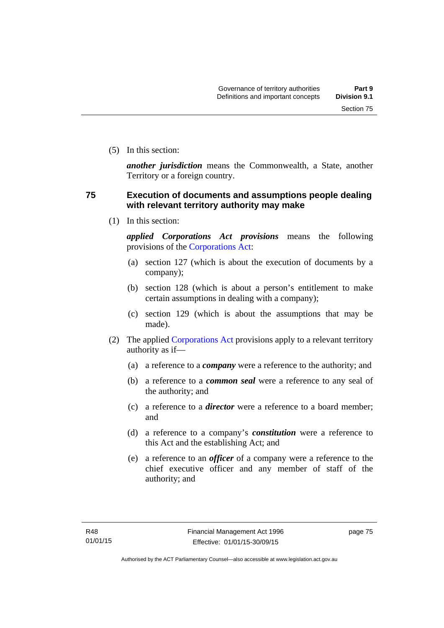(5) In this section:

*another jurisdiction* means the Commonwealth, a State, another Territory or a foreign country.

## **75 Execution of documents and assumptions people dealing with relevant territory authority may make**

(1) In this section:

*applied Corporations Act provisions* means the following provisions of the [Corporations Act:](http://www.comlaw.gov.au/Series/C2004A00818)

- (a) section 127 (which is about the execution of documents by a company);
- (b) section 128 (which is about a person's entitlement to make certain assumptions in dealing with a company);
- (c) section 129 (which is about the assumptions that may be made).
- (2) The applied [Corporations Act](http://www.comlaw.gov.au/Series/C2004A00818) provisions apply to a relevant territory authority as if—
	- (a) a reference to a *company* were a reference to the authority; and
	- (b) a reference to a *common seal* were a reference to any seal of the authority; and
	- (c) a reference to a *director* were a reference to a board member; and
	- (d) a reference to a company's *constitution* were a reference to this Act and the establishing Act; and
	- (e) a reference to an *officer* of a company were a reference to the chief executive officer and any member of staff of the authority; and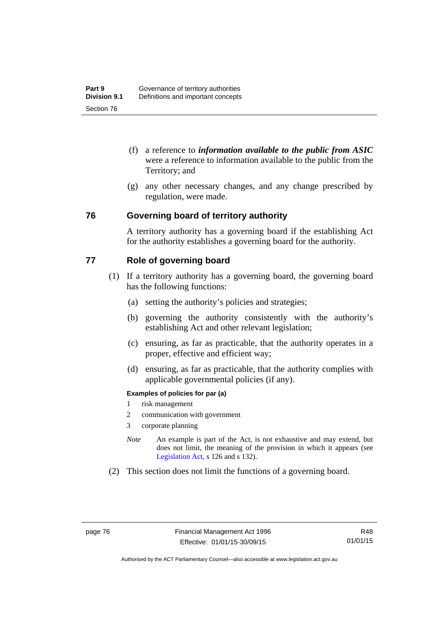- (f) a reference to *information available to the public from ASIC*  were a reference to information available to the public from the Territory; and
- (g) any other necessary changes, and any change prescribed by regulation, were made.

#### **76 Governing board of territory authority**

A territory authority has a governing board if the establishing Act for the authority establishes a governing board for the authority.

## **77 Role of governing board**

- (1) If a territory authority has a governing board, the governing board has the following functions:
	- (a) setting the authority's policies and strategies;
	- (b) governing the authority consistently with the authority's establishing Act and other relevant legislation;
	- (c) ensuring, as far as practicable, that the authority operates in a proper, effective and efficient way;
	- (d) ensuring, as far as practicable, that the authority complies with applicable governmental policies (if any).

#### **Examples of policies for par (a)**

- 1 risk management
- 2 communication with government
- 3 corporate planning
- *Note* An example is part of the Act, is not exhaustive and may extend, but does not limit, the meaning of the provision in which it appears (see [Legislation Act,](http://www.legislation.act.gov.au/a/2001-14) s 126 and s 132).
- (2) This section does not limit the functions of a governing board.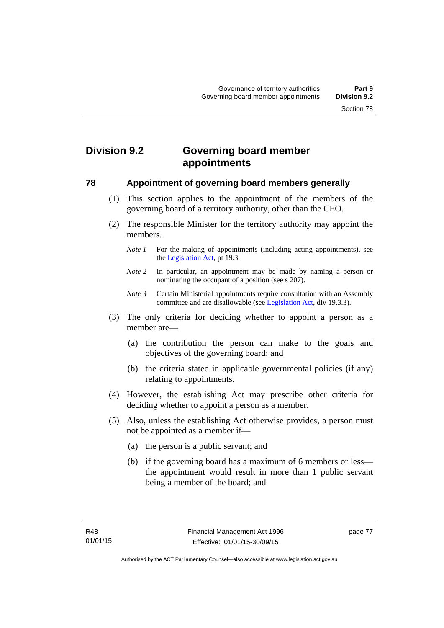# **Division 9.2 Governing board member appointments**

#### **78 Appointment of governing board members generally**

- (1) This section applies to the appointment of the members of the governing board of a territory authority, other than the CEO.
- (2) The responsible Minister for the territory authority may appoint the members.
	- *Note 1* For the making of appointments (including acting appointments), see the [Legislation Act,](http://www.legislation.act.gov.au/a/2001-14) pt 19.3.
	- *Note 2* In particular, an appointment may be made by naming a person or nominating the occupant of a position (see s 207).
	- *Note 3* Certain Ministerial appointments require consultation with an Assembly committee and are disallowable (see [Legislation Act,](http://www.legislation.act.gov.au/a/2001-14) div 19.3.3).
- (3) The only criteria for deciding whether to appoint a person as a member are—
	- (a) the contribution the person can make to the goals and objectives of the governing board; and
	- (b) the criteria stated in applicable governmental policies (if any) relating to appointments.
- (4) However, the establishing Act may prescribe other criteria for deciding whether to appoint a person as a member.
- (5) Also, unless the establishing Act otherwise provides, a person must not be appointed as a member if—
	- (a) the person is a public servant; and
	- (b) if the governing board has a maximum of 6 members or less the appointment would result in more than 1 public servant being a member of the board; and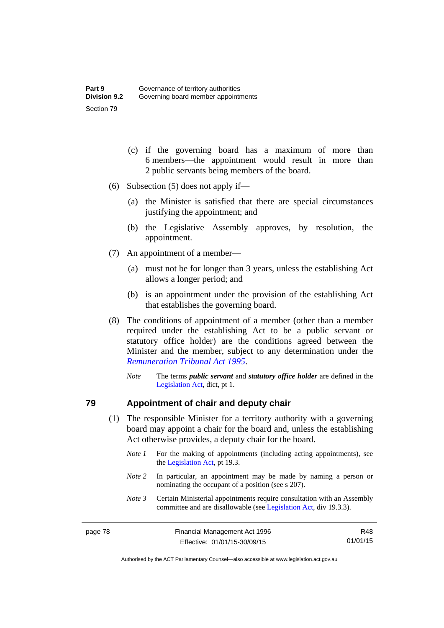- (c) if the governing board has a maximum of more than 6 members—the appointment would result in more than 2 public servants being members of the board.
- (6) Subsection (5) does not apply if—
	- (a) the Minister is satisfied that there are special circumstances justifying the appointment; and
	- (b) the Legislative Assembly approves, by resolution, the appointment.
- (7) An appointment of a member—
	- (a) must not be for longer than 3 years, unless the establishing Act allows a longer period; and
	- (b) is an appointment under the provision of the establishing Act that establishes the governing board.
- (8) The conditions of appointment of a member (other than a member required under the establishing Act to be a public servant or statutory office holder) are the conditions agreed between the Minister and the member, subject to any determination under the *[Remuneration Tribunal Act 1995](http://www.legislation.act.gov.au/a/1995-55)*.
	- *Note* The terms *public servant* and *statutory office holder* are defined in the [Legislation Act,](http://www.legislation.act.gov.au/a/2001-14) dict, pt 1.

#### **79 Appointment of chair and deputy chair**

- (1) The responsible Minister for a territory authority with a governing board may appoint a chair for the board and, unless the establishing Act otherwise provides, a deputy chair for the board.
	- *Note 1* For the making of appointments (including acting appointments), see the [Legislation Act,](http://www.legislation.act.gov.au/a/2001-14) pt 19.3.
	- *Note 2* In particular, an appointment may be made by naming a person or nominating the occupant of a position (see s 207).
	- *Note 3* Certain Ministerial appointments require consultation with an Assembly committee and are disallowable (see [Legislation Act,](http://www.legislation.act.gov.au/a/2001-14) div 19.3.3).

R48 01/01/15

Authorised by the ACT Parliamentary Counsel—also accessible at www.legislation.act.gov.au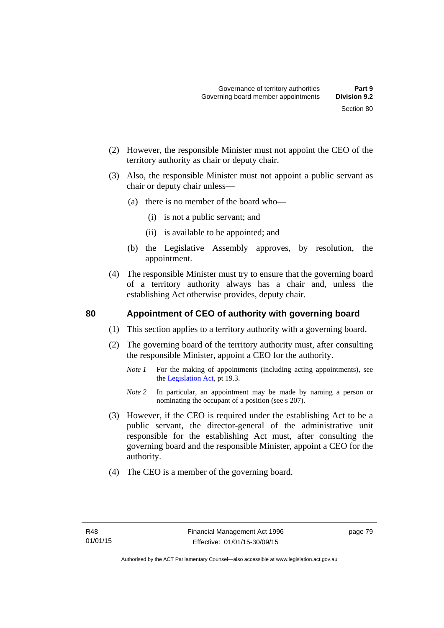- (2) However, the responsible Minister must not appoint the CEO of the territory authority as chair or deputy chair.
- (3) Also, the responsible Minister must not appoint a public servant as chair or deputy chair unless—
	- (a) there is no member of the board who—
		- (i) is not a public servant; and
		- (ii) is available to be appointed; and
	- (b) the Legislative Assembly approves, by resolution, the appointment.
- (4) The responsible Minister must try to ensure that the governing board of a territory authority always has a chair and, unless the establishing Act otherwise provides, deputy chair.

## **80 Appointment of CEO of authority with governing board**

- (1) This section applies to a territory authority with a governing board.
- (2) The governing board of the territory authority must, after consulting the responsible Minister, appoint a CEO for the authority.
	- *Note 1* For the making of appointments (including acting appointments), see the [Legislation Act,](http://www.legislation.act.gov.au/a/2001-14) pt 19.3.
	- *Note* 2 In particular, an appointment may be made by naming a person or nominating the occupant of a position (see s 207).
- (3) However, if the CEO is required under the establishing Act to be a public servant, the director-general of the administrative unit responsible for the establishing Act must, after consulting the governing board and the responsible Minister, appoint a CEO for the authority.
- (4) The CEO is a member of the governing board.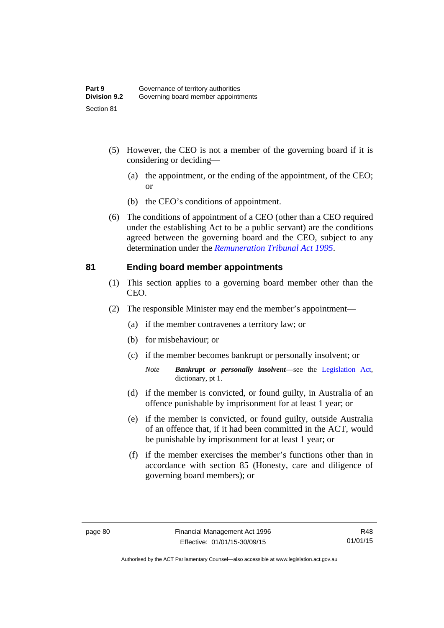- (5) However, the CEO is not a member of the governing board if it is considering or deciding—
	- (a) the appointment, or the ending of the appointment, of the CEO; or
	- (b) the CEO's conditions of appointment.
- (6) The conditions of appointment of a CEO (other than a CEO required under the establishing Act to be a public servant) are the conditions agreed between the governing board and the CEO, subject to any determination under the *[Remuneration Tribunal Act 1995](http://www.legislation.act.gov.au/a/1995-55)*.

#### **81 Ending board member appointments**

- (1) This section applies to a governing board member other than the CEO.
- (2) The responsible Minister may end the member's appointment—
	- (a) if the member contravenes a territory law; or
	- (b) for misbehaviour; or
	- (c) if the member becomes bankrupt or personally insolvent; or
		- *Note Bankrupt or personally insolvent*—see the [Legislation Act,](http://www.legislation.act.gov.au/a/2001-14) dictionary, pt 1.
	- (d) if the member is convicted, or found guilty, in Australia of an offence punishable by imprisonment for at least 1 year; or
	- (e) if the member is convicted, or found guilty, outside Australia of an offence that, if it had been committed in the ACT, would be punishable by imprisonment for at least 1 year; or
	- (f) if the member exercises the member's functions other than in accordance with section 85 (Honesty, care and diligence of governing board members); or

R48 01/01/15

Authorised by the ACT Parliamentary Counsel—also accessible at www.legislation.act.gov.au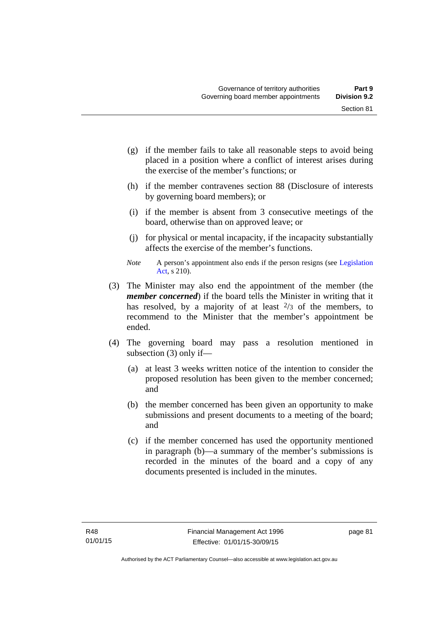- (g) if the member fails to take all reasonable steps to avoid being placed in a position where a conflict of interest arises during the exercise of the member's functions; or
- (h) if the member contravenes section 88 (Disclosure of interests by governing board members); or
- (i) if the member is absent from 3 consecutive meetings of the board, otherwise than on approved leave; or
- (j) for physical or mental incapacity, if the incapacity substantially affects the exercise of the member's functions.
- *Note* A person's appointment also ends if the person resigns (see Legislation [Act](http://www.legislation.act.gov.au/a/2001-14), s 210).
- (3) The Minister may also end the appointment of the member (the *member concerned*) if the board tells the Minister in writing that it has resolved, by a majority of at least  $\frac{2}{3}$  of the members, to recommend to the Minister that the member's appointment be ended.
- (4) The governing board may pass a resolution mentioned in subsection (3) only if—
	- (a) at least 3 weeks written notice of the intention to consider the proposed resolution has been given to the member concerned; and
	- (b) the member concerned has been given an opportunity to make submissions and present documents to a meeting of the board; and
	- (c) if the member concerned has used the opportunity mentioned in paragraph (b)—a summary of the member's submissions is recorded in the minutes of the board and a copy of any documents presented is included in the minutes.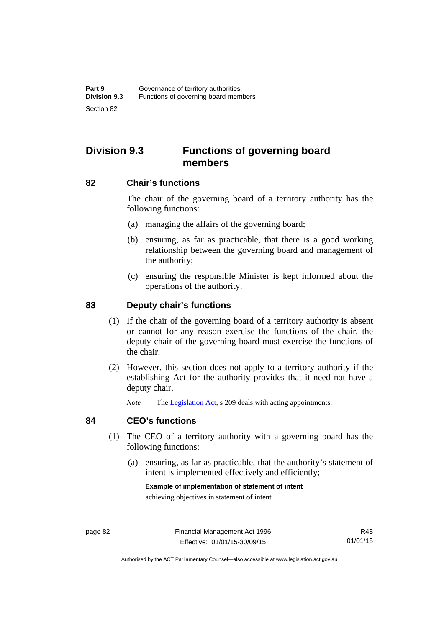# **Division 9.3 Functions of governing board members**

#### **82 Chair's functions**

The chair of the governing board of a territory authority has the following functions:

- (a) managing the affairs of the governing board;
- (b) ensuring, as far as practicable, that there is a good working relationship between the governing board and management of the authority;
- (c) ensuring the responsible Minister is kept informed about the operations of the authority.

### **83 Deputy chair's functions**

- (1) If the chair of the governing board of a territory authority is absent or cannot for any reason exercise the functions of the chair, the deputy chair of the governing board must exercise the functions of the chair.
- (2) However, this section does not apply to a territory authority if the establishing Act for the authority provides that it need not have a deputy chair.

*Note* The [Legislation Act,](http://www.legislation.act.gov.au/a/2001-14) s 209 deals with acting appointments.

#### **84 CEO's functions**

- (1) The CEO of a territory authority with a governing board has the following functions:
	- (a) ensuring, as far as practicable, that the authority's statement of intent is implemented effectively and efficiently;

#### **Example of implementation of statement of intent**

achieving objectives in statement of intent

R48 01/01/15

Authorised by the ACT Parliamentary Counsel—also accessible at www.legislation.act.gov.au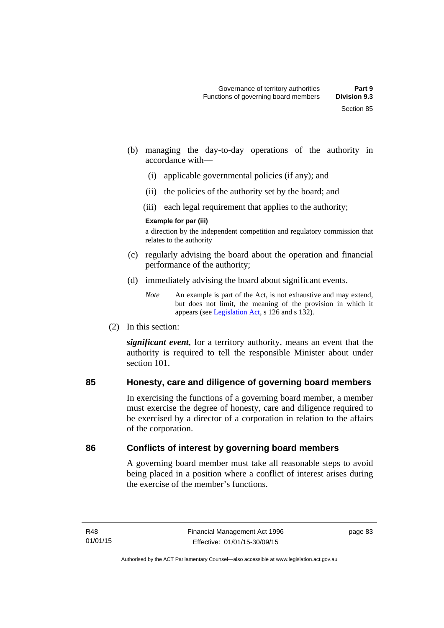- (b) managing the day-to-day operations of the authority in accordance with—
	- (i) applicable governmental policies (if any); and
	- (ii) the policies of the authority set by the board; and
	- (iii) each legal requirement that applies to the authority;

#### **Example for par (iii)**

a direction by the independent competition and regulatory commission that relates to the authority

- (c) regularly advising the board about the operation and financial performance of the authority;
- (d) immediately advising the board about significant events.

(2) In this section:

*significant event*, for a territory authority, means an event that the authority is required to tell the responsible Minister about under section 101

## **85 Honesty, care and diligence of governing board members**

In exercising the functions of a governing board member, a member must exercise the degree of honesty, care and diligence required to be exercised by a director of a corporation in relation to the affairs of the corporation.

## **86 Conflicts of interest by governing board members**

A governing board member must take all reasonable steps to avoid being placed in a position where a conflict of interest arises during the exercise of the member's functions.

*Note* An example is part of the Act, is not exhaustive and may extend, but does not limit, the meaning of the provision in which it appears (see [Legislation Act,](http://www.legislation.act.gov.au/a/2001-14) s 126 and s 132).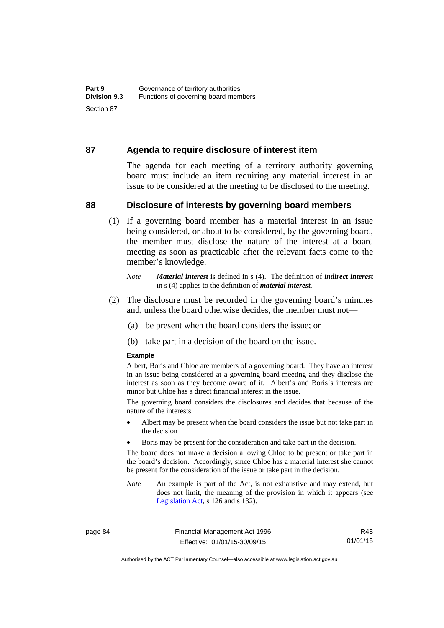#### **87 Agenda to require disclosure of interest item**

The agenda for each meeting of a territory authority governing board must include an item requiring any material interest in an issue to be considered at the meeting to be disclosed to the meeting.

#### **88 Disclosure of interests by governing board members**

(1) If a governing board member has a material interest in an issue being considered, or about to be considered, by the governing board, the member must disclose the nature of the interest at a board meeting as soon as practicable after the relevant facts come to the member's knowledge.

- (2) The disclosure must be recorded in the governing board's minutes and, unless the board otherwise decides, the member must not—
	- (a) be present when the board considers the issue; or
	- (b) take part in a decision of the board on the issue.

#### **Example**

Albert, Boris and Chloe are members of a governing board. They have an interest in an issue being considered at a governing board meeting and they disclose the interest as soon as they become aware of it. Albert's and Boris's interests are minor but Chloe has a direct financial interest in the issue.

The governing board considers the disclosures and decides that because of the nature of the interests:

- Albert may be present when the board considers the issue but not take part in the decision
- Boris may be present for the consideration and take part in the decision.

The board does not make a decision allowing Chloe to be present or take part in the board's decision. Accordingly, since Chloe has a material interest she cannot be present for the consideration of the issue or take part in the decision.

*Note* An example is part of the Act, is not exhaustive and may extend, but does not limit, the meaning of the provision in which it appears (see [Legislation Act,](http://www.legislation.act.gov.au/a/2001-14) s 126 and s 132).

page 84 Financial Management Act 1996 Effective: 01/01/15-30/09/15

R48 01/01/15

Authorised by the ACT Parliamentary Counsel—also accessible at www.legislation.act.gov.au

*Note Material interest* is defined in s (4). The definition of *indirect interest* in s (4) applies to the definition of *material interest*.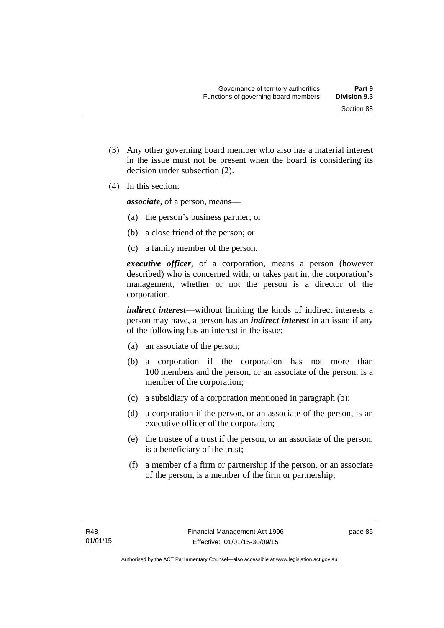(3) Any other governing board member who also has a material interest in the issue must not be present when the board is considering its

(4) In this section:

*associate*, of a person, means—

decision under subsection (2).

- (a) the person's business partner; or
- (b) a close friend of the person; or
- (c) a family member of the person.

*executive officer*, of a corporation, means a person (however described) who is concerned with, or takes part in, the corporation's management, whether or not the person is a director of the corporation.

*indirect interest*—without limiting the kinds of indirect interests a person may have, a person has an *indirect interest* in an issue if any of the following has an interest in the issue:

- (a) an associate of the person;
- (b) a corporation if the corporation has not more than 100 members and the person, or an associate of the person, is a member of the corporation;
- (c) a subsidiary of a corporation mentioned in paragraph (b);
- (d) a corporation if the person, or an associate of the person, is an executive officer of the corporation;
- (e) the trustee of a trust if the person, or an associate of the person, is a beneficiary of the trust;
- (f) a member of a firm or partnership if the person, or an associate of the person, is a member of the firm or partnership;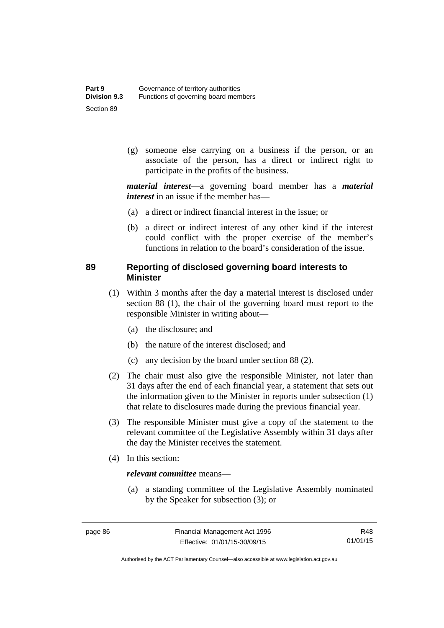(g) someone else carrying on a business if the person, or an associate of the person, has a direct or indirect right to participate in the profits of the business.

*material interest*—a governing board member has a *material interest* in an issue if the member has—

- (a) a direct or indirect financial interest in the issue; or
- (b) a direct or indirect interest of any other kind if the interest could conflict with the proper exercise of the member's functions in relation to the board's consideration of the issue.

## **89 Reporting of disclosed governing board interests to Minister**

- (1) Within 3 months after the day a material interest is disclosed under section 88 (1), the chair of the governing board must report to the responsible Minister in writing about—
	- (a) the disclosure; and
	- (b) the nature of the interest disclosed; and
	- (c) any decision by the board under section 88 (2).
- (2) The chair must also give the responsible Minister, not later than 31 days after the end of each financial year, a statement that sets out the information given to the Minister in reports under subsection (1) that relate to disclosures made during the previous financial year.
- (3) The responsible Minister must give a copy of the statement to the relevant committee of the Legislative Assembly within 31 days after the day the Minister receives the statement.
- (4) In this section:

#### *relevant committee* means—

 (a) a standing committee of the Legislative Assembly nominated by the Speaker for subsection (3); or

R48 01/01/15

Authorised by the ACT Parliamentary Counsel—also accessible at www.legislation.act.gov.au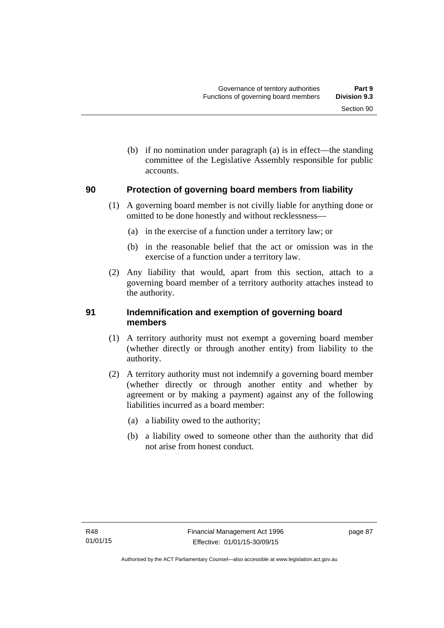(b) if no nomination under paragraph (a) is in effect—the standing committee of the Legislative Assembly responsible for public accounts.

## **90 Protection of governing board members from liability**

- (1) A governing board member is not civilly liable for anything done or omitted to be done honestly and without recklessness—
	- (a) in the exercise of a function under a territory law; or
	- (b) in the reasonable belief that the act or omission was in the exercise of a function under a territory law.
- (2) Any liability that would, apart from this section, attach to a governing board member of a territory authority attaches instead to the authority.

## **91 Indemnification and exemption of governing board members**

- (1) A territory authority must not exempt a governing board member (whether directly or through another entity) from liability to the authority.
- (2) A territory authority must not indemnify a governing board member (whether directly or through another entity and whether by agreement or by making a payment) against any of the following liabilities incurred as a board member:
	- (a) a liability owed to the authority;
	- (b) a liability owed to someone other than the authority that did not arise from honest conduct.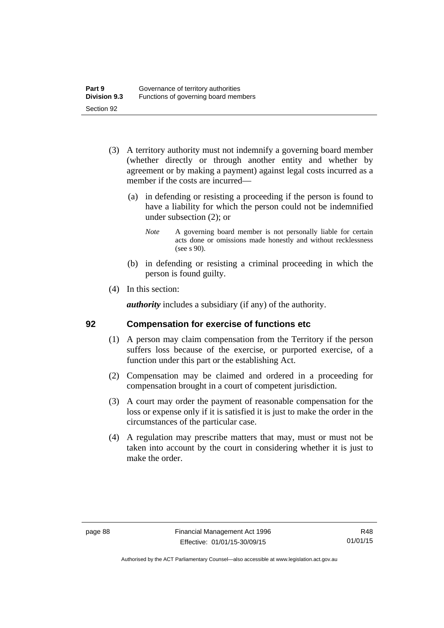- (3) A territory authority must not indemnify a governing board member (whether directly or through another entity and whether by agreement or by making a payment) against legal costs incurred as a member if the costs are incurred—
	- (a) in defending or resisting a proceeding if the person is found to have a liability for which the person could not be indemnified under subsection (2); or
		- *Note* A governing board member is not personally liable for certain acts done or omissions made honestly and without recklessness (see s 90).
	- (b) in defending or resisting a criminal proceeding in which the person is found guilty.
- (4) In this section:

*authority* includes a subsidiary (if any) of the authority.

#### **92 Compensation for exercise of functions etc**

- (1) A person may claim compensation from the Territory if the person suffers loss because of the exercise, or purported exercise, of a function under this part or the establishing Act.
- (2) Compensation may be claimed and ordered in a proceeding for compensation brought in a court of competent jurisdiction.
- (3) A court may order the payment of reasonable compensation for the loss or expense only if it is satisfied it is just to make the order in the circumstances of the particular case.
- (4) A regulation may prescribe matters that may, must or must not be taken into account by the court in considering whether it is just to make the order.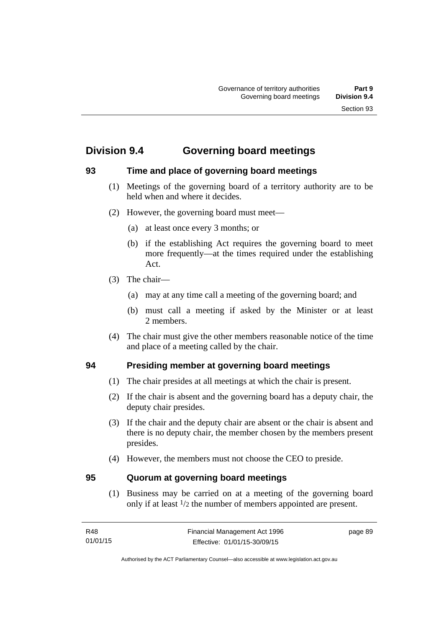# **Division 9.4 Governing board meetings**

## **93 Time and place of governing board meetings**

- (1) Meetings of the governing board of a territory authority are to be held when and where it decides.
- (2) However, the governing board must meet—
	- (a) at least once every 3 months; or
	- (b) if the establishing Act requires the governing board to meet more frequently—at the times required under the establishing Act.
- (3) The chair—
	- (a) may at any time call a meeting of the governing board; and
	- (b) must call a meeting if asked by the Minister or at least 2 members.
- (4) The chair must give the other members reasonable notice of the time and place of a meeting called by the chair.

## **94 Presiding member at governing board meetings**

- (1) The chair presides at all meetings at which the chair is present.
- (2) If the chair is absent and the governing board has a deputy chair, the deputy chair presides.
- (3) If the chair and the deputy chair are absent or the chair is absent and there is no deputy chair, the member chosen by the members present presides.
- (4) However, the members must not choose the CEO to preside.

#### **95 Quorum at governing board meetings**

(1) Business may be carried on at a meeting of the governing board only if at least 1/2 the number of members appointed are present.

page 89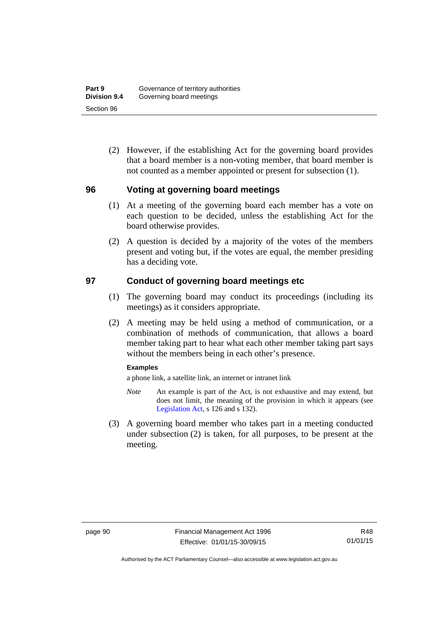(2) However, if the establishing Act for the governing board provides that a board member is a non-voting member, that board member is not counted as a member appointed or present for subsection (1).

#### **96 Voting at governing board meetings**

- (1) At a meeting of the governing board each member has a vote on each question to be decided, unless the establishing Act for the board otherwise provides.
- (2) A question is decided by a majority of the votes of the members present and voting but, if the votes are equal, the member presiding has a deciding vote.

#### **97 Conduct of governing board meetings etc**

- (1) The governing board may conduct its proceedings (including its meetings) as it considers appropriate.
- (2) A meeting may be held using a method of communication, or a combination of methods of communication, that allows a board member taking part to hear what each other member taking part says without the members being in each other's presence.

#### **Examples**

a phone link, a satellite link, an internet or intranet link

- *Note* An example is part of the Act, is not exhaustive and may extend, but does not limit, the meaning of the provision in which it appears (see [Legislation Act,](http://www.legislation.act.gov.au/a/2001-14) s 126 and s 132).
- (3) A governing board member who takes part in a meeting conducted under subsection (2) is taken, for all purposes, to be present at the meeting.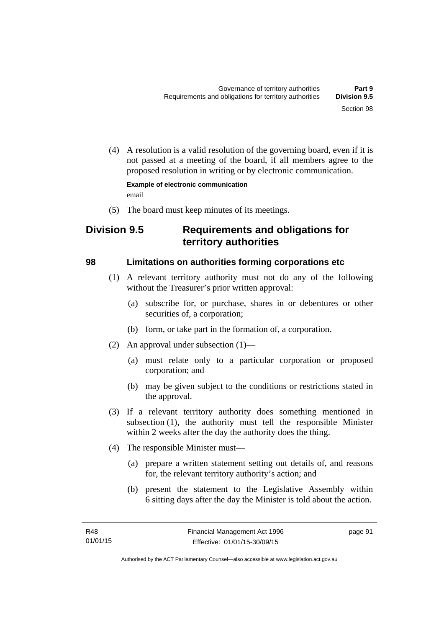(4) A resolution is a valid resolution of the governing board, even if it is not passed at a meeting of the board, if all members agree to the proposed resolution in writing or by electronic communication.

**Example of electronic communication**  email

(5) The board must keep minutes of its meetings.

# **Division 9.5 Requirements and obligations for territory authorities**

## **98 Limitations on authorities forming corporations etc**

- (1) A relevant territory authority must not do any of the following without the Treasurer's prior written approval:
	- (a) subscribe for, or purchase, shares in or debentures or other securities of, a corporation;
	- (b) form, or take part in the formation of, a corporation.
- (2) An approval under subsection (1)—
	- (a) must relate only to a particular corporation or proposed corporation; and
	- (b) may be given subject to the conditions or restrictions stated in the approval.
- (3) If a relevant territory authority does something mentioned in subsection (1), the authority must tell the responsible Minister within 2 weeks after the day the authority does the thing.
- (4) The responsible Minister must—
	- (a) prepare a written statement setting out details of, and reasons for, the relevant territory authority's action; and
	- (b) present the statement to the Legislative Assembly within 6 sitting days after the day the Minister is told about the action.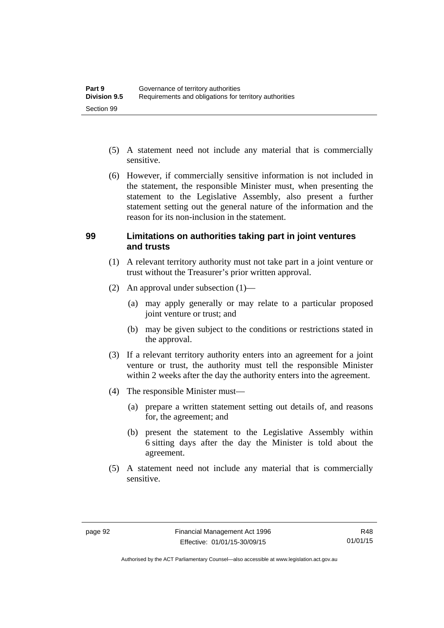- (5) A statement need not include any material that is commercially sensitive.
- (6) However, if commercially sensitive information is not included in the statement, the responsible Minister must, when presenting the statement to the Legislative Assembly, also present a further statement setting out the general nature of the information and the reason for its non-inclusion in the statement.

#### **99 Limitations on authorities taking part in joint ventures and trusts**

- (1) A relevant territory authority must not take part in a joint venture or trust without the Treasurer's prior written approval.
- (2) An approval under subsection (1)—
	- (a) may apply generally or may relate to a particular proposed joint venture or trust; and
	- (b) may be given subject to the conditions or restrictions stated in the approval.
- (3) If a relevant territory authority enters into an agreement for a joint venture or trust, the authority must tell the responsible Minister within 2 weeks after the day the authority enters into the agreement.
- (4) The responsible Minister must—
	- (a) prepare a written statement setting out details of, and reasons for, the agreement; and
	- (b) present the statement to the Legislative Assembly within 6 sitting days after the day the Minister is told about the agreement.
- (5) A statement need not include any material that is commercially sensitive.

Authorised by the ACT Parliamentary Counsel—also accessible at www.legislation.act.gov.au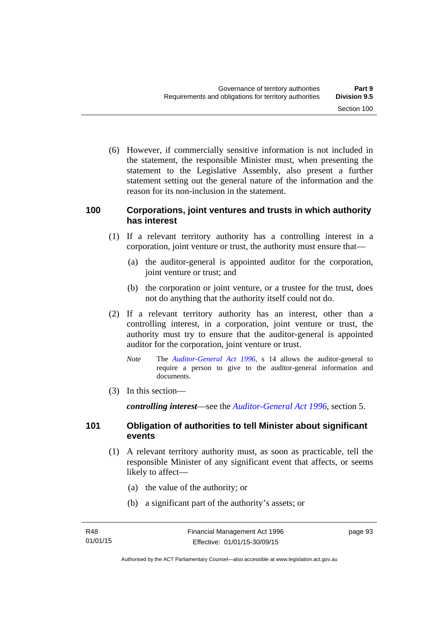(6) However, if commercially sensitive information is not included in the statement, the responsible Minister must, when presenting the statement to the Legislative Assembly, also present a further statement setting out the general nature of the information and the reason for its non-inclusion in the statement.

#### **100 Corporations, joint ventures and trusts in which authority has interest**

- (1) If a relevant territory authority has a controlling interest in a corporation, joint venture or trust, the authority must ensure that—
	- (a) the auditor-general is appointed auditor for the corporation, joint venture or trust; and
	- (b) the corporation or joint venture, or a trustee for the trust, does not do anything that the authority itself could not do.
- (2) If a relevant territory authority has an interest, other than a controlling interest, in a corporation, joint venture or trust, the authority must try to ensure that the auditor-general is appointed auditor for the corporation, joint venture or trust.
	- *Note* The *[Auditor-General Act 1996](http://www.legislation.act.gov.au/a/1996-23)*, s 14 allows the auditor-general to require a person to give to the auditor-general information and documents.
- (3) In this section—

*controlling interest*—see the *[Auditor-General Act 1996](http://www.legislation.act.gov.au/a/1996-23)*, section 5.

## **101 Obligation of authorities to tell Minister about significant events**

- (1) A relevant territory authority must, as soon as practicable, tell the responsible Minister of any significant event that affects, or seems likely to affect—
	- (a) the value of the authority; or
	- (b) a significant part of the authority's assets; or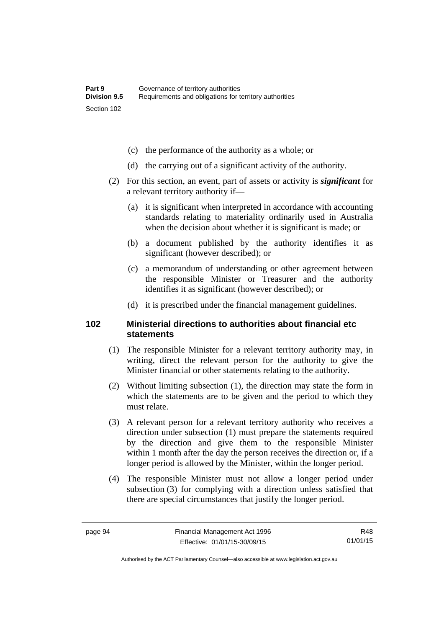- (c) the performance of the authority as a whole; or
- (d) the carrying out of a significant activity of the authority.
- (2) For this section, an event, part of assets or activity is *significant* for a relevant territory authority if—
	- (a) it is significant when interpreted in accordance with accounting standards relating to materiality ordinarily used in Australia when the decision about whether it is significant is made; or
	- (b) a document published by the authority identifies it as significant (however described); or
	- (c) a memorandum of understanding or other agreement between the responsible Minister or Treasurer and the authority identifies it as significant (however described); or
	- (d) it is prescribed under the financial management guidelines.

#### **102 Ministerial directions to authorities about financial etc statements**

- (1) The responsible Minister for a relevant territory authority may, in writing, direct the relevant person for the authority to give the Minister financial or other statements relating to the authority.
- (2) Without limiting subsection (1), the direction may state the form in which the statements are to be given and the period to which they must relate.
- (3) A relevant person for a relevant territory authority who receives a direction under subsection (1) must prepare the statements required by the direction and give them to the responsible Minister within 1 month after the day the person receives the direction or, if a longer period is allowed by the Minister, within the longer period.
- (4) The responsible Minister must not allow a longer period under subsection (3) for complying with a direction unless satisfied that there are special circumstances that justify the longer period.

R48 01/01/15

Authorised by the ACT Parliamentary Counsel—also accessible at www.legislation.act.gov.au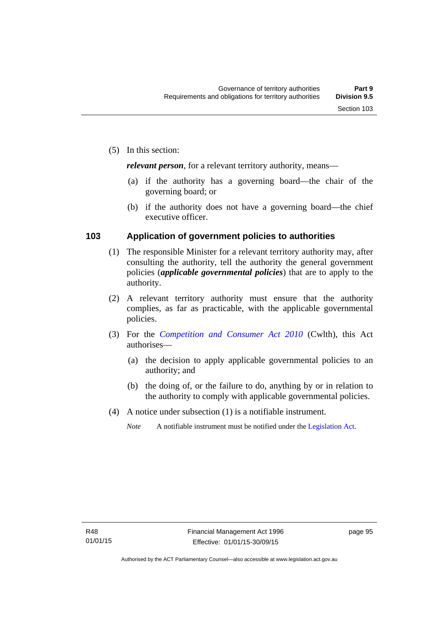*relevant person*, for a relevant territory authority, means—

- (a) if the authority has a governing board—the chair of the governing board; or
- (b) if the authority does not have a governing board—the chief executive officer.

#### **103 Application of government policies to authorities**

- (1) The responsible Minister for a relevant territory authority may, after consulting the authority, tell the authority the general government policies (*applicable governmental policies*) that are to apply to the authority.
- (2) A relevant territory authority must ensure that the authority complies, as far as practicable, with the applicable governmental policies.
- (3) For the *[Competition and Consumer Act 2010](http://www.comlaw.gov.au/Series/C2004A00109)* (Cwlth), this Act authorises—
	- (a) the decision to apply applicable governmental policies to an authority; and
	- (b) the doing of, or the failure to do, anything by or in relation to the authority to comply with applicable governmental policies.
- (4) A notice under subsection (1) is a notifiable instrument.
	- *Note* A notifiable instrument must be notified under the [Legislation Act](http://www.legislation.act.gov.au/a/2001-14).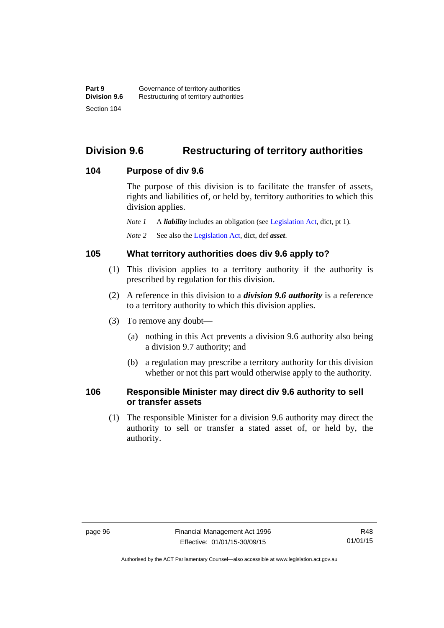# **Division 9.6 Restructuring of territory authorities**

#### **104 Purpose of div 9.6**

The purpose of this division is to facilitate the transfer of assets, rights and liabilities of, or held by, territory authorities to which this division applies.

*Note 1* A *liability* includes an obligation (see [Legislation Act,](http://www.legislation.act.gov.au/a/2001-14) dict, pt 1).

*Note 2* See also the [Legislation Act](http://www.legislation.act.gov.au/a/2001-14), dict, def *asset*.

#### **105 What territory authorities does div 9.6 apply to?**

- (1) This division applies to a territory authority if the authority is prescribed by regulation for this division.
- (2) A reference in this division to a *division 9.6 authority* is a reference to a territory authority to which this division applies.
- (3) To remove any doubt—
	- (a) nothing in this Act prevents a division 9.6 authority also being a division 9.7 authority; and
	- (b) a regulation may prescribe a territory authority for this division whether or not this part would otherwise apply to the authority.

### **106 Responsible Minister may direct div 9.6 authority to sell or transfer assets**

 (1) The responsible Minister for a division 9.6 authority may direct the authority to sell or transfer a stated asset of, or held by, the authority.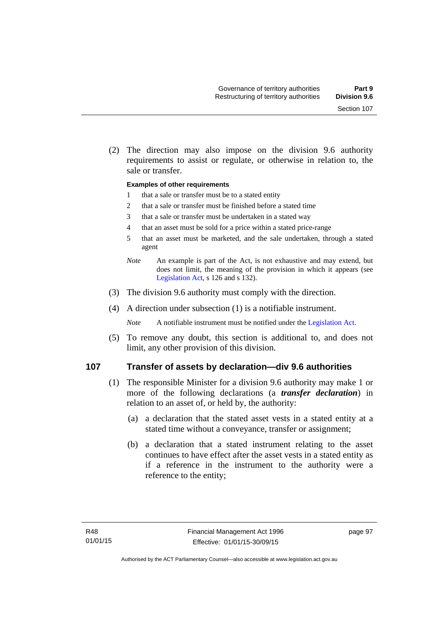(2) The direction may also impose on the division 9.6 authority requirements to assist or regulate, or otherwise in relation to, the sale or transfer.

#### **Examples of other requirements**

- 1 that a sale or transfer must be to a stated entity
- 2 that a sale or transfer must be finished before a stated time
- 3 that a sale or transfer must be undertaken in a stated way
- 4 that an asset must be sold for a price within a stated price-range
- 5 that an asset must be marketed, and the sale undertaken, through a stated agent
- *Note* An example is part of the Act, is not exhaustive and may extend, but does not limit, the meaning of the provision in which it appears (see [Legislation Act,](http://www.legislation.act.gov.au/a/2001-14) s 126 and s 132).
- (3) The division 9.6 authority must comply with the direction.
- (4) A direction under subsection (1) is a notifiable instrument.

*Note* A notifiable instrument must be notified under the [Legislation Act](http://www.legislation.act.gov.au/a/2001-14).

 (5) To remove any doubt, this section is additional to, and does not limit, any other provision of this division.

#### **107 Transfer of assets by declaration—div 9.6 authorities**

- (1) The responsible Minister for a division 9.6 authority may make 1 or more of the following declarations (a *transfer declaration*) in relation to an asset of, or held by, the authority:
	- (a) a declaration that the stated asset vests in a stated entity at a stated time without a conveyance, transfer or assignment;
	- (b) a declaration that a stated instrument relating to the asset continues to have effect after the asset vests in a stated entity as if a reference in the instrument to the authority were a reference to the entity;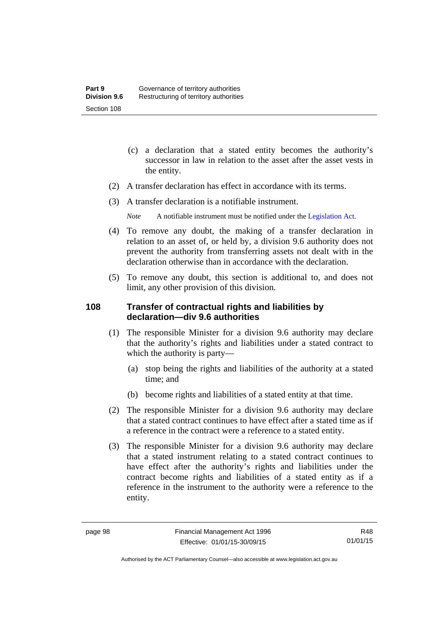- (c) a declaration that a stated entity becomes the authority's successor in law in relation to the asset after the asset vests in the entity.
- (2) A transfer declaration has effect in accordance with its terms.
- (3) A transfer declaration is a notifiable instrument.
	- *Note* A notifiable instrument must be notified under the [Legislation Act](http://www.legislation.act.gov.au/a/2001-14).
- (4) To remove any doubt, the making of a transfer declaration in relation to an asset of, or held by, a division 9.6 authority does not prevent the authority from transferring assets not dealt with in the declaration otherwise than in accordance with the declaration.
- (5) To remove any doubt, this section is additional to, and does not limit, any other provision of this division.

### **108 Transfer of contractual rights and liabilities by declaration—div 9.6 authorities**

- (1) The responsible Minister for a division 9.6 authority may declare that the authority's rights and liabilities under a stated contract to which the authority is party—
	- (a) stop being the rights and liabilities of the authority at a stated time; and
	- (b) become rights and liabilities of a stated entity at that time.
- (2) The responsible Minister for a division 9.6 authority may declare that a stated contract continues to have effect after a stated time as if a reference in the contract were a reference to a stated entity.
- (3) The responsible Minister for a division 9.6 authority may declare that a stated instrument relating to a stated contract continues to have effect after the authority's rights and liabilities under the contract become rights and liabilities of a stated entity as if a reference in the instrument to the authority were a reference to the entity.

R48 01/01/15

Authorised by the ACT Parliamentary Counsel—also accessible at www.legislation.act.gov.au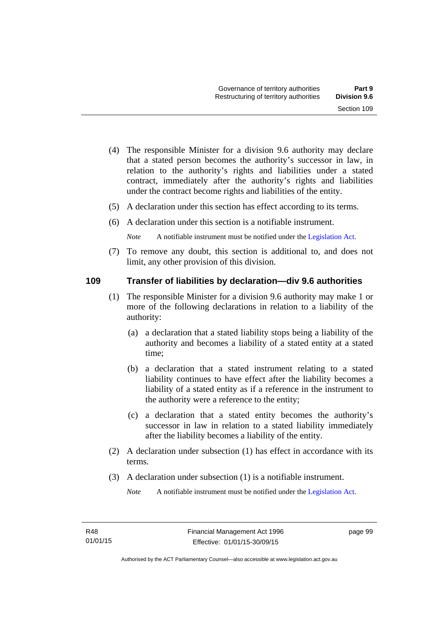- (4) The responsible Minister for a division 9.6 authority may declare that a stated person becomes the authority's successor in law, in relation to the authority's rights and liabilities under a stated contract, immediately after the authority's rights and liabilities under the contract become rights and liabilities of the entity.
- (5) A declaration under this section has effect according to its terms.
- (6) A declaration under this section is a notifiable instrument.

*Note* A notifiable instrument must be notified under the [Legislation Act](http://www.legislation.act.gov.au/a/2001-14).

 (7) To remove any doubt, this section is additional to, and does not limit, any other provision of this division.

### **109 Transfer of liabilities by declaration—div 9.6 authorities**

- (1) The responsible Minister for a division 9.6 authority may make 1 or more of the following declarations in relation to a liability of the authority:
	- (a) a declaration that a stated liability stops being a liability of the authority and becomes a liability of a stated entity at a stated time;
	- (b) a declaration that a stated instrument relating to a stated liability continues to have effect after the liability becomes a liability of a stated entity as if a reference in the instrument to the authority were a reference to the entity;
	- (c) a declaration that a stated entity becomes the authority's successor in law in relation to a stated liability immediately after the liability becomes a liability of the entity.
- (2) A declaration under subsection (1) has effect in accordance with its terms.
- (3) A declaration under subsection (1) is a notifiable instrument.

*Note* A notifiable instrument must be notified under the [Legislation Act](http://www.legislation.act.gov.au/a/2001-14).

page 99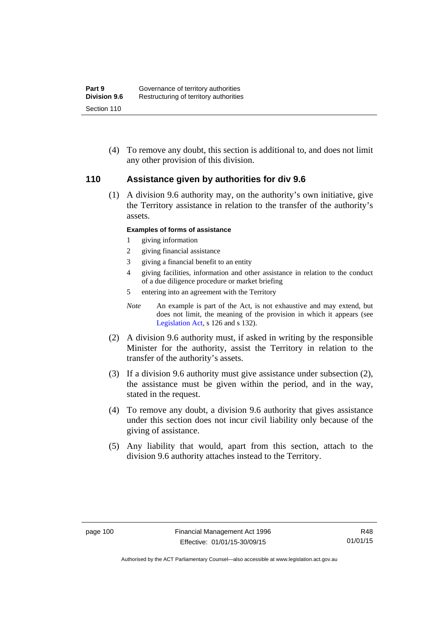(4) To remove any doubt, this section is additional to, and does not limit any other provision of this division.

### **110 Assistance given by authorities for div 9.6**

(1) A division 9.6 authority may, on the authority's own initiative, give the Territory assistance in relation to the transfer of the authority's assets.

#### **Examples of forms of assistance**

- 1 giving information
- 2 giving financial assistance
- 3 giving a financial benefit to an entity
- 4 giving facilities, information and other assistance in relation to the conduct of a due diligence procedure or market briefing
- 5 entering into an agreement with the Territory
- *Note* An example is part of the Act, is not exhaustive and may extend, but does not limit, the meaning of the provision in which it appears (see [Legislation Act,](http://www.legislation.act.gov.au/a/2001-14) s 126 and s 132).
- (2) A division 9.6 authority must, if asked in writing by the responsible Minister for the authority, assist the Territory in relation to the transfer of the authority's assets.
- (3) If a division 9.6 authority must give assistance under subsection (2), the assistance must be given within the period, and in the way, stated in the request.
- (4) To remove any doubt, a division 9.6 authority that gives assistance under this section does not incur civil liability only because of the giving of assistance.
- (5) Any liability that would, apart from this section, attach to the division 9.6 authority attaches instead to the Territory.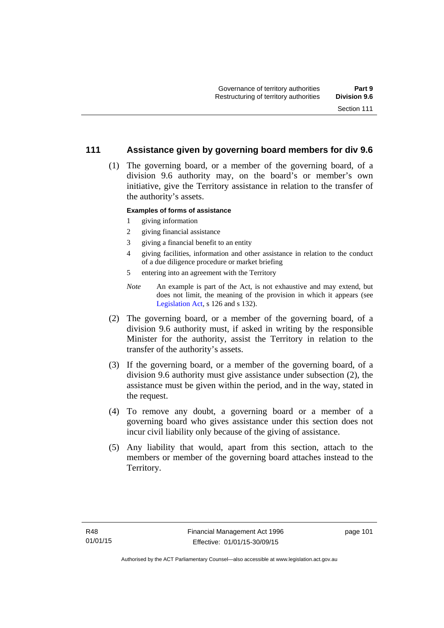### **111 Assistance given by governing board members for div 9.6**

 (1) The governing board, or a member of the governing board, of a division 9.6 authority may, on the board's or member's own initiative, give the Territory assistance in relation to the transfer of the authority's assets.

#### **Examples of forms of assistance**

- 1 giving information
- 2 giving financial assistance
- 3 giving a financial benefit to an entity
- 4 giving facilities, information and other assistance in relation to the conduct of a due diligence procedure or market briefing
- 5 entering into an agreement with the Territory
- *Note* An example is part of the Act, is not exhaustive and may extend, but does not limit, the meaning of the provision in which it appears (see [Legislation Act,](http://www.legislation.act.gov.au/a/2001-14) s 126 and s 132).
- (2) The governing board, or a member of the governing board, of a division 9.6 authority must, if asked in writing by the responsible Minister for the authority, assist the Territory in relation to the transfer of the authority's assets.
- (3) If the governing board, or a member of the governing board, of a division 9.6 authority must give assistance under subsection (2), the assistance must be given within the period, and in the way, stated in the request.
- (4) To remove any doubt, a governing board or a member of a governing board who gives assistance under this section does not incur civil liability only because of the giving of assistance.
- (5) Any liability that would, apart from this section, attach to the members or member of the governing board attaches instead to the Territory.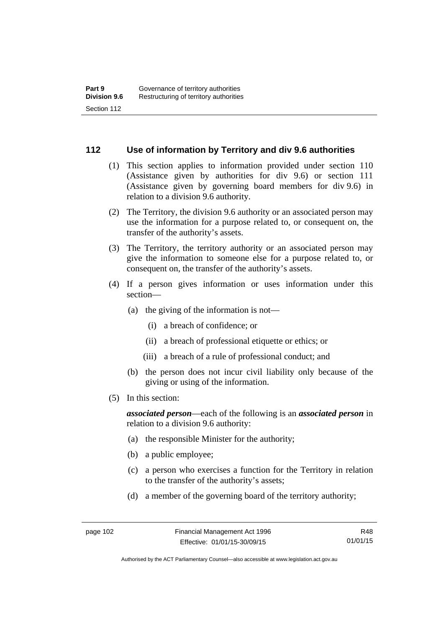### **112 Use of information by Territory and div 9.6 authorities**

- (1) This section applies to information provided under section 110 (Assistance given by authorities for div 9.6) or section 111 (Assistance given by governing board members for div 9.6) in relation to a division 9.6 authority.
- (2) The Territory, the division 9.6 authority or an associated person may use the information for a purpose related to, or consequent on, the transfer of the authority's assets.
- (3) The Territory, the territory authority or an associated person may give the information to someone else for a purpose related to, or consequent on, the transfer of the authority's assets.
- (4) If a person gives information or uses information under this section—
	- (a) the giving of the information is not—
		- (i) a breach of confidence; or
		- (ii) a breach of professional etiquette or ethics; or
		- (iii) a breach of a rule of professional conduct; and
	- (b) the person does not incur civil liability only because of the giving or using of the information.
- (5) In this section:

*associated person*—each of the following is an *associated person* in relation to a division 9.6 authority:

- (a) the responsible Minister for the authority;
- (b) a public employee;
- (c) a person who exercises a function for the Territory in relation to the transfer of the authority's assets;
- (d) a member of the governing board of the territory authority;

R48 01/01/15

Authorised by the ACT Parliamentary Counsel—also accessible at www.legislation.act.gov.au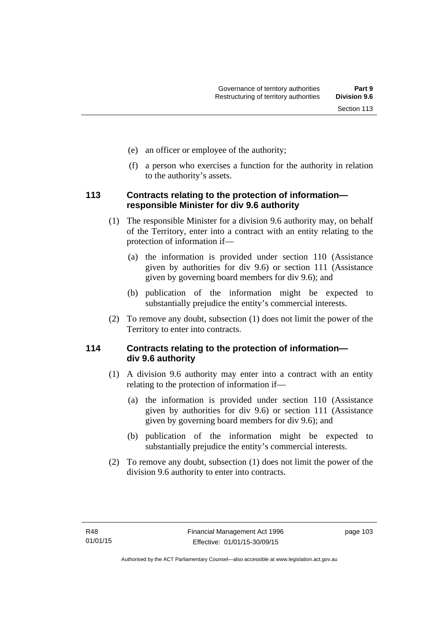- (e) an officer or employee of the authority;
- (f) a person who exercises a function for the authority in relation to the authority's assets.

### **113 Contracts relating to the protection of information responsible Minister for div 9.6 authority**

- (1) The responsible Minister for a division 9.6 authority may, on behalf of the Territory, enter into a contract with an entity relating to the protection of information if—
	- (a) the information is provided under section 110 (Assistance given by authorities for div 9.6) or section 111 (Assistance given by governing board members for div 9.6); and
	- (b) publication of the information might be expected to substantially prejudice the entity's commercial interests.
- (2) To remove any doubt, subsection (1) does not limit the power of the Territory to enter into contracts.

### **114 Contracts relating to the protection of information div 9.6 authority**

- (1) A division 9.6 authority may enter into a contract with an entity relating to the protection of information if—
	- (a) the information is provided under section 110 (Assistance given by authorities for div 9.6) or section 111 (Assistance given by governing board members for div 9.6); and
	- (b) publication of the information might be expected to substantially prejudice the entity's commercial interests.
- (2) To remove any doubt, subsection (1) does not limit the power of the division 9.6 authority to enter into contracts.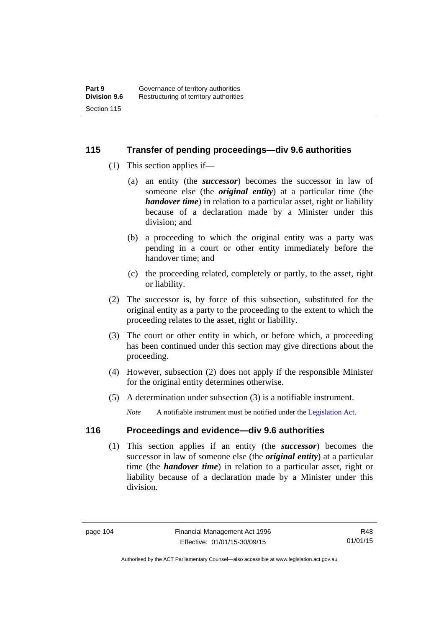### **115 Transfer of pending proceedings—div 9.6 authorities**

- (1) This section applies if—
	- (a) an entity (the *successor*) becomes the successor in law of someone else (the *original entity*) at a particular time (the *handover time*) in relation to a particular asset, right or liability because of a declaration made by a Minister under this division; and
	- (b) a proceeding to which the original entity was a party was pending in a court or other entity immediately before the handover time; and
	- (c) the proceeding related, completely or partly, to the asset, right or liability.
- (2) The successor is, by force of this subsection, substituted for the original entity as a party to the proceeding to the extent to which the proceeding relates to the asset, right or liability.
- (3) The court or other entity in which, or before which, a proceeding has been continued under this section may give directions about the proceeding.
- (4) However, subsection (2) does not apply if the responsible Minister for the original entity determines otherwise.
- (5) A determination under subsection (3) is a notifiable instrument.

*Note* A notifiable instrument must be notified under the [Legislation Act](http://www.legislation.act.gov.au/a/2001-14).

### **116 Proceedings and evidence—div 9.6 authorities**

 (1) This section applies if an entity (the *successor*) becomes the successor in law of someone else (the *original entity*) at a particular time (the *handover time*) in relation to a particular asset, right or liability because of a declaration made by a Minister under this division.

R48 01/01/15

Authorised by the ACT Parliamentary Counsel—also accessible at www.legislation.act.gov.au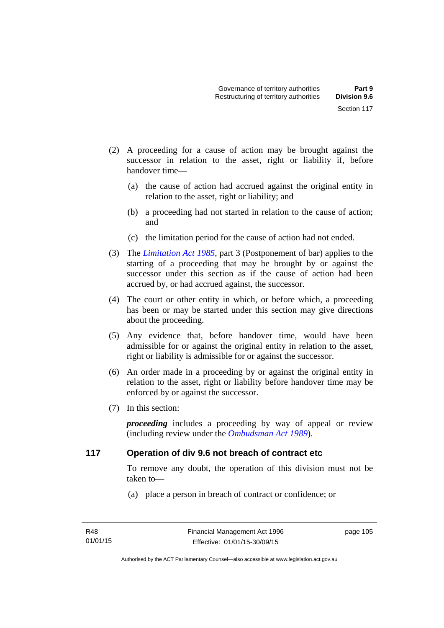- (2) A proceeding for a cause of action may be brought against the successor in relation to the asset, right or liability if, before handover time—
	- (a) the cause of action had accrued against the original entity in relation to the asset, right or liability; and
	- (b) a proceeding had not started in relation to the cause of action; and
	- (c) the limitation period for the cause of action had not ended.
- (3) The *[Limitation Act 1985](http://www.legislation.act.gov.au/a/1985-66),* part 3 (Postponement of bar) applies to the starting of a proceeding that may be brought by or against the successor under this section as if the cause of action had been accrued by, or had accrued against, the successor.
- (4) The court or other entity in which, or before which, a proceeding has been or may be started under this section may give directions about the proceeding.
- (5) Any evidence that, before handover time, would have been admissible for or against the original entity in relation to the asset, right or liability is admissible for or against the successor.
- (6) An order made in a proceeding by or against the original entity in relation to the asset, right or liability before handover time may be enforced by or against the successor.
- (7) In this section:

*proceeding* includes a proceeding by way of appeal or review (including review under the *[Ombudsman Act 1989](http://www.legislation.act.gov.au/a/alt_a1989-45co)*).

### **117 Operation of div 9.6 not breach of contract etc**

To remove any doubt, the operation of this division must not be taken to—

(a) place a person in breach of contract or confidence; or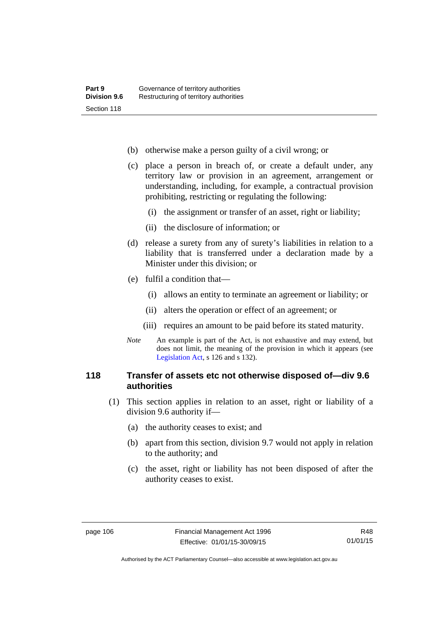- (b) otherwise make a person guilty of a civil wrong; or
- (c) place a person in breach of, or create a default under, any territory law or provision in an agreement, arrangement or understanding, including, for example, a contractual provision prohibiting, restricting or regulating the following:
	- (i) the assignment or transfer of an asset, right or liability;
	- (ii) the disclosure of information; or
- (d) release a surety from any of surety's liabilities in relation to a liability that is transferred under a declaration made by a Minister under this division; or
- (e) fulfil a condition that—
	- (i) allows an entity to terminate an agreement or liability; or
	- (ii) alters the operation or effect of an agreement; or
	- (iii) requires an amount to be paid before its stated maturity.
- *Note* An example is part of the Act, is not exhaustive and may extend, but does not limit, the meaning of the provision in which it appears (see [Legislation Act,](http://www.legislation.act.gov.au/a/2001-14) s 126 and s 132).

### **118 Transfer of assets etc not otherwise disposed of—div 9.6 authorities**

- (1) This section applies in relation to an asset, right or liability of a division 9.6 authority if—
	- (a) the authority ceases to exist; and
	- (b) apart from this section, division 9.7 would not apply in relation to the authority; and
	- (c) the asset, right or liability has not been disposed of after the authority ceases to exist.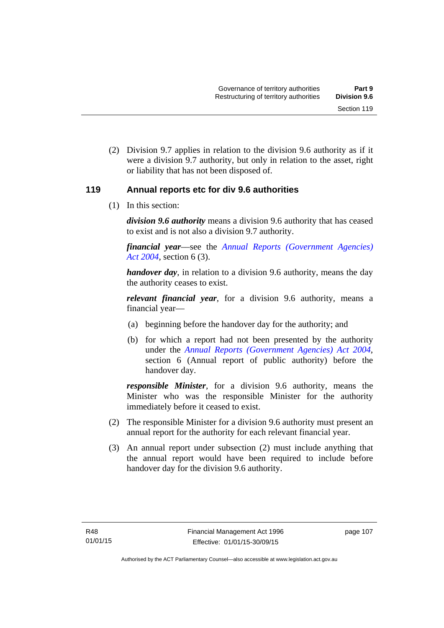(2) Division 9.7 applies in relation to the division 9.6 authority as if it were a division 9.7 authority, but only in relation to the asset, right or liability that has not been disposed of.

### **119 Annual reports etc for div 9.6 authorities**

(1) In this section:

*division 9.6 authority* means a division 9.6 authority that has ceased to exist and is not also a division 9.7 authority.

*financial year*––see the *[Annual Reports \(Government Agencies\)](http://www.legislation.act.gov.au/a/2004-8)  [Act 2004](http://www.legislation.act.gov.au/a/2004-8)*, section 6 (3).

*handover day*, in relation to a division 9.6 authority, means the day the authority ceases to exist.

*relevant financial year*, for a division 9.6 authority, means a financial year—

- (a) beginning before the handover day for the authority; and
- (b) for which a report had not been presented by the authority under the *[Annual Reports \(Government Agencies\) Act 2004](http://www.legislation.act.gov.au/a/2004-8)*, section 6 (Annual report of public authority) before the handover day.

*responsible Minister*, for a division 9.6 authority, means the Minister who was the responsible Minister for the authority immediately before it ceased to exist.

- (2) The responsible Minister for a division 9.6 authority must present an annual report for the authority for each relevant financial year.
- (3) An annual report under subsection (2) must include anything that the annual report would have been required to include before handover day for the division 9.6 authority.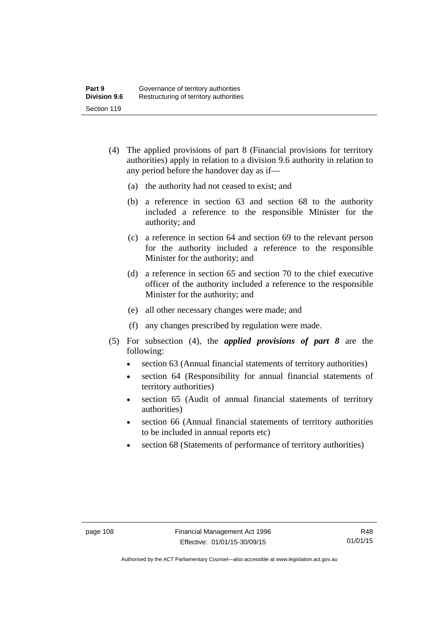- (4) The applied provisions of part 8 (Financial provisions for territory authorities) apply in relation to a division 9.6 authority in relation to any period before the handover day as if—
	- (a) the authority had not ceased to exist; and
	- (b) a reference in section 63 and section 68 to the authority included a reference to the responsible Minister for the authority; and
	- (c) a reference in section 64 and section 69 to the relevant person for the authority included a reference to the responsible Minister for the authority; and
	- (d) a reference in section 65 and section 70 to the chief executive officer of the authority included a reference to the responsible Minister for the authority; and
	- (e) all other necessary changes were made; and
	- (f) any changes prescribed by regulation were made.
- (5) For subsection (4), the *applied provisions of part 8* are the following:
	- section 63 (Annual financial statements of territory authorities)
	- section 64 (Responsibility for annual financial statements of territory authorities)
	- section 65 (Audit of annual financial statements of territory authorities)
	- section 66 (Annual financial statements of territory authorities to be included in annual reports etc)
	- section 68 (Statements of performance of territory authorities)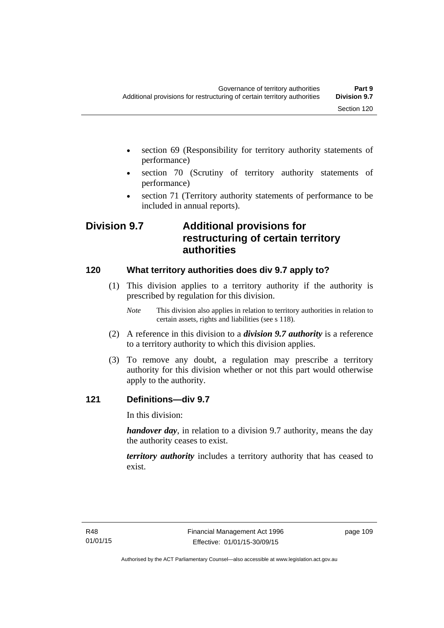- section 69 (Responsibility for territory authority statements of performance)
- section 70 (Scrutiny of territory authority statements of performance)
- section 71 (Territory authority statements of performance to be included in annual reports).

## **Division 9.7 Additional provisions for restructuring of certain territory authorities**

### **120 What territory authorities does div 9.7 apply to?**

- (1) This division applies to a territory authority if the authority is prescribed by regulation for this division.
	- *Note* This division also applies in relation to territory authorities in relation to certain assets, rights and liabilities (see s 118).
- (2) A reference in this division to a *division 9.7 authority* is a reference to a territory authority to which this division applies.
- (3) To remove any doubt, a regulation may prescribe a territory authority for this division whether or not this part would otherwise apply to the authority.

### **121 Definitions—div 9.7**

In this division:

*handover day*, in relation to a division 9.7 authority, means the day the authority ceases to exist.

*territory authority* includes a territory authority that has ceased to exist.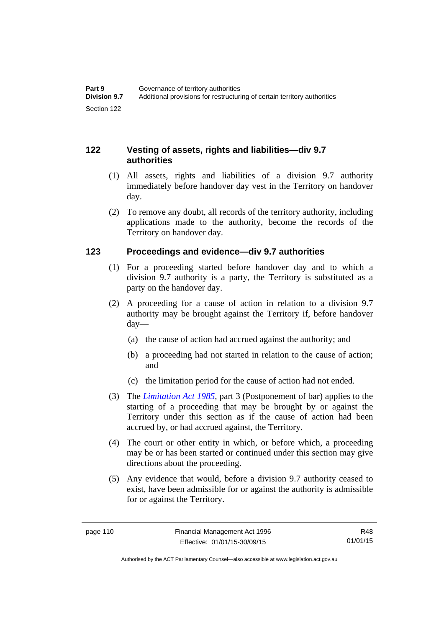### **122 Vesting of assets, rights and liabilities—div 9.7 authorities**

- (1) All assets, rights and liabilities of a division 9.7 authority immediately before handover day vest in the Territory on handover day.
- (2) To remove any doubt, all records of the territory authority, including applications made to the authority, become the records of the Territory on handover day.

### **123 Proceedings and evidence—div 9.7 authorities**

- (1) For a proceeding started before handover day and to which a division 9.7 authority is a party, the Territory is substituted as a party on the handover day.
- (2) A proceeding for a cause of action in relation to a division 9.7 authority may be brought against the Territory if, before handover day—
	- (a) the cause of action had accrued against the authority; and
	- (b) a proceeding had not started in relation to the cause of action; and
	- (c) the limitation period for the cause of action had not ended.
- (3) The *[Limitation Act 1985](http://www.legislation.act.gov.au/a/1985-66),* part 3 (Postponement of bar) applies to the starting of a proceeding that may be brought by or against the Territory under this section as if the cause of action had been accrued by, or had accrued against, the Territory.
- (4) The court or other entity in which, or before which, a proceeding may be or has been started or continued under this section may give directions about the proceeding.
- (5) Any evidence that would, before a division 9.7 authority ceased to exist, have been admissible for or against the authority is admissible for or against the Territory.

R48 01/01/15

Authorised by the ACT Parliamentary Counsel—also accessible at www.legislation.act.gov.au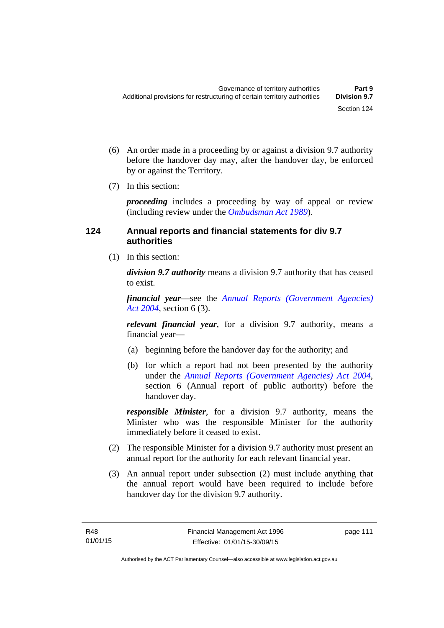- (6) An order made in a proceeding by or against a division 9.7 authority before the handover day may, after the handover day, be enforced by or against the Territory.
- (7) In this section:

*proceeding* includes a proceeding by way of appeal or review (including review under the *[Ombudsman Act 1989](http://www.legislation.act.gov.au/a/alt_a1989-45co)*).

### **124 Annual reports and financial statements for div 9.7 authorities**

(1) In this section:

*division 9.7 authority* means a division 9.7 authority that has ceased to exist.

*financial year*––see the *[Annual Reports \(Government Agencies\)](http://www.legislation.act.gov.au/a/2004-8)  [Act 2004](http://www.legislation.act.gov.au/a/2004-8)*, section 6 (3).

*relevant financial year*, for a division 9.7 authority, means a financial year—

- (a) beginning before the handover day for the authority; and
- (b) for which a report had not been presented by the authority under the *[Annual Reports \(Government Agencies\) Act 2004](http://www.legislation.act.gov.au/a/2004-8)*, section 6 (Annual report of public authority) before the handover day.

*responsible Minister*, for a division 9.7 authority, means the Minister who was the responsible Minister for the authority immediately before it ceased to exist.

- (2) The responsible Minister for a division 9.7 authority must present an annual report for the authority for each relevant financial year.
- (3) An annual report under subsection (2) must include anything that the annual report would have been required to include before handover day for the division 9.7 authority.

page 111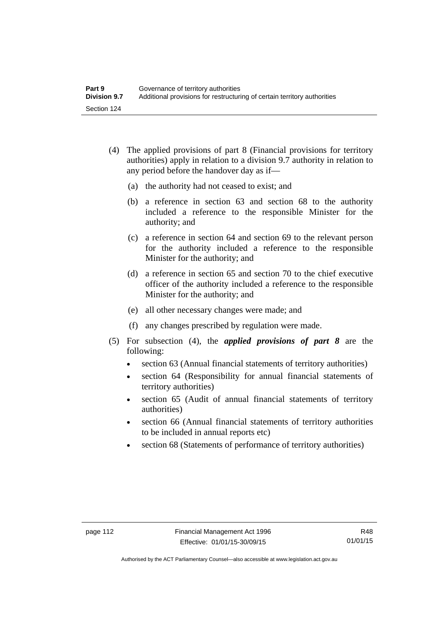- (4) The applied provisions of part 8 (Financial provisions for territory authorities) apply in relation to a division 9.7 authority in relation to any period before the handover day as if—
	- (a) the authority had not ceased to exist; and
	- (b) a reference in section 63 and section 68 to the authority included a reference to the responsible Minister for the authority; and
	- (c) a reference in section 64 and section 69 to the relevant person for the authority included a reference to the responsible Minister for the authority; and
	- (d) a reference in section 65 and section 70 to the chief executive officer of the authority included a reference to the responsible Minister for the authority; and
	- (e) all other necessary changes were made; and
	- (f) any changes prescribed by regulation were made.
- (5) For subsection (4), the *applied provisions of part 8* are the following:
	- section 63 (Annual financial statements of territory authorities)
	- section 64 (Responsibility for annual financial statements of territory authorities)
	- section 65 (Audit of annual financial statements of territory authorities)
	- section 66 (Annual financial statements of territory authorities to be included in annual reports etc)
	- section 68 (Statements of performance of territory authorities)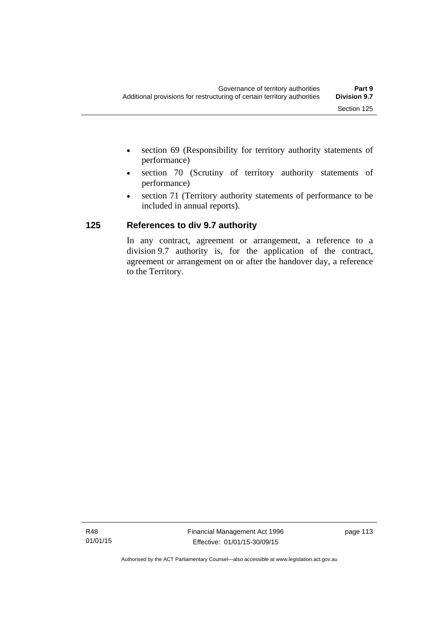- section 69 (Responsibility for territory authority statements of performance)
- section 70 (Scrutiny of territory authority statements of performance)
- section 71 (Territory authority statements of performance to be included in annual reports).

### **125 References to div 9.7 authority**

In any contract, agreement or arrangement, a reference to a division 9.7 authority is, for the application of the contract, agreement or arrangement on or after the handover day, a reference to the Territory.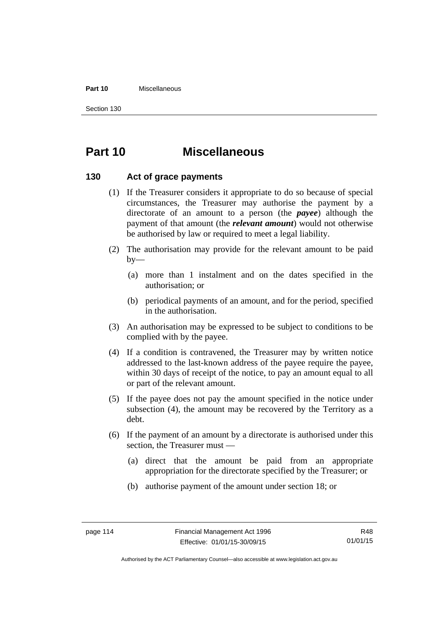#### **Part 10** Miscellaneous

Section 130

# **Part 10 Miscellaneous**

### **130 Act of grace payments**

- (1) If the Treasurer considers it appropriate to do so because of special circumstances, the Treasurer may authorise the payment by a directorate of an amount to a person (the *payee*) although the payment of that amount (the *relevant amount*) would not otherwise be authorised by law or required to meet a legal liability.
- (2) The authorisation may provide for the relevant amount to be paid  $by-$ 
	- (a) more than 1 instalment and on the dates specified in the authorisation; or
	- (b) periodical payments of an amount, and for the period, specified in the authorisation.
- (3) An authorisation may be expressed to be subject to conditions to be complied with by the payee.
- (4) If a condition is contravened, the Treasurer may by written notice addressed to the last-known address of the payee require the payee, within 30 days of receipt of the notice, to pay an amount equal to all or part of the relevant amount.
- (5) If the payee does not pay the amount specified in the notice under subsection (4), the amount may be recovered by the Territory as a debt.
- (6) If the payment of an amount by a directorate is authorised under this section, the Treasurer must —
	- (a) direct that the amount be paid from an appropriate appropriation for the directorate specified by the Treasurer; or
	- (b) authorise payment of the amount under section 18; or

Authorised by the ACT Parliamentary Counsel—also accessible at www.legislation.act.gov.au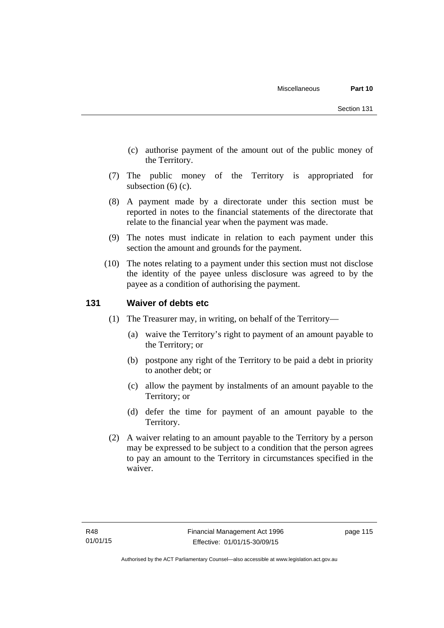- (c) authorise payment of the amount out of the public money of the Territory.
- (7) The public money of the Territory is appropriated for subsection (6) (c).
- (8) A payment made by a directorate under this section must be reported in notes to the financial statements of the directorate that relate to the financial year when the payment was made.
- (9) The notes must indicate in relation to each payment under this section the amount and grounds for the payment.
- (10) The notes relating to a payment under this section must not disclose the identity of the payee unless disclosure was agreed to by the payee as a condition of authorising the payment.

### **131 Waiver of debts etc**

- (1) The Treasurer may, in writing, on behalf of the Territory—
	- (a) waive the Territory's right to payment of an amount payable to the Territory; or
	- (b) postpone any right of the Territory to be paid a debt in priority to another debt; or
	- (c) allow the payment by instalments of an amount payable to the Territory; or
	- (d) defer the time for payment of an amount payable to the Territory.
- (2) A waiver relating to an amount payable to the Territory by a person may be expressed to be subject to a condition that the person agrees to pay an amount to the Territory in circumstances specified in the waiver.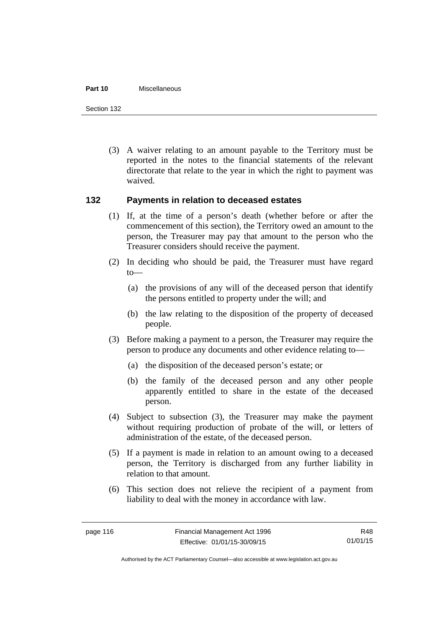#### **Part 10** Miscellaneous

Section 132

 (3) A waiver relating to an amount payable to the Territory must be reported in the notes to the financial statements of the relevant directorate that relate to the year in which the right to payment was waived.

### **132 Payments in relation to deceased estates**

- (1) If, at the time of a person's death (whether before or after the commencement of this section), the Territory owed an amount to the person, the Treasurer may pay that amount to the person who the Treasurer considers should receive the payment.
- (2) In deciding who should be paid, the Treasurer must have regard to—
	- (a) the provisions of any will of the deceased person that identify the persons entitled to property under the will; and
	- (b) the law relating to the disposition of the property of deceased people.
- (3) Before making a payment to a person, the Treasurer may require the person to produce any documents and other evidence relating to—
	- (a) the disposition of the deceased person's estate; or
	- (b) the family of the deceased person and any other people apparently entitled to share in the estate of the deceased person.
- (4) Subject to subsection (3), the Treasurer may make the payment without requiring production of probate of the will, or letters of administration of the estate, of the deceased person.
- (5) If a payment is made in relation to an amount owing to a deceased person, the Territory is discharged from any further liability in relation to that amount.
- (6) This section does not relieve the recipient of a payment from liability to deal with the money in accordance with law.

R48 01/01/15

Authorised by the ACT Parliamentary Counsel—also accessible at www.legislation.act.gov.au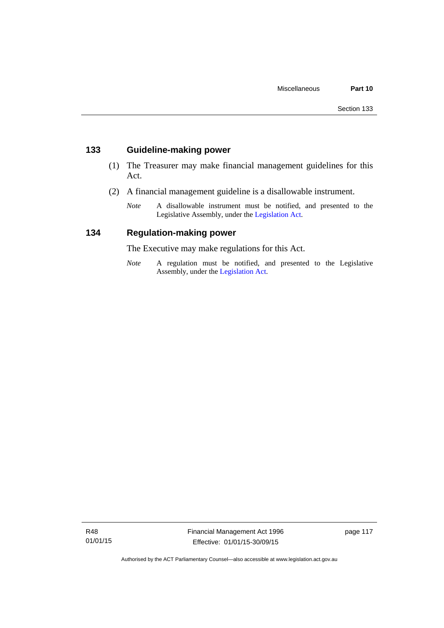### **133 Guideline-making power**

- (1) The Treasurer may make financial management guidelines for this Act.
- (2) A financial management guideline is a disallowable instrument.
	- *Note* A disallowable instrument must be notified, and presented to the Legislative Assembly, under the [Legislation Act.](http://www.legislation.act.gov.au/a/2001-14)

### **134 Regulation-making power**

The Executive may make regulations for this Act.

*Note* A regulation must be notified, and presented to the Legislative Assembly, under the [Legislation Act](http://www.legislation.act.gov.au/a/2001-14).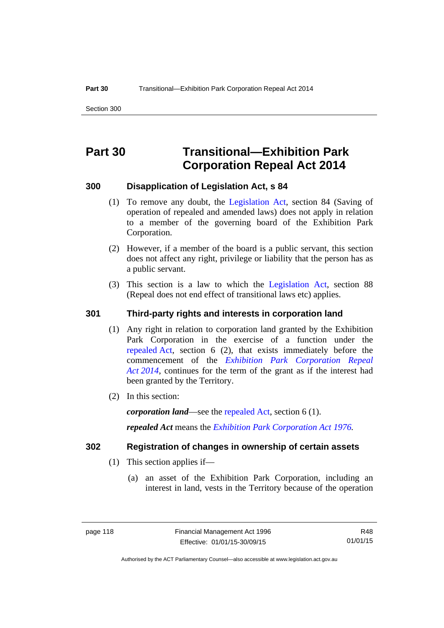# **Part 30 Transitional—Exhibition Park Corporation Repeal Act 2014**

### **300 Disapplication of Legislation Act, s 84**

- (1) To remove any doubt, the [Legislation Act,](http://www.legislation.act.gov.au/a/2001-14) section 84 (Saving of operation of repealed and amended laws) does not apply in relation to a member of the governing board of the Exhibition Park Corporation.
- (2) However, if a member of the board is a public servant, this section does not affect any right, privilege or liability that the person has as a public servant.
- (3) This section is a law to which the [Legislation Act](http://www.legislation.act.gov.au/a/2001-14), section 88 (Repeal does not end effect of transitional laws etc) applies.

### **301 Third-party rights and interests in corporation land**

- (1) Any right in relation to corporation land granted by the Exhibition Park Corporation in the exercise of a function under the [repealed Act,](http://www.legislation.act.gov.au/a/1976-1/default.asp) section 6 (2), that exists immediately before the commencement of the *[Exhibition Park Corporation Repeal](http://www.legislation.act.gov.au/a/2014-54/default.asp)  [Act 2014](http://www.legislation.act.gov.au/a/2014-54/default.asp)*, continues for the term of the grant as if the interest had been granted by the Territory.
- (2) In this section:

*corporation land*—see the [repealed Act](http://www.legislation.act.gov.au/a/1976-1/default.asp), section 6 (1).

*repealed Act* means the *[Exhibition Park Corporation Act 1976](http://www.legislation.act.gov.au/a/1976-1).*

### **302 Registration of changes in ownership of certain assets**

- (1) This section applies if—
	- (a) an asset of the Exhibition Park Corporation, including an interest in land, vests in the Territory because of the operation

R48 01/01/15

Authorised by the ACT Parliamentary Counsel—also accessible at www.legislation.act.gov.au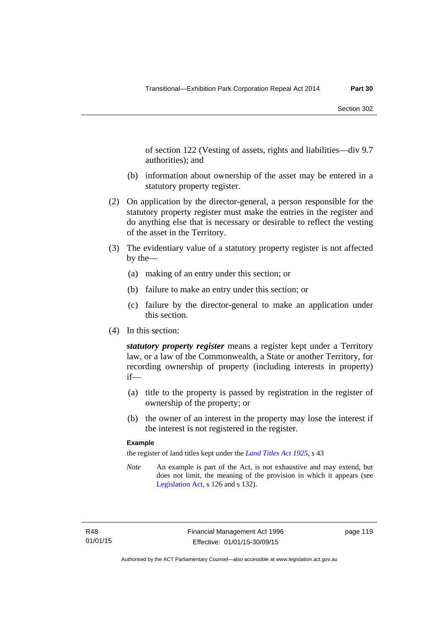of section 122 (Vesting of assets, rights and liabilities—div 9.7 authorities); and

- (b) information about ownership of the asset may be entered in a statutory property register.
- (2) On application by the director-general, a person responsible for the statutory property register must make the entries in the register and do anything else that is necessary or desirable to reflect the vesting of the asset in the Territory.
- (3) The evidentiary value of a statutory property register is not affected by the—
	- (a) making of an entry under this section; or
	- (b) failure to make an entry under this section; or
	- (c) failure by the director-general to make an application under this section.
- (4) In this section:

*statutory property register* means a register kept under a Territory law, or a law of the Commonwealth, a State or another Territory, for recording ownership of property (including interests in property) if—

- (a) title to the property is passed by registration in the register of ownership of the property; or
- (b) the owner of an interest in the property may lose the interest if the interest is not registered in the register.

#### **Example**

the register of land titles kept under the *[Land Titles Act 1925](http://www.legislation.act.gov.au/a/1925-1)*, s 43

*Note* An example is part of the Act, is not exhaustive and may extend, but does not limit, the meaning of the provision in which it appears (see [Legislation Act,](http://www.legislation.act.gov.au/a/2001-14) s 126 and s 132).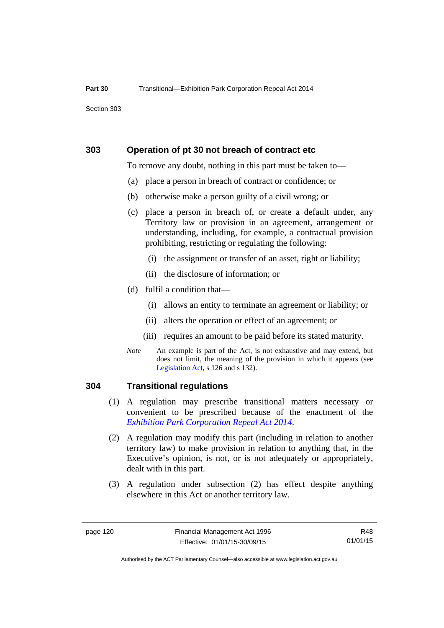Section 303

#### **303 Operation of pt 30 not breach of contract etc**

To remove any doubt, nothing in this part must be taken to—

- (a) place a person in breach of contract or confidence; or
- (b) otherwise make a person guilty of a civil wrong; or
- (c) place a person in breach of, or create a default under, any Territory law or provision in an agreement, arrangement or understanding, including, for example, a contractual provision prohibiting, restricting or regulating the following:
	- (i) the assignment or transfer of an asset, right or liability;
	- (ii) the disclosure of information; or
- (d) fulfil a condition that—
	- (i) allows an entity to terminate an agreement or liability; or
	- (ii) alters the operation or effect of an agreement; or
	- (iii) requires an amount to be paid before its stated maturity.
- *Note* An example is part of the Act, is not exhaustive and may extend, but does not limit, the meaning of the provision in which it appears (see [Legislation Act,](http://www.legislation.act.gov.au/a/2001-14) s 126 and s 132).

### **304 Transitional regulations**

- (1) A regulation may prescribe transitional matters necessary or convenient to be prescribed because of the enactment of the *[Exhibition Park Corporation Repeal Act 2014](http://www.legislation.act.gov.au/a/2014-54/default.asp)*.
- (2) A regulation may modify this part (including in relation to another territory law) to make provision in relation to anything that, in the Executive's opinion, is not, or is not adequately or appropriately, dealt with in this part.
- (3) A regulation under subsection (2) has effect despite anything elsewhere in this Act or another territory law.

R48 01/01/15

Authorised by the ACT Parliamentary Counsel—also accessible at www.legislation.act.gov.au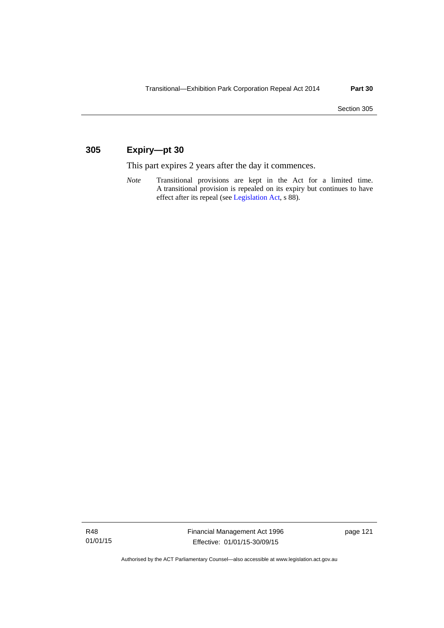### **305 Expiry—pt 30**

This part expires 2 years after the day it commences.

*Note* Transitional provisions are kept in the Act for a limited time. A transitional provision is repealed on its expiry but continues to have effect after its repeal (see [Legislation Act,](http://www.legislation.act.gov.au/a/2001-14) s 88).

R48 01/01/15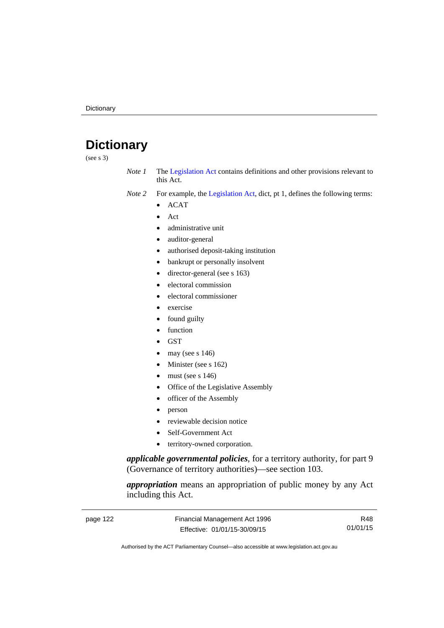# **Dictionary**

(see s 3)

- *Note 1* The [Legislation Act](http://www.legislation.act.gov.au/a/2001-14) contains definitions and other provisions relevant to this Act.
- *Note 2* For example, the [Legislation Act,](http://www.legislation.act.gov.au/a/2001-14) dict, pt 1, defines the following terms:
	- ACAT
	- Act
	- administrative unit
	- auditor-general
	- authorised deposit-taking institution
	- bankrupt or personally insolvent
	- director-general (see s 163)
	- electoral commission
	- electoral commissioner
	- exercise
	- found guilty
	- function
	- **GST**
	- may (see s 146)
	- Minister (see s 162)
	- must (see s 146)
	- Office of the Legislative Assembly
	- officer of the Assembly
	- person
	- reviewable decision notice
	- Self-Government Act
	- territory-owned corporation.

*applicable governmental policies*, for a territory authority, for part 9 (Governance of territory authorities)—see section 103.

*appropriation* means an appropriation of public money by any Act including this Act.

| page 122 | Financial Management Act 1996 | R48      |
|----------|-------------------------------|----------|
|          | Effective: 01/01/15-30/09/15  | 01/01/15 |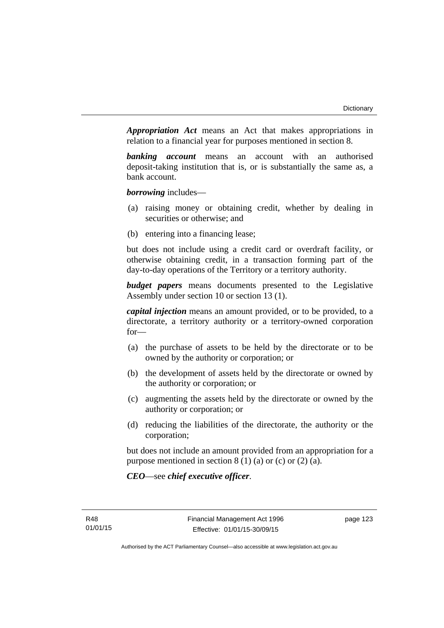*Appropriation Act* means an Act that makes appropriations in relation to a financial year for purposes mentioned in section 8.

*banking account* means an account with an authorised deposit-taking institution that is, or is substantially the same as, a bank account.

*borrowing* includes—

- (a) raising money or obtaining credit, whether by dealing in securities or otherwise; and
- (b) entering into a financing lease;

but does not include using a credit card or overdraft facility, or otherwise obtaining credit, in a transaction forming part of the day-to-day operations of the Territory or a territory authority.

*budget papers* means documents presented to the Legislative Assembly under section 10 or section 13 (1).

*capital injection* means an amount provided, or to be provided, to a directorate, a territory authority or a territory-owned corporation for—

- (a) the purchase of assets to be held by the directorate or to be owned by the authority or corporation; or
- (b) the development of assets held by the directorate or owned by the authority or corporation; or
- (c) augmenting the assets held by the directorate or owned by the authority or corporation; or
- (d) reducing the liabilities of the directorate, the authority or the corporation;

but does not include an amount provided from an appropriation for a purpose mentioned in section  $8(1)(a)$  or  $(c)$  or  $(2)(a)$ .

*CEO*—see *chief executive officer*.

page 123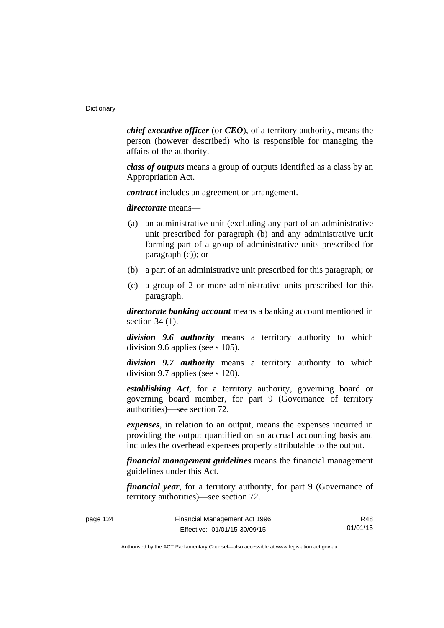*chief executive officer* (or *CEO*), of a territory authority, means the person (however described) who is responsible for managing the affairs of the authority.

*class of outputs* means a group of outputs identified as a class by an Appropriation Act.

*contract* includes an agreement or arrangement.

*directorate* means––

- (a) an administrative unit (excluding any part of an administrative unit prescribed for paragraph (b) and any administrative unit forming part of a group of administrative units prescribed for paragraph (c)); or
- (b) a part of an administrative unit prescribed for this paragraph; or
- (c) a group of 2 or more administrative units prescribed for this paragraph.

*directorate banking account* means a banking account mentioned in section 34 (1).

*division 9.6 authority* means a territory authority to which division 9.6 applies (see s 105).

*division 9.7 authority* means a territory authority to which division 9.7 applies (see s 120).

*establishing Act*, for a territory authority, governing board or governing board member, for part 9 (Governance of territory authorities)—see section 72.

*expenses*, in relation to an output, means the expenses incurred in providing the output quantified on an accrual accounting basis and includes the overhead expenses properly attributable to the output.

*financial management guidelines* means the financial management guidelines under this Act.

*financial year*, for a territory authority, for part 9 (Governance of territory authorities)—see section 72.

| page 124 | Financial Management Act 1996 | R48      |
|----------|-------------------------------|----------|
|          | Effective: 01/01/15-30/09/15  | 01/01/15 |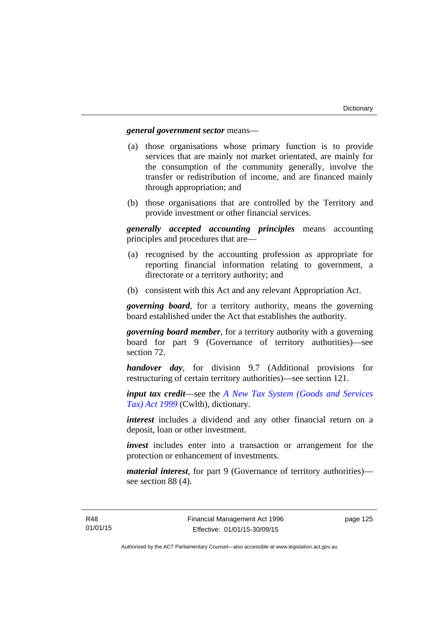#### *general government sector* means—

- (a) those organisations whose primary function is to provide services that are mainly not market orientated, are mainly for the consumption of the community generally, involve the transfer or redistribution of income, and are financed mainly through appropriation; and
- (b) those organisations that are controlled by the Territory and provide investment or other financial services.

*generally accepted accounting principles* means accounting principles and procedures that are—

- (a) recognised by the accounting profession as appropriate for reporting financial information relating to government, a directorate or a territory authority; and
- (b) consistent with this Act and any relevant Appropriation Act.

*governing board*, for a territory authority, means the governing board established under the Act that establishes the authority.

*governing board member*, for a territory authority with a governing board for part 9 (Governance of territory authorities)—see section 72.

*handover day*, for division 9.7 (Additional provisions for restructuring of certain territory authorities)—see section 121.

*input tax credit*—see the *[A New Tax System \(Goods and Services](http://www.comlaw.gov.au/Series/C2004A00446)  [Tax\) Act 1999](http://www.comlaw.gov.au/Series/C2004A00446)* (Cwlth), dictionary.

*interest* includes a dividend and any other financial return on a deposit, loan or other investment.

*invest* includes enter into a transaction or arrangement for the protection or enhancement of investments.

*material interest*, for part 9 (Governance of territory authorities) see section 88 (4).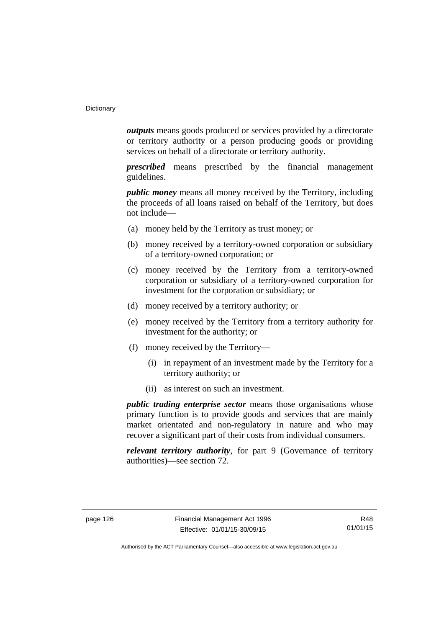*outputs* means goods produced or services provided by a directorate or territory authority or a person producing goods or providing services on behalf of a directorate or territory authority.

*prescribed* means prescribed by the financial management guidelines.

*public money* means all money received by the Territory, including the proceeds of all loans raised on behalf of the Territory, but does not include—

- (a) money held by the Territory as trust money; or
- (b) money received by a territory-owned corporation or subsidiary of a territory-owned corporation; or
- (c) money received by the Territory from a territory-owned corporation or subsidiary of a territory-owned corporation for investment for the corporation or subsidiary; or
- (d) money received by a territory authority; or
- (e) money received by the Territory from a territory authority for investment for the authority; or
- (f) money received by the Territory—
	- (i) in repayment of an investment made by the Territory for a territory authority; or
	- (ii) as interest on such an investment.

*public trading enterprise sector* means those organisations whose primary function is to provide goods and services that are mainly market orientated and non-regulatory in nature and who may recover a significant part of their costs from individual consumers.

*relevant territory authority*, for part 9 (Governance of territory authorities)—see section 72.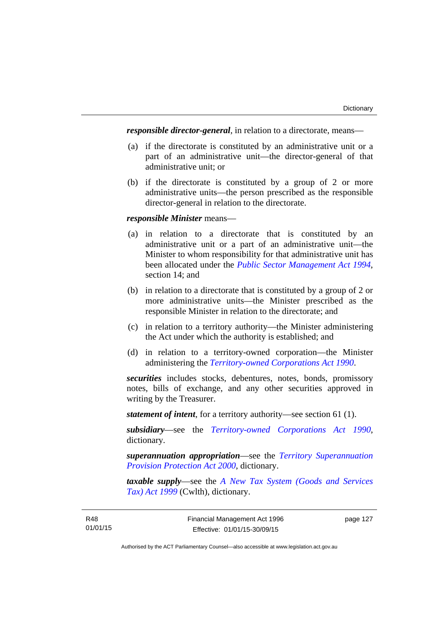*responsible director-general*, in relation to a directorate, means—

- (a) if the directorate is constituted by an administrative unit or a part of an administrative unit—the director-general of that administrative unit; or
- (b) if the directorate is constituted by a group of 2 or more administrative units—the person prescribed as the responsible director-general in relation to the directorate.

#### *responsible Minister* means—

- (a) in relation to a directorate that is constituted by an administrative unit or a part of an administrative unit—the Minister to whom responsibility for that administrative unit has been allocated under the *[Public Sector Management Act 1994](http://www.legislation.act.gov.au/a/1994-37)*, section 14; and
- (b) in relation to a directorate that is constituted by a group of 2 or more administrative units—the Minister prescribed as the responsible Minister in relation to the directorate; and
- (c) in relation to a territory authority—the Minister administering the Act under which the authority is established; and
- (d) in relation to a territory-owned corporation—the Minister administering the *[Territory-owned Corporations Act 1990](http://www.legislation.act.gov.au/a/1990-53)*.

*securities* includes stocks, debentures, notes, bonds, promissory notes, bills of exchange, and any other securities approved in writing by the Treasurer.

*statement of intent*, for a territory authority—see section 61 (1).

*subsidiary*—see the *[Territory-owned Corporations Act 1990](http://www.legislation.act.gov.au/a/1990-53)*, dictionary.

*superannuation appropriation*—see the *[Territory Superannuation](http://www.legislation.act.gov.au/a/2000-21)  [Provision Protection Act 2000](http://www.legislation.act.gov.au/a/2000-21)*, dictionary.

*taxable supply*—see the *[A New Tax System \(Goods and Services](http://www.comlaw.gov.au/Series/C2004A00446)  [Tax\) Act 1999](http://www.comlaw.gov.au/Series/C2004A00446)* (Cwlth), dictionary.

page 127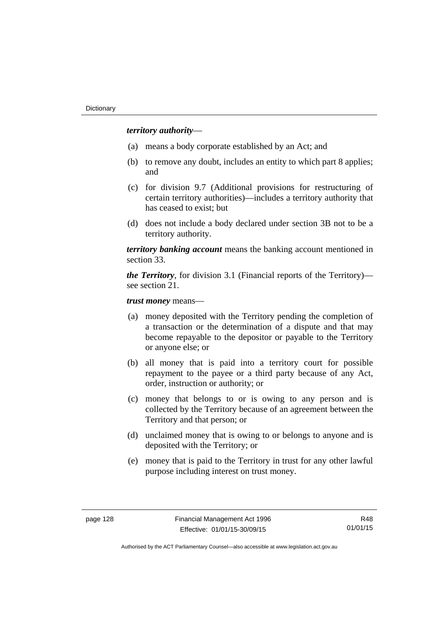### *territory authority*—

- (a) means a body corporate established by an Act; and
- (b) to remove any doubt, includes an entity to which part 8 applies; and
- (c) for division 9.7 (Additional provisions for restructuring of certain territory authorities)—includes a territory authority that has ceased to exist; but
- (d) does not include a body declared under section 3B not to be a territory authority.

*territory banking account* means the banking account mentioned in section 33.

*the Territory*, for division 3.1 (Financial reports of the Territory) see section 21.

*trust money* means—

- (a) money deposited with the Territory pending the completion of a transaction or the determination of a dispute and that may become repayable to the depositor or payable to the Territory or anyone else; or
- (b) all money that is paid into a territory court for possible repayment to the payee or a third party because of any Act, order, instruction or authority; or
- (c) money that belongs to or is owing to any person and is collected by the Territory because of an agreement between the Territory and that person; or
- (d) unclaimed money that is owing to or belongs to anyone and is deposited with the Territory; or
- (e) money that is paid to the Territory in trust for any other lawful purpose including interest on trust money.

R48 01/01/15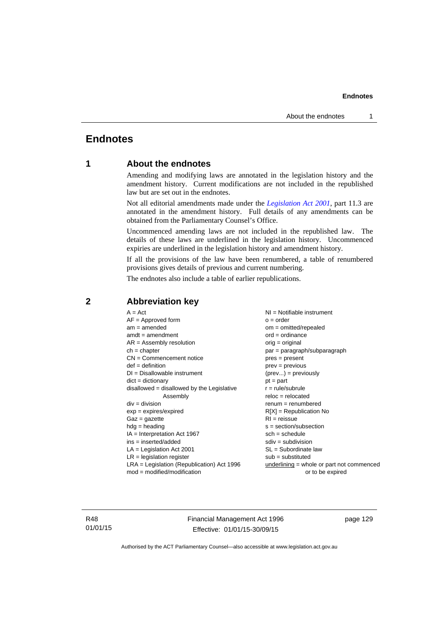### **Endnotes**

### **1 About the endnotes**

Amending and modifying laws are annotated in the legislation history and the amendment history. Current modifications are not included in the republished law but are set out in the endnotes.

Not all editorial amendments made under the *[Legislation Act 2001](http://www.legislation.act.gov.au/a/2001-14)*, part 11.3 are annotated in the amendment history. Full details of any amendments can be obtained from the Parliamentary Counsel's Office.

Uncommenced amending laws are not included in the republished law. The details of these laws are underlined in the legislation history. Uncommenced expiries are underlined in the legislation history and amendment history.

If all the provisions of the law have been renumbered, a table of renumbered provisions gives details of previous and current numbering.

The endnotes also include a table of earlier republications.

| $A = Act$<br>$AF =$ Approved form<br>$am = amended$<br>$amdt = amendment$<br>$AR = Assembly resolution$<br>$ch = chapter$<br>$CN =$ Commencement notice<br>$def = definition$<br>$DI = Disallowable instrument$<br>$dict = dictionary$<br>$disallowed = disallowed by the Legislative$<br>Assembly<br>$div = division$<br>$exp = expires/expired$<br>$Gaz = gazette$<br>$hdg =$ heading<br>$IA = Interpretation Act 1967$<br>$ins = inserted/added$<br>$LA =$ Legislation Act 2001<br>$LR =$ legislation register<br>$LRA =$ Legislation (Republication) Act 1996 | $NI = Notifiable$ instrument<br>$o = order$<br>$om = omitted/repealed$<br>$ord = ordinance$<br>$orig = original$<br>par = paragraph/subparagraph<br>$pres = present$<br>$prev = previous$<br>$(\text{prev}) = \text{previously}$<br>$pt = part$<br>$r = rule/subrule$<br>$reloc = relocated$<br>$renum = renumbered$<br>$R[X]$ = Republication No<br>$RI = reissue$<br>$s = section/subsection$<br>$sch = schedule$<br>$sdiv = subdivision$<br>$SL = Subordinate$ law<br>$sub =$ substituted<br>$underlining = whole or part not commenced$ |
|-------------------------------------------------------------------------------------------------------------------------------------------------------------------------------------------------------------------------------------------------------------------------------------------------------------------------------------------------------------------------------------------------------------------------------------------------------------------------------------------------------------------------------------------------------------------|---------------------------------------------------------------------------------------------------------------------------------------------------------------------------------------------------------------------------------------------------------------------------------------------------------------------------------------------------------------------------------------------------------------------------------------------------------------------------------------------------------------------------------------------|
| $mod = modified/modification$                                                                                                                                                                                                                                                                                                                                                                                                                                                                                                                                     | or to be expired                                                                                                                                                                                                                                                                                                                                                                                                                                                                                                                            |
|                                                                                                                                                                                                                                                                                                                                                                                                                                                                                                                                                                   |                                                                                                                                                                                                                                                                                                                                                                                                                                                                                                                                             |

### **2 Abbreviation key**

R48 01/01/15 Financial Management Act 1996 Effective: 01/01/15-30/09/15

page 129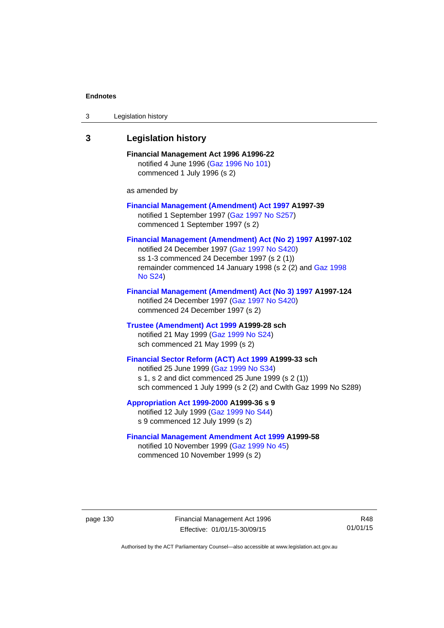| 3 | Legislation history                                                                                                                                                                                                                      |
|---|------------------------------------------------------------------------------------------------------------------------------------------------------------------------------------------------------------------------------------------|
| 3 | <b>Legislation history</b>                                                                                                                                                                                                               |
|   | Financial Management Act 1996 A1996-22<br>notified 4 June 1996 (Gaz 1996 No 101)<br>commenced 1 July 1996 (s 2)                                                                                                                          |
|   | as amended by                                                                                                                                                                                                                            |
|   | <b>Financial Management (Amendment) Act 1997 A1997-39</b><br>notified 1 September 1997 (Gaz 1997 No S257)<br>commenced 1 September 1997 (s 2)                                                                                            |
|   | Financial Management (Amendment) Act (No 2) 1997 A1997-102<br>notified 24 December 1997 (Gaz 1997 No S420)<br>ss 1-3 commenced 24 December 1997 (s 2 (1))<br>remainder commenced 14 January 1998 (s 2 (2) and Gaz 1998<br><b>No S24)</b> |
|   | Financial Management (Amendment) Act (No 3) 1997 A1997-124<br>notified 24 December 1997 (Gaz 1997 No S420)<br>commenced 24 December 1997 (s 2)                                                                                           |
|   | Trustee (Amendment) Act 1999 A1999-28 sch<br>notified 21 May 1999 (Gaz 1999 No S24)<br>sch commenced 21 May 1999 (s 2)                                                                                                                   |
|   | Financial Sector Reform (ACT) Act 1999 A1999-33 sch<br>notified 25 June 1999 (Gaz 1999 No S34)<br>s 1, s 2 and dict commenced 25 June 1999 (s 2 (1))<br>sch commenced 1 July 1999 (s 2 (2) and Cwlth Gaz 1999 No S289)                   |
|   | Appropriation Act 1999-2000 A1999-36 s 9<br>notified 12 July 1999 (Gaz 1999 No S44)<br>s 9 commenced 12 July 1999 (s 2)                                                                                                                  |
|   | <b>Financial Management Amendment Act 1999 A1999-58</b><br>notified 10 November 1999 (Gaz 1999 No 45)<br>commenced 10 November 1999 (s 2)                                                                                                |

page 130 Financial Management Act 1996 Effective: 01/01/15-30/09/15

R48 01/01/15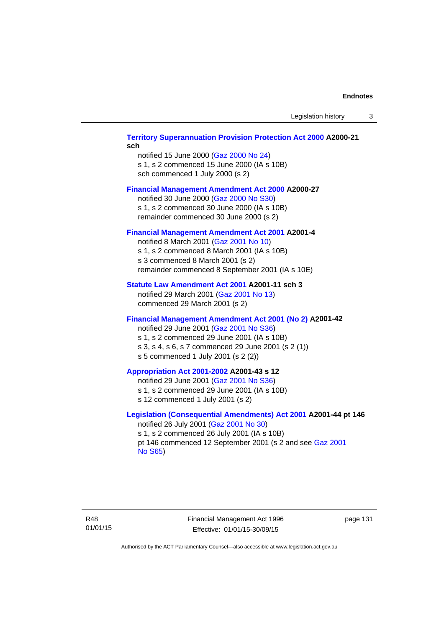#### **[Territory Superannuation Provision Protection Act 2000](http://www.legislation.act.gov.au/a/2000-21) A2000-21 sch**

notified 15 June 2000 ([Gaz 2000 No 24\)](http://www.legislation.act.gov.au/gaz/2000-24/default.asp) s 1, s 2 commenced 15 June 2000 (IA s 10B) sch commenced 1 July 2000 (s 2)

#### **[Financial Management Amendment Act 2000](http://www.legislation.act.gov.au/a/2000-27) A2000-27**

notified 30 June 2000 ([Gaz 2000 No S30](http://www.legislation.act.gov.au/gaz/2000-S30/default.asp)) s 1, s 2 commenced 30 June 2000 (IA s 10B) remainder commenced 30 June 2000 (s 2)

#### **[Financial Management Amendment Act 2001](http://www.legislation.act.gov.au/a/2001-4) A2001-4**

notified 8 March 2001 [\(Gaz 2001 No 10](http://www.legislation.act.gov.au/gaz/2001-10/default.asp)) s 1, s 2 commenced 8 March 2001 (IA s 10B) s 3 commenced 8 March 2001 (s 2) remainder commenced 8 September 2001 (IA s 10E)

#### **[Statute Law Amendment Act 2001](http://www.legislation.act.gov.au/a/2001-11) A2001-11 sch 3**

notified 29 March 2001 ([Gaz 2001 No 13\)](http://www.legislation.act.gov.au/gaz/2001-13/default.asp) commenced 29 March 2001 (s 2)

#### **[Financial Management Amendment Act 2001 \(No 2\)](http://www.legislation.act.gov.au/a/2001-42) A2001-42**

notified 29 June 2001 ([Gaz 2001 No S36](http://www.legislation.act.gov.au/gaz/2001-S36/default.asp)) s 1, s 2 commenced 29 June 2001 (IA s 10B) s 3, s 4, s 6, s 7 commenced 29 June 2001 (s 2 (1)) s 5 commenced 1 July 2001 (s 2 (2))

### **[Appropriation Act 2001-2002](http://www.legislation.act.gov.au/a/2001-43/default.asp) A2001-43 s 12**

notified 29 June 2001 ([Gaz 2001 No S36](http://www.legislation.act.gov.au/gaz/2001-S36/default.asp)) s 1, s 2 commenced 29 June 2001 (IA s 10B) s 12 commenced 1 July 2001 (s 2)

### **[Legislation \(Consequential Amendments\) Act 2001](http://www.legislation.act.gov.au/a/2001-44) A2001-44 pt 146**

notified 26 July 2001 ([Gaz 2001 No 30\)](http://www.legislation.act.gov.au/gaz/2001-30/default.asp) s 1, s 2 commenced 26 July 2001 (IA s 10B) pt 146 commenced 12 September 2001 (s 2 and see [Gaz 2001](http://www.legislation.act.gov.au/gaz/2001-S65/default.asp)  [No S65](http://www.legislation.act.gov.au/gaz/2001-S65/default.asp))

Financial Management Act 1996 Effective: 01/01/15-30/09/15

page 131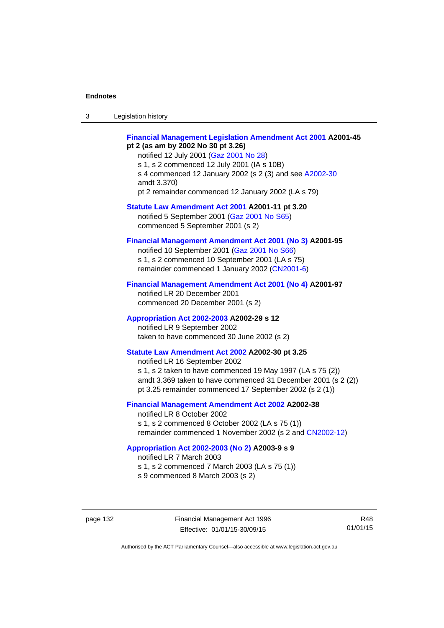| $\sqrt{2}$<br>- 3 | Legislation history |  |
|-------------------|---------------------|--|
|-------------------|---------------------|--|

#### **[Financial Management Legislation Amendment Act 2001](http://www.legislation.act.gov.au/a/2001-45) A2001-45 pt 2 (as am by 2002 No 30 pt 3.26)**

notified 12 July 2001 ([Gaz 2001 No 28\)](http://www.legislation.act.gov.au/gaz/2001-28/default.asp) s 1, s 2 commenced 12 July 2001 (IA s 10B) s 4 commenced 12 January 2002 (s 2 (3) and see [A2002-30](http://www.legislation.act.gov.au/a/2002-30/default.asp) amdt 3.370) pt 2 remainder commenced 12 January 2002 (LA s 79)

**[Statute Law Amendment Act 2001](http://www.legislation.act.gov.au/a/2001-11) A2001-11 pt 3.20**  notified 5 September 2001 [\(Gaz 2001 No S65\)](http://www.legislation.act.gov.au/gaz/2001-S65/default.asp) commenced 5 September 2001 (s 2)

#### **[Financial Management Amendment Act 2001 \(No 3\)](http://www.legislation.act.gov.au/a/2001-95) A2001-95**

notified 10 September 2001 [\(Gaz 2001 No S66\)](http://www.legislation.act.gov.au/gaz/2001-S66/default.asp) s 1, s 2 commenced 10 September 2001 (LA s 75) remainder commenced 1 January 2002 [\(CN2001-6\)](http://www.legislation.act.gov.au/cn/2001-6/default.asp)

#### **[Financial Management Amendment Act 2001 \(No 4\)](http://www.legislation.act.gov.au/a/2001-97) A2001-97**

notified LR 20 December 2001 commenced 20 December 2001 (s 2)

#### **[Appropriation Act 2002-2003](http://www.legislation.act.gov.au/a/2002-29/default.asp) A2002-29 s 12**

notified LR 9 September 2002 taken to have commenced 30 June 2002 (s 2)

### **[Statute Law Amendment Act 2002](http://www.legislation.act.gov.au/a/2002-30) A2002-30 pt 3.25**

notified LR 16 September 2002 s 1, s 2 taken to have commenced 19 May 1997 (LA s 75 (2)) amdt 3.369 taken to have commenced 31 December 2001 (s 2 (2)) pt 3.25 remainder commenced 17 September 2002 (s 2 (1))

### **[Financial Management Amendment Act 2002](http://www.legislation.act.gov.au/a/2002-38) A2002-38**

notified LR 8 October 2002 s 1, s 2 commenced 8 October 2002 (LA s 75 (1)) remainder commenced 1 November 2002 (s 2 and [CN2002-12](http://www.legislation.act.gov.au/cn/2002-12/default.asp))

#### **[Appropriation Act 2002-2003 \(No 2\)](http://www.legislation.act.gov.au/a/2003-9/default.asp) A2003-9 s 9**

notified LR 7 March 2003

s 1, s 2 commenced 7 March 2003 (LA s 75 (1))

s 9 commenced 8 March 2003 (s 2)

page 132 Financial Management Act 1996 Effective: 01/01/15-30/09/15

R48 01/01/15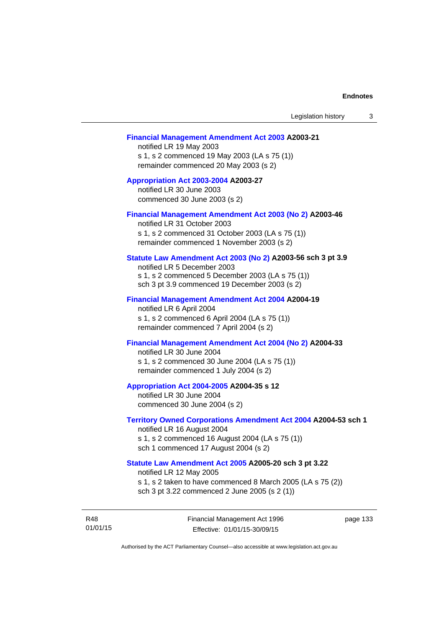#### **[Financial Management Amendment Act 2003](http://www.legislation.act.gov.au/a/2003-21) A2003-21**

notified LR 19 May 2003 s 1, s 2 commenced 19 May 2003 (LA s 75 (1)) remainder commenced 20 May 2003 (s 2)

#### **[Appropriation Act 2003-2004](http://www.legislation.act.gov.au/a/2003-27/default.asp) A2003-27**  notified LR 30 June 2003

commenced 30 June 2003 (s 2)

#### **[Financial Management Amendment Act 2003 \(No 2\)](http://www.legislation.act.gov.au/a/2003-46) A2003-46**

notified LR 31 October 2003 s 1, s 2 commenced 31 October 2003 (LA s 75 (1)) remainder commenced 1 November 2003 (s 2)

#### **[Statute Law Amendment Act 2003 \(No 2\)](http://www.legislation.act.gov.au/a/2003-56) A2003-56 sch 3 pt 3.9**

notified LR 5 December 2003 s 1, s 2 commenced 5 December 2003 (LA s 75 (1)) sch 3 pt 3.9 commenced 19 December 2003 (s 2)

#### **[Financial Management Amendment Act 2004](http://www.legislation.act.gov.au/a/2004-19) A2004-19**

notified LR 6 April 2004 s 1, s 2 commenced 6 April 2004 (LA s 75 (1)) remainder commenced 7 April 2004 (s 2)

### **[Financial Management Amendment Act 2004 \(No 2\)](http://www.legislation.act.gov.au/a/2004-33) A2004-33**

notified LR 30 June 2004 s 1, s 2 commenced 30 June 2004 (LA s 75 (1)) remainder commenced 1 July 2004 (s 2)

#### **[Appropriation Act 2004-2005](http://www.legislation.act.gov.au/a/2004-35/default.asp) A2004-35 s 12**

notified LR 30 June 2004 commenced 30 June 2004 (s 2)

### **[Territory Owned Corporations Amendment Act 2004](http://www.legislation.act.gov.au/a/2004-53) A2004-53 sch 1**

notified LR 16 August 2004 s 1, s 2 commenced 16 August 2004 (LA s 75 (1)) sch 1 commenced 17 August 2004 (s 2)

### **[Statute Law Amendment Act 2005](http://www.legislation.act.gov.au/a/2005-20) A2005-20 sch 3 pt 3.22**

notified LR 12 May 2005

s 1, s 2 taken to have commenced 8 March 2005 (LA s 75 (2))

sch 3 pt 3.22 commenced 2 June 2005 (s 2 (1))

R48 01/01/15 Financial Management Act 1996 Effective: 01/01/15-30/09/15

page 133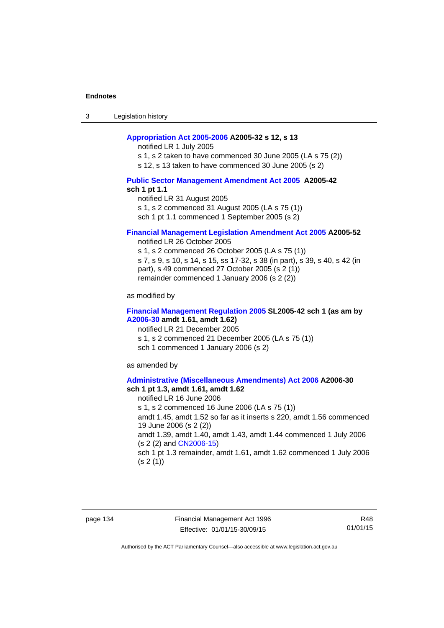3 Legislation history

#### **[Appropriation Act 2005-2006](http://www.legislation.act.gov.au/a/2005-32/default.asp) A2005-32 s 12, s 13**

notified LR 1 July 2005

s 1, s 2 taken to have commenced 30 June 2005 (LA s 75 (2))

s 12, s 13 taken to have commenced 30 June 2005 (s 2)

#### **[Public Sector Management Amendment Act 2005](http://www.legislation.act.gov.au/a/2005-42/default.asp) A2005-42 sch 1 pt 1.1**

notified LR 31 August 2005 s 1, s 2 commenced 31 August 2005 (LA s 75 (1)) sch 1 pt 1.1 commenced 1 September 2005 (s 2)

#### **[Financial Management Legislation Amendment Act 2005](http://www.legislation.act.gov.au/a/2005-52) A2005-52**

notified LR 26 October 2005

s 1, s 2 commenced 26 October 2005 (LA s 75 (1)) s 7, s 9, s 10, s 14, s 15, ss 17-32, s 38 (in part), s 39, s 40, s 42 (in part), s 49 commenced 27 October 2005 (s 2 (1)) remainder commenced 1 January 2006 (s 2 (2))

as modified by

#### **[Financial Management Regulation 2005](http://www.legislation.act.gov.au/sl/2005-42) SL2005-42 sch 1 (as am by [A2006-30](http://www.legislation.act.gov.au/a/2006-30) amdt 1.61, amdt 1.62)**

notified LR 21 December 2005 s 1, s 2 commenced 21 December 2005 (LA s 75 (1)) sch 1 commenced 1 January 2006 (s 2)

as amended by

#### **[Administrative \(Miscellaneous Amendments\) Act 2006](http://www.legislation.act.gov.au/a/2006-30) A2006-30 sch 1 pt 1.3, amdt 1.61, amdt 1.62**

notified LR 16 June 2006 s 1, s 2 commenced 16 June 2006 (LA s 75 (1)) amdt 1.45, amdt 1.52 so far as it inserts s 220, amdt 1.56 commenced 19 June 2006 (s 2 (2)) amdt 1.39, amdt 1.40, amdt 1.43, amdt 1.44 commenced 1 July 2006 (s 2 (2) and [CN2006-15](http://www.legislation.act.gov.au/cn/2006-15/default.asp)) sch 1 pt 1.3 remainder, amdt 1.61, amdt 1.62 commenced 1 July 2006  $(s 2(1))$ 

page 134 Financial Management Act 1996 Effective: 01/01/15-30/09/15

R48 01/01/15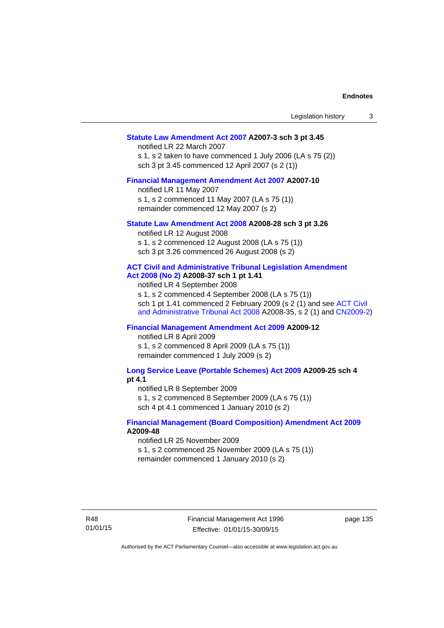| Statute Law Amendment Act 2007 A2007-3 sch 3 pt 3.45       |  |
|------------------------------------------------------------|--|
| notified LR 22 March 2007                                  |  |
| s 1, s 2 taken to have commenced 1 July 2006 (LA s 75 (2)) |  |
| sch 3 pt 3.45 commenced 12 April 2007 (s 2 (1))            |  |

Legislation history 3

# **[Financial Management Amendment Act 2007](http://www.legislation.act.gov.au/a/2007-10) A2007-10**

notified LR 11 May 2007 s 1, s 2 commenced 11 May 2007 (LA s 75 (1)) remainder commenced 12 May 2007 (s 2)

# **[Statute Law Amendment Act 2008](http://www.legislation.act.gov.au/a/2008-28) A2008-28 sch 3 pt 3.26**

notified LR 12 August 2008 s 1, s 2 commenced 12 August 2008 (LA s 75 (1)) sch 3 pt 3.26 commenced 26 August 2008 (s 2)

# **[ACT Civil and Administrative Tribunal Legislation Amendment](http://www.legislation.act.gov.au/a/2008-37)**

**[Act 2008 \(No 2\)](http://www.legislation.act.gov.au/a/2008-37) A2008-37 sch 1 pt 1.41** 

notified LR 4 September 2008

s 1, s 2 commenced 4 September 2008 (LA s 75 (1)) sch 1 pt 1.41 commenced 2 February 2009 (s 2 (1) and see [ACT Civil](http://www.legislation.act.gov.au/a/2008-35)  [and Administrative Tribunal Act 2008](http://www.legislation.act.gov.au/a/2008-35) A2008-35, s 2 (1) and [CN2009-2](http://www.legislation.act.gov.au/cn/2009-2/default.asp))

# **[Financial Management Amendment Act 2009](http://www.legislation.act.gov.au/a/2009-12) A2009-12**

notified LR 8 April 2009

s 1, s 2 commenced 8 April 2009 (LA s 75 (1)) remainder commenced 1 July 2009 (s 2)

**[Long Service Leave \(Portable Schemes\) Act 2009](http://www.legislation.act.gov.au/a/2009-25) A2009-25 sch 4 pt 4.1** 

notified LR 8 September 2009

s 1, s 2 commenced 8 September 2009 (LA s 75 (1))

sch 4 pt 4.1 commenced 1 January 2010 (s 2)

# **[Financial Management \(Board Composition\) Amendment Act 2009](http://www.legislation.act.gov.au/a/2009-48) A2009-48**

notified LR 25 November 2009

s 1, s 2 commenced 25 November 2009 (LA s 75 (1))

remainder commenced 1 January 2010 (s 2)

R48 01/01/15 Financial Management Act 1996 Effective: 01/01/15-30/09/15

page 135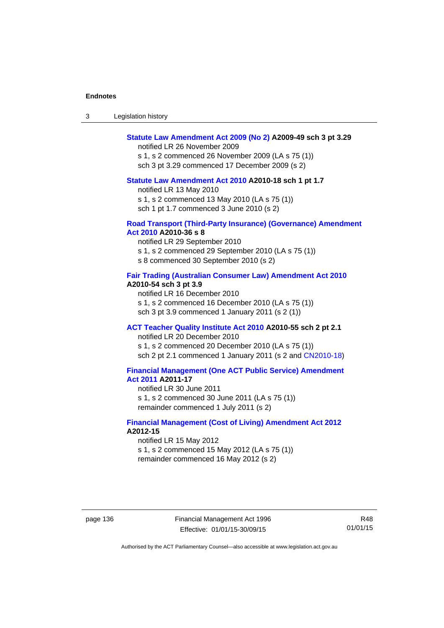| 3 | Legislation history |  |
|---|---------------------|--|
|---|---------------------|--|

# **[Statute Law Amendment Act 2009 \(No 2\)](http://www.legislation.act.gov.au/a/2009-49) A2009-49 sch 3 pt 3.29**

notified LR 26 November 2009

s 1, s 2 commenced 26 November 2009 (LA s 75 (1)) sch 3 pt 3.29 commenced 17 December 2009 (s 2)

#### **[Statute Law Amendment Act 2010](http://www.legislation.act.gov.au/a/2010-18) A2010-18 sch 1 pt 1.7**

notified LR 13 May 2010 s 1, s 2 commenced 13 May 2010 (LA s 75 (1))

sch 1 pt 1.7 commenced 3 June 2010 (s 2)

#### **[Road Transport \(Third-Party Insurance\) \(Governance\) Amendment](http://www.legislation.act.gov.au/a/2010-36)  [Act 2010](http://www.legislation.act.gov.au/a/2010-36) A2010-36 s 8**

notified LR 29 September 2010 s 1, s 2 commenced 29 September 2010 (LA s 75 (1)) s 8 commenced 30 September 2010 (s 2)

### **[Fair Trading \(Australian Consumer Law\) Amendment Act 2010](http://www.legislation.act.gov.au/a/2010-54) A2010-54 sch 3 pt 3.9**

notified LR 16 December 2010 s 1, s 2 commenced 16 December 2010 (LA s 75 (1)) sch 3 pt 3.9 commenced 1 January 2011 (s 2 (1))

# **[ACT Teacher Quality Institute Act 2010](http://www.legislation.act.gov.au/a/2010-55) A2010-55 sch 2 pt 2.1**

notified LR 20 December 2010

s 1, s 2 commenced 20 December 2010 (LA s 75 (1)) sch 2 pt 2.1 commenced 1 January 2011 (s 2 and [CN2010-18\)](http://www.legislation.act.gov.au/cn/2010-18/default.asp)

# **[Financial Management \(One ACT Public Service\) Amendment](http://www.legislation.act.gov.au/a/2011-17)  [Act 2011](http://www.legislation.act.gov.au/a/2011-17) A2011-17**

notified LR 30 June 2011 s 1, s 2 commenced 30 June 2011 (LA s 75 (1)) remainder commenced 1 July 2011 (s 2)

# **[Financial Management \(Cost of Living\) Amendment Act 2012](http://www.legislation.act.gov.au/a/2012-15) A2012-15**

notified LR 15 May 2012 s 1, s 2 commenced 15 May 2012 (LA s 75 (1)) remainder commenced 16 May 2012 (s 2)

page 136 Financial Management Act 1996 Effective: 01/01/15-30/09/15

R48 01/01/15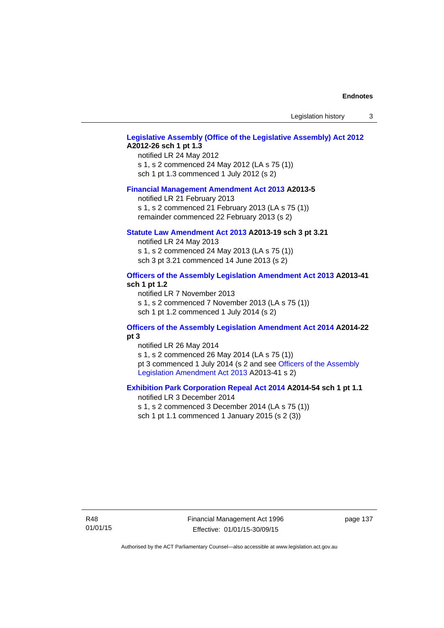Legislation history 3

### **[Legislative Assembly \(Office of the Legislative Assembly\) Act 2012](http://www.legislation.act.gov.au/a/2012-26) A2012-26 sch 1 pt 1.3**

notified LR 24 May 2012 s 1, s 2 commenced 24 May 2012 (LA s 75 (1)) sch 1 pt 1.3 commenced 1 July 2012 (s 2)

### **[Financial Management Amendment Act 2013](http://www.legislation.act.gov.au/a/2013-5/default.asp) A2013-5**

notified LR 21 February 2013 s 1, s 2 commenced 21 February 2013 (LA s 75 (1)) remainder commenced 22 February 2013 (s 2)

### **[Statute Law Amendment Act 2013](http://www.legislation.act.gov.au/a/2013-19) A2013-19 sch 3 pt 3.21**

notified LR 24 May 2013 s 1, s 2 commenced 24 May 2013 (LA s 75 (1)) sch 3 pt 3.21 commenced 14 June 2013 (s 2)

# **[Officers of the Assembly Legislation Amendment Act 2013](http://www.legislation.act.gov.au/a/2013-41/default.asp) A2013-41 sch 1 pt 1.2**

notified LR 7 November 2013 s 1, s 2 commenced 7 November 2013 (LA s 75 (1)) sch 1 pt 1.2 commenced 1 July 2014 (s 2)

# **[Officers of the Assembly Legislation Amendment Act 2014](http://www.legislation.act.gov.au/a/2014-22/default.asp) A2014-22 pt 3**

notified LR 26 May 2014 s 1, s 2 commenced 26 May 2014 (LA s 75 (1)) pt 3 commenced 1 July 2014 (s 2 and see [Officers of the Assembly](http://www.legislation.act.gov.au/a/2013-41/default.asp)  [Legislation Amendment Act 2013](http://www.legislation.act.gov.au/a/2013-41/default.asp) A2013-41 s 2)

# **[Exhibition Park Corporation Repeal Act 2014](http://www.legislation.act.gov.au/a/2014-54/default.asp) A2014-54 sch 1 pt 1.1**

notified LR 3 December 2014 s 1, s 2 commenced 3 December 2014 (LA s 75 (1)) sch 1 pt 1.1 commenced 1 January 2015 (s 2 (3))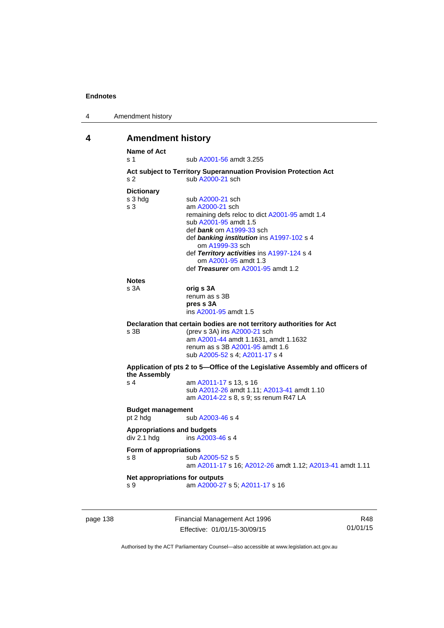| 4 | Amendment history |
|---|-------------------|
|---|-------------------|

# **4 Amendment history**

| Name of Act<br>$\boldsymbol{\mathsf{s}}$ 1 | sub A2001-56 amdt 3.255                                                             |
|--------------------------------------------|-------------------------------------------------------------------------------------|
|                                            | Act subject to Territory Superannuation Provision Protection Act                    |
| S <sub>2</sub>                             | sub A2000-21 sch                                                                    |
| <b>Dictionary</b>                          |                                                                                     |
| s 3 hdg                                    | sub A2000-21 sch                                                                    |
| s <sub>3</sub>                             | am A2000-21 sch                                                                     |
|                                            | remaining defs reloc to dict A2001-95 amdt 1.4                                      |
|                                            | sub A2001-95 amdt 1.5                                                               |
|                                            | def bank om A1999-33 sch                                                            |
|                                            | def banking institution ins A1997-102 s 4                                           |
|                                            | om A1999-33 sch                                                                     |
|                                            | def Territory activities ins A1997-124 s 4<br>om A2001-95 amdt 1.3                  |
|                                            | def Treasurer om A2001-95 amdt 1.2                                                  |
|                                            |                                                                                     |
| <b>Notes</b>                               |                                                                                     |
| s <sub>3A</sub>                            | orig s 3A                                                                           |
|                                            | renum as s 3B<br>pres s 3A                                                          |
|                                            | ins A2001-95 amdt 1.5                                                               |
|                                            |                                                                                     |
|                                            | Declaration that certain bodies are not territory authorities for Act               |
| $s$ 3B                                     | (prev s 3A) ins A2000-21 sch                                                        |
|                                            | am A2001-44 amdt 1.1631, amdt 1.1632<br>renum as s 3B A2001-95 amdt 1.6             |
|                                            | sub A2005-52 s 4; A2011-17 s 4                                                      |
|                                            | Application of pts 2 to 5-Office of the Legislative Assembly and officers of        |
| the Assembly                               |                                                                                     |
| s <sub>4</sub>                             | am A2011-17 s 13, s 16                                                              |
|                                            | sub A2012-26 amdt 1.11; A2013-41 amdt 1.10<br>am A2014-22 s 8, s 9; ss renum R47 LA |
|                                            |                                                                                     |
| <b>Budget management</b>                   |                                                                                     |
| pt 2 hdg                                   | sub A2003-46 s 4                                                                    |
| <b>Appropriations and budgets</b>          |                                                                                     |
| div 2.1 hdg                                | ins A2003-46 s 4                                                                    |
| Form of appropriations                     |                                                                                     |
| s <sub>8</sub>                             | sub A2005-52 s 5                                                                    |
|                                            | am A2011-17 s 16; A2012-26 amdt 1.12; A2013-41 amdt 1.11                            |
| Net appropriations for outputs             |                                                                                     |
| s 9                                        | am A2000-27 s 5; A2011-17 s 16                                                      |

page 138 Financial Management Act 1996 Effective: 01/01/15-30/09/15

R48 01/01/15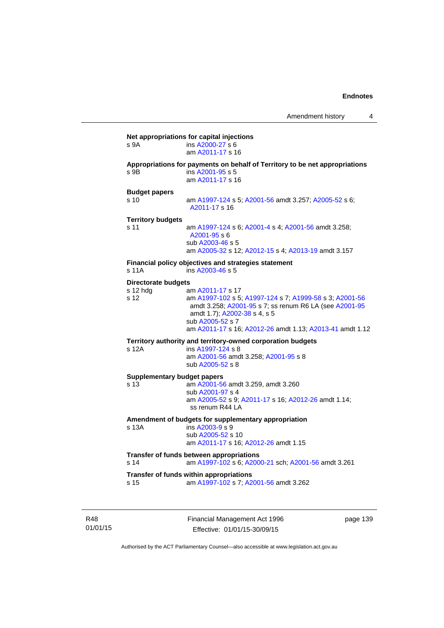| s 9A                       | ins A2000-27 s 6                                                            |
|----------------------------|-----------------------------------------------------------------------------|
|                            | am A2011-17 s 16                                                            |
|                            | Appropriations for payments on behalf of Territory to be net appropriations |
| s 9B                       | ins A2001-95 s 5                                                            |
|                            | am A2011-17 s 16                                                            |
| <b>Budget papers</b>       |                                                                             |
| s 10                       | am A1997-124 s 5; A2001-56 amdt 3.257; A2005-52 s 6;                        |
|                            | A2011-17 s 16                                                               |
| <b>Territory budgets</b>   |                                                                             |
| s 11                       | am A1997-124 s 6; A2001-4 s 4; A2001-56 amdt 3.258;                         |
|                            | $A2001 - 95s$                                                               |
|                            | sub A2003-46 s 5                                                            |
|                            | am A2005-32 s 12; A2012-15 s 4; A2013-19 amdt 3.157                         |
|                            | Financial policy objectives and strategies statement                        |
| s 11A                      | ins A2003-46 s 5                                                            |
| <b>Directorate budgets</b> |                                                                             |
| s 12 hdg                   | am A2011-17 s 17                                                            |
| s 12                       | am A1997-102 s 5; A1997-124 s 7; A1999-58 s 3; A2001-56                     |
|                            | amdt 3.258; A2001-95 s 7; ss renum R6 LA (see A2001-95                      |
|                            | amdt 1.7); A2002-38 s 4, s 5                                                |
|                            | sub A2005-52 s 7                                                            |
|                            | am A2011-17 s 16; A2012-26 amdt 1.13; A2013-41 amdt 1.12                    |
|                            | Territory authority and territory-owned corporation budgets                 |
| s 12A                      | ins A1997-124 s 8                                                           |
|                            | am A2001-56 amdt 3.258; A2001-95 s 8                                        |
|                            | sub A2005-52 s 8                                                            |
|                            | <b>Supplementary budget papers</b>                                          |
| s 13                       | am A2001-56 amdt 3.259, amdt 3.260                                          |
|                            | sub A2001-97 s 4                                                            |
|                            | am A2005-52 s 9; A2011-17 s 16; A2012-26 amdt 1.14;                         |
|                            | ss renum R44 LA                                                             |
|                            | Amendment of budgets for supplementary appropriation                        |
| s 13A                      | ins A2003-9 s 9                                                             |
|                            | sub A2005-52 s 10                                                           |
|                            | am A2011-17 s 16; A2012-26 amdt 1.15                                        |
|                            | Transfer of funds between appropriations                                    |
| s <sub>14</sub>            | am A1997-102 s 6; A2000-21 sch; A2001-56 amdt 3.261                         |
|                            | Transfer of funds within appropriations                                     |
| s 15                       | am A1997-102 s 7; A2001-56 amdt 3.262                                       |

R48 01/01/15 Financial Management Act 1996 Effective: 01/01/15-30/09/15

page 139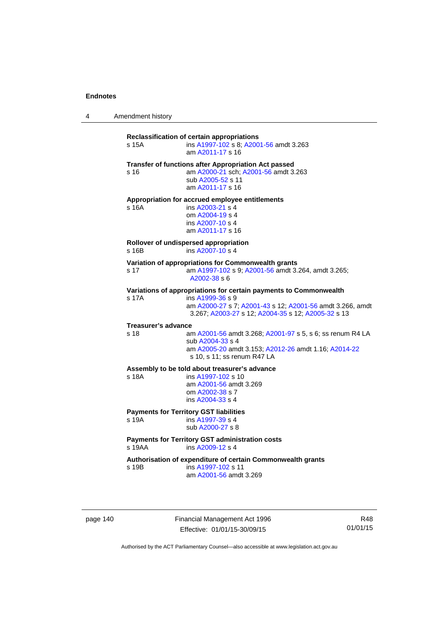4 Amendment history

**Reclassification of certain appropriations** s 15A ins [A1997-102](http://www.legislation.act.gov.au/a/1997-102) s 8; [A2001-56](http://www.legislation.act.gov.au/a/2001-56) amdt 3.263 am [A2011-17](http://www.legislation.act.gov.au/a/2011-17) s 16 **Transfer of functions after Appropriation Act passed**  s 16 am [A2000-21](http://www.legislation.act.gov.au/a/2000-21) sch; [A2001-56](http://www.legislation.act.gov.au/a/2001-56) amdt 3.263 sub [A2005-52](http://www.legislation.act.gov.au/a/2005-52) s 11 am [A2011-17](http://www.legislation.act.gov.au/a/2011-17) s 16 **Appropriation for accrued employee entitlements**  s 16A ins [A2003-21](http://www.legislation.act.gov.au/a/2003-21) s 4 om [A2004-19](http://www.legislation.act.gov.au/a/2004-19) s 4 ins [A2007-10](http://www.legislation.act.gov.au/a/2007-10) s 4 am [A2011-17](http://www.legislation.act.gov.au/a/2011-17) s 16 **Rollover of undispersed appropriation**  s 16B ins [A2007-10](http://www.legislation.act.gov.au/a/2007-10) s 4 **Variation of appropriations for Commonwealth grants** s 17 am [A1997-102](http://www.legislation.act.gov.au/a/1997-102) s 9; [A2001-56](http://www.legislation.act.gov.au/a/2001-56) amdt 3.264, amdt 3.265; [A2002-38](http://www.legislation.act.gov.au/a/2002-38) s 6 **Variations of appropriations for certain payments to Commonwealth**<br>s 17A **ins A1999-36 s** 9 ins [A1999-36](http://www.legislation.act.gov.au/a/1999-36) s 9 am [A2000-27](http://www.legislation.act.gov.au/a/2000-27) s 7; [A2001-43](http://www.legislation.act.gov.au/a/2001-43) s 12; [A2001-56](http://www.legislation.act.gov.au/a/2001-56) amdt 3.266, amdt 3.267; [A2003-27](http://www.legislation.act.gov.au/a/2003-27) s 12; [A2004-35](http://www.legislation.act.gov.au/a/2004-35) s 12; [A2005-32](http://www.legislation.act.gov.au/a/2005-32) s 13 **Treasurer's advance**  s 18 am [A2001-56](http://www.legislation.act.gov.au/a/2001-56) amdt 3.268; [A2001-97](http://www.legislation.act.gov.au/a/2001-97) s 5, s 6; ss renum R4 LA sub [A2004-33](http://www.legislation.act.gov.au/a/2004-33) s 4 am [A2005-20](http://www.legislation.act.gov.au/a/2005-20) amdt 3.153; [A2012-26](http://www.legislation.act.gov.au/a/2012-26) amdt 1.16; [A2014-22](http://www.legislation.act.gov.au/a/2014-22/default.asp) s 10, s 11; ss renum R47 LA **Assembly to be told about treasurer's advance** s 18A ins [A1997-102](http://www.legislation.act.gov.au/a/1997-102) s 10 am [A2001-56](http://www.legislation.act.gov.au/a/2001-56) amdt 3.269 om [A2002-38](http://www.legislation.act.gov.au/a/2002-38) s 7 ins [A2004-33](http://www.legislation.act.gov.au/a/2004-33) s 4 **Payments for Territory GST liabilities** s 19A ins [A1997-39](http://www.legislation.act.gov.au/a/1997-39) s 4 sub [A2000-27](http://www.legislation.act.gov.au/a/2000-27) s 8 **Payments for Territory GST administration costs**  s 19AA ins [A2009-12](http://www.legislation.act.gov.au/a/2009-12) s 4 **Authorisation of expenditure of certain Commonwealth grants**  s 19B ins [A1997-102](http://www.legislation.act.gov.au/a/1997-102) s 11 am [A2001-56](http://www.legislation.act.gov.au/a/2001-56) amdt 3.269

page 140 Financial Management Act 1996 Effective: 01/01/15-30/09/15

R48 01/01/15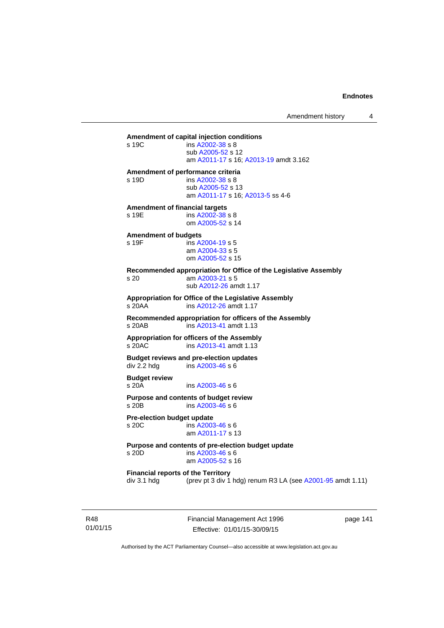**Amendment of capital injection conditions**   $ins A2002-38 s 8$  $ins A2002-38 s 8$  $ins A2002-38 s 8$  sub [A2005-52](http://www.legislation.act.gov.au/a/2005-52) s 12 am [A2011-17](http://www.legislation.act.gov.au/a/2011-17) s 16; [A2013-19](http://www.legislation.act.gov.au/a/2013-19) amdt 3.162

#### **Amendment of performance criteria**

s 19D ins [A2002-38](http://www.legislation.act.gov.au/a/2002-38) s 8 sub [A2005-52](http://www.legislation.act.gov.au/a/2005-52) s 13 am [A2011-17](http://www.legislation.act.gov.au/a/2011-17) s 16; [A2013-5](http://www.legislation.act.gov.au/a/2013-5/default.asp) ss 4-6

**Amendment of financial targets**  s 19E ins [A2002-38](http://www.legislation.act.gov.au/a/2002-38) s 8

om [A2005-52](http://www.legislation.act.gov.au/a/2005-52) s 14

#### **Amendment of budgets**

s 19F ins [A2004-19](http://www.legislation.act.gov.au/a/2004-19) s 5 am [A2004-33](http://www.legislation.act.gov.au/a/2004-33) s 5 om [A2005-52](http://www.legislation.act.gov.au/a/2005-52) s 15

**Recommended appropriation for Office of the Legislative Assembly**  s 20 am [A2003-21](http://www.legislation.act.gov.au/a/2003-21) s 5 sub [A2012-26](http://www.legislation.act.gov.au/a/2012-26) amdt 1.17

**Appropriation for Office of the Legislative Assembly**  s 20AA ins [A2012-26](http://www.legislation.act.gov.au/a/2012-26) amdt 1.17

**Recommended appropriation for officers of the Assembly**  s 20AB ins [A2013-41](http://www.legislation.act.gov.au/a/2013-41/default.asp) amdt 1.13

**Appropriation for officers of the Assembly**  s 20AC ins [A2013-41](http://www.legislation.act.gov.au/a/2013-41/default.asp) amdt 1.13

**Budget reviews and pre-election updates**  div 2.2 hdg ins [A2003-46](http://www.legislation.act.gov.au/a/2003-46) s 6

**Budget review** 

ins [A2003-46](http://www.legislation.act.gov.au/a/2003-46) s 6

**Purpose and contents of budget review**  s 20B ins [A2003-46](http://www.legislation.act.gov.au/a/2003-46) s 6

**Pre-election budget update**  s 20C ins [A2003-46](http://www.legislation.act.gov.au/a/2003-46) s 6 am [A2011-17](http://www.legislation.act.gov.au/a/2011-17) s 13

**Purpose and contents of pre-election budget update** 

ins [A2003-46](http://www.legislation.act.gov.au/a/2003-46) s 6 am [A2005-52](http://www.legislation.act.gov.au/a/2005-52) s 16

**Financial reports of the Territory**  div 3.1 hdg (prev pt 3 div 1 hdg) renum R3 LA (see [A2001-95](http://www.legislation.act.gov.au/a/2001-95) amdt 1.11)

R48 01/01/15 Financial Management Act 1996 Effective: 01/01/15-30/09/15

page 141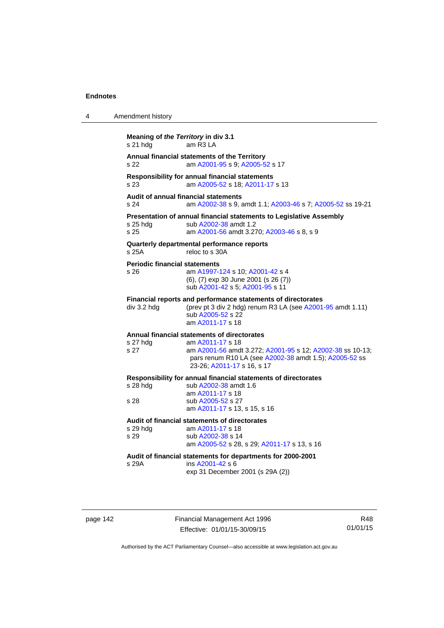| 4 | Amendment history                               |                                                                                                                                                                                                                      |
|---|-------------------------------------------------|----------------------------------------------------------------------------------------------------------------------------------------------------------------------------------------------------------------------|
|   | Meaning of the Territory in div 3.1<br>s 21 hdg | am R3 LA                                                                                                                                                                                                             |
|   | s 22                                            | Annual financial statements of the Territory<br>am A2001-95 s 9; A2005-52 s 17                                                                                                                                       |
|   | s 23                                            | <b>Responsibility for annual financial statements</b><br>am A2005-52 s 18; A2011-17 s 13                                                                                                                             |
|   | s 24                                            | Audit of annual financial statements<br>am A2002-38 s 9, amdt 1.1; A2003-46 s 7; A2005-52 ss 19-21                                                                                                                   |
|   | $s$ 25 hdg<br>s 25                              | Presentation of annual financial statements to Legislative Assembly<br>sub A2002-38 amdt 1.2<br>am A2001-56 amdt 3.270; A2003-46 s 8, s 9                                                                            |
|   | s 25A                                           | Quarterly departmental performance reports<br>reloc to s 30A                                                                                                                                                         |
|   | <b>Periodic financial statements</b><br>s 26    | am A1997-124 s 10; A2001-42 s 4<br>(6), (7) exp 30 June 2001 (s 26 (7))<br>sub A2001-42 s 5; A2001-95 s 11                                                                                                           |
|   | div 3.2 hdg                                     | Financial reports and performance statements of directorates<br>(prev pt 3 div 2 hdg) renum R3 LA (see A2001-95 amdt 1.11)<br>sub A2005-52 s 22<br>am A2011-17 s 18                                                  |
|   | s 27 hdg<br>s 27                                | Annual financial statements of directorates<br>am A2011-17 s 18<br>am A2001-56 amdt 3.272; A2001-95 s 12; A2002-38 ss 10-13;<br>pars renum R10 LA (see A2002-38 amdt 1.5); A2005-52 ss<br>23-26; A2011-17 s 16, s 17 |
|   | s 28 hdg<br>s 28                                | Responsibility for annual financial statements of directorates<br>sub A2002-38 amdt 1.6<br>am A2011-17 s 18<br>sub A2005-52 s 27<br>am A2011-17 s 13, s 15, s 16                                                     |
|   | s 29 hdg<br>s 29                                | Audit of financial statements of directorates<br>am A2011-17 s 18<br>sub A2002-38 s 14<br>am A2005-52 s 28, s 29; A2011-17 s 13, s 16                                                                                |
|   | s 29A                                           | Audit of financial statements for departments for 2000-2001<br>ins A2001-42 s 6<br>exp 31 December 2001 (s 29A (2))                                                                                                  |
|   |                                                 |                                                                                                                                                                                                                      |

page 142 Financial Management Act 1996 Effective: 01/01/15-30/09/15

R48 01/01/15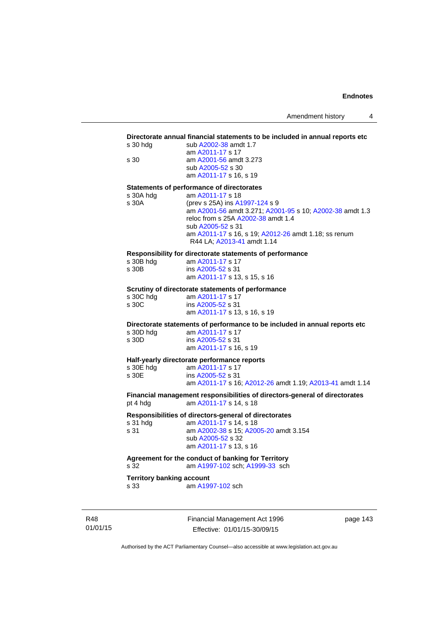#### **Directorate annual financial statements to be included in annual reports etc**

| s 30 hdg | sub A2002-38 amdt 1.7  |
|----------|------------------------|
|          | am A2011-17 s 17       |
| s 30     | am A2001-56 amdt 3.273 |
|          | sub A2005-52 s 30      |
|          | am A2011-17 s 16, s 19 |
|          |                        |

#### **Statements of performance of directorates**

| s 30A hdg | am A2011-17 s 18                                         |
|-----------|----------------------------------------------------------|
| s 30A     | (prev s 25A) ins A1997-124 s 9                           |
|           | am A2001-56 amdt 3.271; A2001-95 s 10; A2002-38 amdt 1.3 |
|           | reloc from s 25A A2002-38 amdt 1.4                       |
|           | sub A2005-52 s 31                                        |
|           | am A2011-17 s 16, s 19; A2012-26 amdt 1.18; ss renum     |
|           | R44 LA; A2013-41 amdt 1.14                               |

#### **Responsibility for directorate statements of performance**

| s 30B hdg | am A2011-17 s 17             |
|-----------|------------------------------|
| s 30B     | ins A2005-52 s 31            |
|           | am A2011-17 s 13, s 15, s 16 |

#### **Scrutiny of directorate statements of performance**

| s 30C hdg | am A2011-17 s 17             |
|-----------|------------------------------|
| s 30C     | ins A2005-52 s 31            |
|           | am A2011-17 s 13, s 16, s 19 |

**Directorate statements of performance to be included in annual reports etc** 

| s 30D hdg | am A2011-17 s 17       |
|-----------|------------------------|
| s 30D     | ins A2005-52 s 31      |
|           | am A2011-17 s 16, s 19 |

#### **Half-yearly directorate performance reports**

| s 30E hdg | am A2011-17 s 17                                         |
|-----------|----------------------------------------------------------|
| s 30E     | ins A2005-52 s 31                                        |
|           | am A2011-17 s 16; A2012-26 amdt 1.19; A2013-41 amdt 1.14 |

**Financial management responsibilities of directors-general of directorates**  pt 4 hdg am [A2011-17](http://www.legislation.act.gov.au/a/2011-17) s 14, s 18

# **Responsibilities of directors-general of directorates**

s 31 hdg am [A2011-17](http://www.legislation.act.gov.au/a/2011-17) s 14, s 18 s 31 am [A2002-38](http://www.legislation.act.gov.au/a/2002-38) s 15; [A2005-20](http://www.legislation.act.gov.au/a/2005-20) amdt 3.154 sub [A2005-52](http://www.legislation.act.gov.au/a/2005-52) s 32 am [A2011-17](http://www.legislation.act.gov.au/a/2011-17) s 13, s 16

# **Agreement for the conduct of banking for Territory**

s 32 am [A1997-102](http://www.legislation.act.gov.au/a/1997-102) sch; [A1999-33](http://www.legislation.act.gov.au/a/1999-33) sch

# **Territory banking account**<br>s 33 am A199

am [A1997-102](http://www.legislation.act.gov.au/a/1997-102) sch

R48 01/01/15 Financial Management Act 1996 Effective: 01/01/15-30/09/15

page 143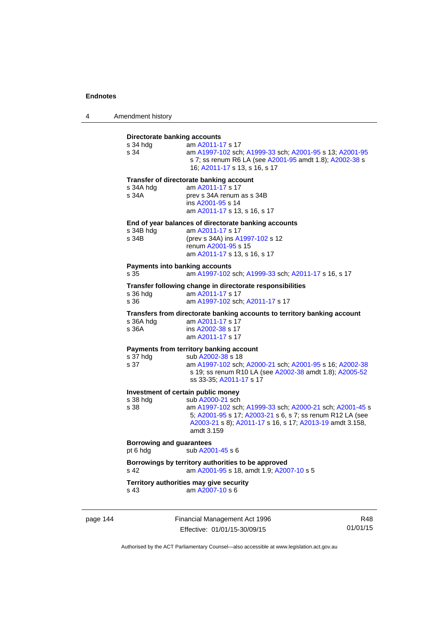| 4 | Amendment history |  |
|---|-------------------|--|
|---|-------------------|--|

| Directorate banking accounts<br>s 34 hda<br>s 34       | am A2011-17 s 17<br>am A1997-102 sch; A1999-33 sch; A2001-95 s 13; A2001-95<br>s 7; ss renum R6 LA (see A2001-95 amdt 1.8); A2002-38 s<br>16; A2011-17 s 13, s 16, s 17                                             |
|--------------------------------------------------------|---------------------------------------------------------------------------------------------------------------------------------------------------------------------------------------------------------------------|
| s 34A hdg<br>s 34A                                     | Transfer of directorate banking account<br>am A2011-17 s 17<br>prev s 34A renum as s 34B<br>ins A2001-95 s 14<br>am A2011-17 s 13, s 16, s 17                                                                       |
| s 34B hdg<br>s 34B                                     | End of year balances of directorate banking accounts<br>am A2011-17 s 17<br>(prev s 34A) ins A1997-102 s 12<br>renum A2001-95 s 15<br>am A2011-17 s 13, s 16, s 17                                                  |
| Payments into banking accounts<br>s 35                 | am A1997-102 sch; A1999-33 sch; A2011-17 s 16, s 17                                                                                                                                                                 |
| s 36 hda<br>s 36                                       | Transfer following change in directorate responsibilities<br>am A2011-17 s 17<br>am A1997-102 sch; A2011-17 s 17                                                                                                    |
| s 36A hdg<br>s 36A                                     | Transfers from directorate banking accounts to territory banking account<br>am A2011-17 s 17<br>ins A2002-38 s 17<br>am A2011-17 s 17                                                                               |
| s 37 hdg<br>s 37                                       | Payments from territory banking account<br>sub A2002-38 s 18<br>am A1997-102 sch; A2000-21 sch; A2001-95 s 16; A2002-38<br>s 19; ss renum R10 LA (see A2002-38 amdt 1.8); A2005-52<br>ss 33-35; A2011-17 s 17       |
| Investment of certain public money<br>s 38 hdg<br>s 38 | sub A2000-21 sch<br>am A1997-102 sch; A1999-33 sch; A2000-21 sch; A2001-45 s<br>5; A2001-95 s 17; A2003-21 s 6, s 7; ss renum R12 LA (see<br>A2003-21 s 8); A2011-17 s 16, s 17; A2013-19 amdt 3.158,<br>amdt 3.159 |
| <b>Borrowing and guarantees</b><br>pt 6 hdg            | sub A2001-45 s 6                                                                                                                                                                                                    |
| s 42                                                   | Borrowings by territory authorities to be approved<br>am A2001-95 s 18, amdt 1.9; A2007-10 s 5                                                                                                                      |
| s 43                                                   | Territory authorities may give security<br>am A2007-10 s 6                                                                                                                                                          |

page 144 Financial Management Act 1996 Effective: 01/01/15-30/09/15

R48 01/01/15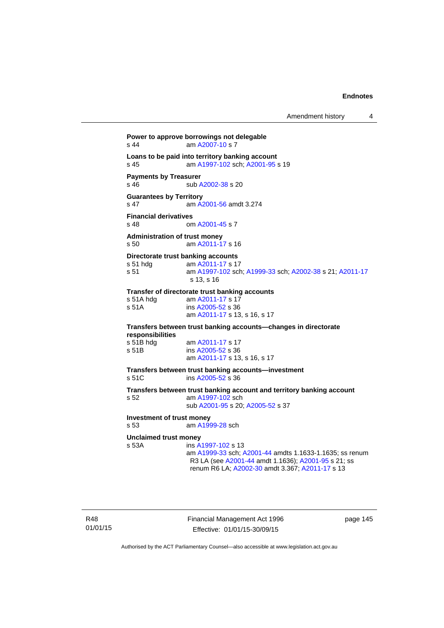Amendment history 4

```
Power to approve borrowings not delegable 
A2007-10 s 7
Loans to be paid into territory banking account
s 45 am A1997-102 sch; A2001-95 s 19 
Payments by Treasurer 
A2002-38 s 20
Guarantees by Territory 
s 47 am A2001-56 amdt 3.274
Financial derivatives<br>s 48 on
                A2001-45 s 7
Administration of trust money 
s 50 am A2011-17 s 16 
Directorate trust banking accounts
 A2011-17 s 17
s 51 am A1997-102 sch; A1999-33 sch; A2002-38 s 21; A2011-17
                 s 13, s 16 
Transfer of directorate trust banking accounts 
 A2011-17 s 17
s 51A ins A2005-52 s 36 
                am A2011-17 s 13, s 16, s 17 
Transfers between trust banking accounts—changes in directorate 
responsibilities 
 A2011-17 s 17<br>s 51B ins A2005-52 s 36
                A2005-52 s 36
                 am A2011-17 s 13, s 16, s 17 
Transfers between trust banking accounts—investment 
s 51C ins A2005-52 s 36 
Transfers between trust banking account and territory banking account 
s 52 am A1997-102 sch 
                 sub A2001-95 s 20; A2005-52 s 37 
Investment of trust money 
s 53 am A1999-28 sch 
Unclaimed trust money 
s 53A ins A1997-102 s 13 
                 am A1999-33 sch; A2001-44 amdts 1.1633-1.1635; ss renum 
                 R3 LA (see A2001-44 amdt 1.1636); A2001-95 s 21; ss 
                 renum R6 LA; A2002-30 amdt 3.367; A2011-17 s 13
```
Financial Management Act 1996 Effective: 01/01/15-30/09/15

page 145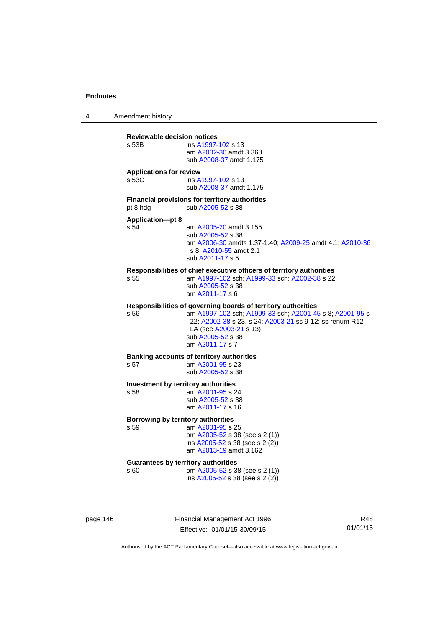4 Amendment history

| s 53B                                   | ins A1997-102 s 13<br>am A2002-30 amdt 3.368<br>sub A2008-37 amdt 1.175                                                                                                                                                                                |
|-----------------------------------------|--------------------------------------------------------------------------------------------------------------------------------------------------------------------------------------------------------------------------------------------------------|
| <b>Applications for review</b><br>s 53C | ins A1997-102 s 13<br>sub A2008-37 amdt 1.175                                                                                                                                                                                                          |
| pt 8 hdg                                | <b>Financial provisions for territory authorities</b><br>sub A2005-52 s 38                                                                                                                                                                             |
| <b>Application-pt 8</b><br>s 54         | am A2005-20 amdt 3.155<br>sub A2005-52 s 38<br>am A2006-30 amdts 1.37-1.40; A2009-25 amdt 4.1; A2010-36<br>s 8; A2010-55 amdt 2.1<br>sub A2011-17 s 5                                                                                                  |
| s 55                                    | Responsibilities of chief executive officers of territory authorities<br>am A1997-102 sch; A1999-33 sch; A2002-38 s 22<br>sub A2005-52 s 38<br>am A2011-17 s 6                                                                                         |
| s 56                                    | Responsibilities of governing boards of territory authorities<br>am A1997-102 sch; A1999-33 sch; A2001-45 s 8; A2001-95 s<br>22; A2002-38 s 23, s 24; A2003-21 ss 9-12; ss renum R12<br>LA (see A2003-21 s 13)<br>sub A2005-52 s 38<br>am A2011-17 s 7 |
| s 57                                    | <b>Banking accounts of territory authorities</b><br>am A2001-95 s 23<br>sub A2005-52 s 38                                                                                                                                                              |
| s 58                                    | Investment by territory authorities<br>am A2001-95 s 24<br>sub A2005-52 s 38<br>am A2011-17 s 16                                                                                                                                                       |
| s 59                                    | Borrowing by territory authorities<br>am A2001-95 s 25<br>om A2005-52 s 38 (see s 2 (1))<br>ins A2005-52 s 38 (see s 2 (2))<br>am A2013-19 amdt 3.162                                                                                                  |
| s 60                                    | <b>Guarantees by territory authorities</b><br>om A2005-52 s 38 (see s 2 (1))<br>ins A2005-52 s 38 (see s 2 (2))                                                                                                                                        |

page 146 Financial Management Act 1996 Effective: 01/01/15-30/09/15

R48 01/01/15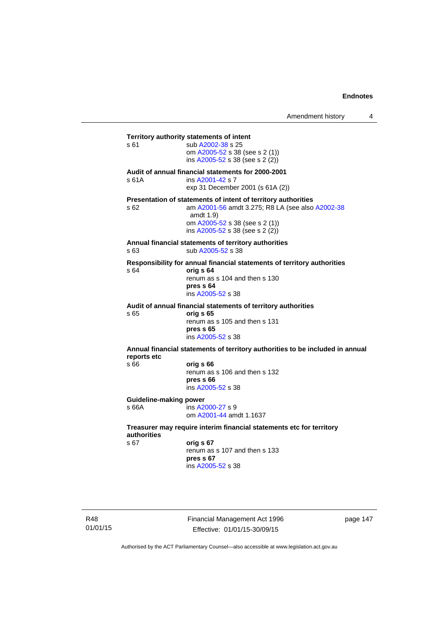**Territory authority statements of intent**  s 61 sub [A2002-38](http://www.legislation.act.gov.au/a/2002-38) s 25 om [A2005-52](http://www.legislation.act.gov.au/a/2005-52) s 38 (see s 2 (1)) ins [A2005-52](http://www.legislation.act.gov.au/a/2005-52) s 38 (see s 2 (2)) **Audit of annual financial statements for 2000-2001**  s 61A ins [A2001-42](http://www.legislation.act.gov.au/a/2001-42) s 7 exp 31 December 2001 (s 61A (2)) **Presentation of statements of intent of territory authorities**  s 62 am [A2001-56](http://www.legislation.act.gov.au/a/2001-56) amdt 3.275; R8 LA (see also [A2002-38](http://www.legislation.act.gov.au/a/2002-38) amdt 1.9) om [A2005-52](http://www.legislation.act.gov.au/a/2005-52) s 38 (see s 2 (1)) ins [A2005-52](http://www.legislation.act.gov.au/a/2005-52) s 38 (see s 2 (2)) **Annual financial statements of territory authorities**  s 63 sub [A2005-52](http://www.legislation.act.gov.au/a/2005-52) s 38 **Responsibility for annual financial statements of territory authorities**  s 64 **orig s 64** renum as s 104 and then s 130 **pres s 64**  ins [A2005-52](http://www.legislation.act.gov.au/a/2005-52) s 38 **Audit of annual financial statements of territory authorities**  s 65 **orig s 65**  renum as s 105 and then s 131 **pres s 65**  ins [A2005-52](http://www.legislation.act.gov.au/a/2005-52) s 38 **Annual financial statements of territory authorities to be included in annual reports etc**  s 66 **orig s 66**  renum as s 106 and then s 132 **pres s 66**  ins [A2005-52](http://www.legislation.act.gov.au/a/2005-52) s 38 **Guideline-making power**  s 66A ins [A2000-27](http://www.legislation.act.gov.au/a/2000-27) s 9 om [A2001-44](http://www.legislation.act.gov.au/a/2001-44) amdt 1.1637 **Treasurer may require interim financial statements etc for territory authorities** s 67 **orig s 67**  renum as s 107 and then s 133 **pres s 67** 

ins [A2005-52](http://www.legislation.act.gov.au/a/2005-52) s 38

R48 01/01/15 Financial Management Act 1996 Effective: 01/01/15-30/09/15

page 147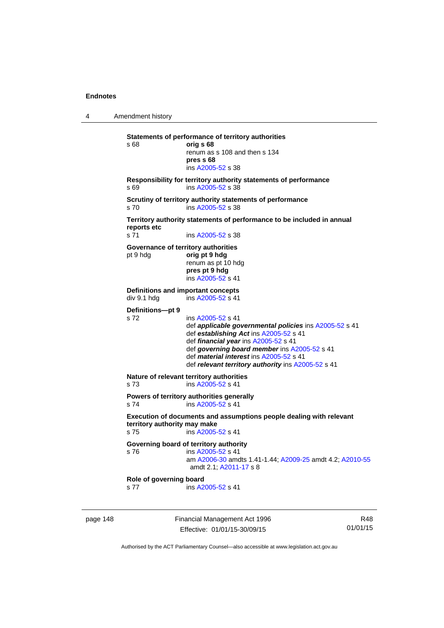4 Amendment history page 148 Financial Management Act 1996 R48 **Statements of performance of territory authorities**  s 68 **orig s 68**  renum as s 108 and then s 134 **pres s 68**  ins [A2005-52](http://www.legislation.act.gov.au/a/2005-52) s 38 **Responsibility for territory authority statements of performance**  s 69 ins [A2005-52](http://www.legislation.act.gov.au/a/2005-52) s 38 **Scrutiny of territory authority statements of performance**  s 70 ins [A2005-52](http://www.legislation.act.gov.au/a/2005-52) s 38 **Territory authority statements of performance to be included in annual reports etc**  s 71 ins [A2005-52](http://www.legislation.act.gov.au/a/2005-52) s 38 **Governance of territory authorities**  pt 9 hdg **orig pt 9 hdg**  renum as pt 10 hdg **pres pt 9 hdg**  ins [A2005-52](http://www.legislation.act.gov.au/a/2005-52) s 41 **Definitions and important concepts**<br>div 9.1 hdg ins A2005-52 s 41  $ins A2005-52 s 41$  $ins A2005-52 s 41$  $ins A2005-52 s 41$ **Definitions—pt 9**  s 72 ins [A2005-52](http://www.legislation.act.gov.au/a/2005-52) s 41 def *applicable governmental policies* ins [A2005-52](http://www.legislation.act.gov.au/a/2005-52) s 41 def *establishing Act* ins [A2005-52](http://www.legislation.act.gov.au/a/2005-52) s 41 def *financial year* ins [A2005-52](http://www.legislation.act.gov.au/a/2005-52) s 41 def *governing board member* ins [A2005-52](http://www.legislation.act.gov.au/a/2005-52) s 41 def *material interest* ins [A2005-52](http://www.legislation.act.gov.au/a/2005-52) s 41 def *relevant territory authority* ins [A2005-52](http://www.legislation.act.gov.au/a/2005-52) s 41 **Nature of relevant territory authorities**  s 73 ins [A2005-52](http://www.legislation.act.gov.au/a/2005-52) s 41 **Powers of territory authorities generally**  s 74 ins [A2005-52](http://www.legislation.act.gov.au/a/2005-52) s 41 **Execution of documents and assumptions people dealing with relevant territory authority may make**  s 75 ins [A2005-52](http://www.legislation.act.gov.au/a/2005-52) s 41 **Governing board of territory authority**  s 76 ins [A2005-52](http://www.legislation.act.gov.au/a/2005-52) s 41 am [A2006-30](http://www.legislation.act.gov.au/a/2006-30) amdts 1.41-1.44; [A2009-25](http://www.legislation.act.gov.au/a/2009-25) amdt 4.2; [A2010-55](http://www.legislation.act.gov.au/a/2010-55) amdt 2.1; [A2011-17](http://www.legislation.act.gov.au/a/2011-17) s 8 **Role of governing board**  s 77 ins [A2005-52](http://www.legislation.act.gov.au/a/2005-52) s 41

Authorised by the ACT Parliamentary Counsel—also accessible at www.legislation.act.gov.au

01/01/15

Effective: 01/01/15-30/09/15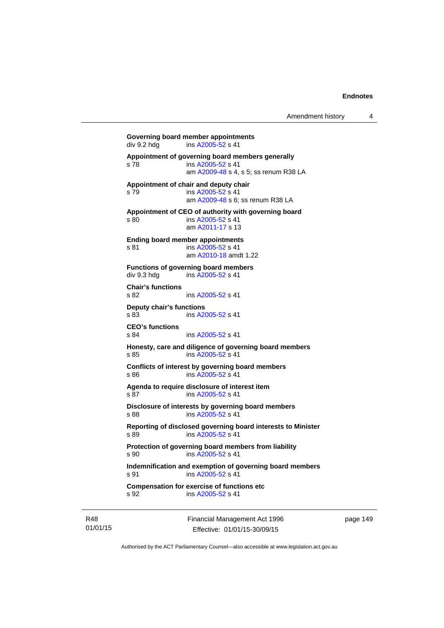```
Governing board member appointments<br>
div 9.2 hdg ins A2005-52 s 41
               A2005-52 s 41
Appointment of governing board members generally 
s 78 ins A2005-52 s 41 
                 am A2009-48 s 4, s 5; ss renum R38 LA 
Appointment of chair and deputy chair 
s 79 ins A2005-52 s 41 
                 am A2009-48 s 6; ss renum R38 LA
Appointment of CEO of authority with governing board 
s 80 ins A2005-52 s 41 
                am A2011-17 s 13 
Ending board member appointments 
A2005-52 s 41
                am A2010-18 amdt 1.22
Functions of governing board members 
A2005-52 s 41
Chair's functions 
A2005-52 s 41
Deputy chair's functions 
               A2005-52 s 41
CEO's functions 
s 84 ins A2005-52 s 41 
Honesty, care and diligence of governing board members 
s 85 ins A2005-52 s 41 
Conflicts of interest by governing board members 
s 86 ins A2005-52 s 41 
Agenda to require disclosure of interest item 
s 87 ins A2005-52 s 41 
Disclosure of interests by governing board members 
s 88 ins A2005-52 s 41 
Reporting of disclosed governing board interests to Minister 
s 89 ins A2005-52 s 41 
Protection of governing board members from liability 
s 90 ins A2005-52 s 41 
Indemnification and exemption of governing board members 
A2005-52 s 41
Compensation for exercise of functions etc 
s 92 ins A2005-52 s 41
```
R48 01/01/15 Financial Management Act 1996 Effective: 01/01/15-30/09/15

page 149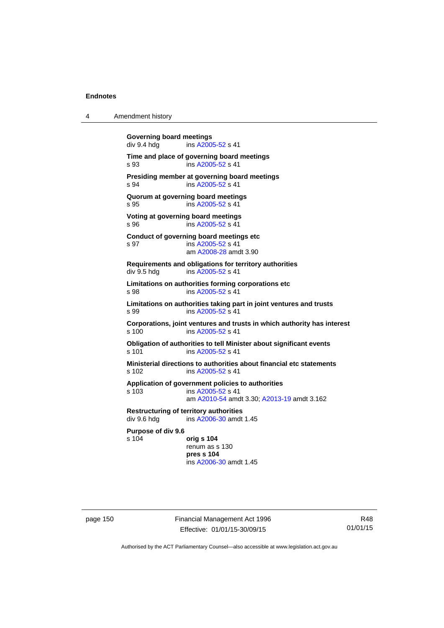4 Amendment history

| <b>Governing board meetings</b><br>div 9.4 hdg | ins A2005-52 s 41                                                                                                    |
|------------------------------------------------|----------------------------------------------------------------------------------------------------------------------|
| s 93                                           | Time and place of governing board meetings<br>ins A2005-52 s 41                                                      |
| s 94                                           | Presiding member at governing board meetings<br>ins A2005-52 s 41                                                    |
| s 95                                           | Quorum at governing board meetings<br>ins A2005-52 s 41                                                              |
| s 96                                           | Voting at governing board meetings<br>ins A2005-52 s 41                                                              |
| s 97                                           | Conduct of governing board meetings etc<br>ins A2005-52 s 41<br>am A2008-28 amdt 3.90                                |
| div 9.5 hdg                                    | Requirements and obligations for territory authorities<br>ins A2005-52 s 41                                          |
| s 98                                           | Limitations on authorities forming corporations etc<br>ins A2005-52 s 41                                             |
| s 99                                           | Limitations on authorities taking part in joint ventures and trusts<br>ins A2005-52 s 41                             |
| s, 100                                         | Corporations, joint ventures and trusts in which authority has interest<br>ins A2005-52 s 41                         |
| s 101                                          | Obligation of authorities to tell Minister about significant events<br>ins A2005-52 s 41                             |
| s 102                                          | Ministerial directions to authorities about financial etc statements<br>ins A2005-52 s 41                            |
| s 103                                          | Application of government policies to authorities<br>ins A2005-52 s 41<br>am A2010-54 amdt 3.30; A2013-19 amdt 3.162 |
| div 9.6 hdg                                    | <b>Restructuring of territory authorities</b><br>ins A2006-30 amdt 1.45                                              |
| Purpose of div 9.6<br>s 104                    | orig s 104<br>renum as s 130<br>pres s 104<br>ins A2006-30 amdt 1.45                                                 |

page 150 Financial Management Act 1996 Effective: 01/01/15-30/09/15

R48 01/01/15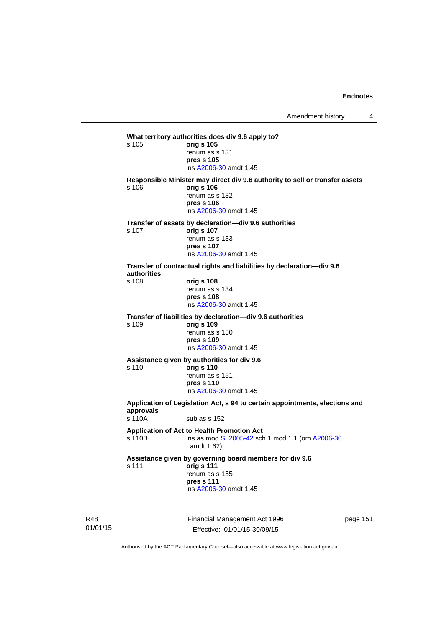**What territory authorities does div 9.6 apply to?**  s 105 **orig s 105** renum as s 131 **pres s 105**  ins [A2006-30](http://www.legislation.act.gov.au/a/2006-30) amdt 1.45 **Responsible Minister may direct div 9.6 authority to sell or transfer assets**  s 106 **orig s 106** renum as s 132 **pres s 106**  ins [A2006-30](http://www.legislation.act.gov.au/a/2006-30) amdt 1.45 **Transfer of assets by declaration—div 9.6 authorities**  s 107 **orig s 107** renum as s 133 **pres s 107**  ins [A2006-30](http://www.legislation.act.gov.au/a/2006-30) amdt 1.45 **Transfer of contractual rights and liabilities by declaration—div 9.6 authorities**  s 108 **orig s 108** renum as s 134 **pres s 108**  ins [A2006-30](http://www.legislation.act.gov.au/a/2006-30) amdt 1.45 **Transfer of liabilities by declaration—div 9.6 authorities**  s 109 **orig s 109** renum as s 150 **pres s 109**  ins [A2006-30](http://www.legislation.act.gov.au/a/2006-30) amdt 1.45 **Assistance given by authorities for div 9.6**  s 110 **orig s 110** renum as s 151 **pres s 110**  ins [A2006-30](http://www.legislation.act.gov.au/a/2006-30) amdt 1.45 **Application of Legislation Act, s 94 to certain appointments, elections and approvals**  s 110A sub as s 152 **Application of Act to Health Promotion Act**  ins as mod [SL2005-42](http://www.legislation.act.gov.au/sl/2005-42) sch 1 mod 1.1 (om [A2006-30](http://www.legislation.act.gov.au/a/2006-30) amdt 1.62) **Assistance given by governing board members for div 9.6**  s 111 **orig s 111** renum as s 155 **pres s 111**  ins [A2006-30](http://www.legislation.act.gov.au/a/2006-30) amdt 1.45

R48 01/01/15 Financial Management Act 1996 Effective: 01/01/15-30/09/15

page 151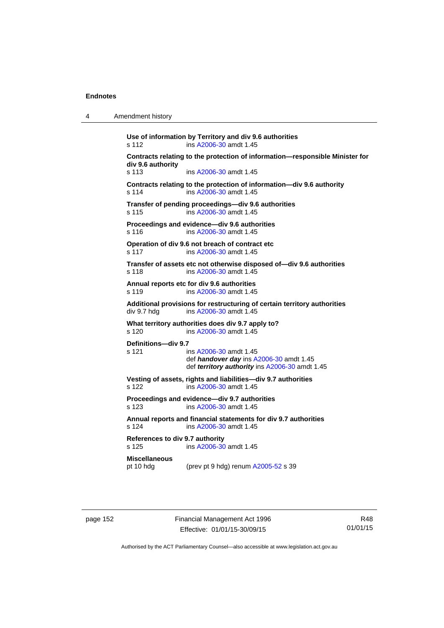| 4 | Amendment history |
|---|-------------------|
|---|-------------------|

**Use of information by Territory and div 9.6 authorities**  s 112 ins [A2006-30](http://www.legislation.act.gov.au/a/2006-30) amdt 1.45 **Contracts relating to the protection of information—responsible Minister for div 9.6 authority**  s 113 ins [A2006-30](http://www.legislation.act.gov.au/a/2006-30) amdt 1.45 **Contracts relating to the protection of information—div 9.6 authority**  s 114 ins [A2006-30](http://www.legislation.act.gov.au/a/2006-30) amdt 1.45 **Transfer of pending proceedings—div 9.6 authorities**  s 115 ins [A2006-30](http://www.legislation.act.gov.au/a/2006-30) amdt 1.45 **Proceedings and evidence—div 9.6 authorities**  s 116 ins [A2006-30](http://www.legislation.act.gov.au/a/2006-30) amdt 1.45 **Operation of div 9.6 not breach of contract etc**  s 117 ins [A2006-30](http://www.legislation.act.gov.au/a/2006-30) amdt 1.45 **Transfer of assets etc not otherwise disposed of—div 9.6 authorities**  s 118 ins [A2006-30](http://www.legislation.act.gov.au/a/2006-30) amdt 1.45 **Annual reports etc for div 9.6 authorities**  s 119 ins [A2006-30](http://www.legislation.act.gov.au/a/2006-30) amdt 1.45 **Additional provisions for restructuring of certain territory authorities**   $div 9.7$  hdg ins  $A2006-30$  amdt 1.45 **What territory authorities does div 9.7 apply to?**  s 120 ins [A2006-30](http://www.legislation.act.gov.au/a/2006-30) amdt 1.45 **Definitions—div 9.7**  s 121 ins [A2006-30](http://www.legislation.act.gov.au/a/2006-30) amdt 1.45 def *handover day* ins [A2006-30](http://www.legislation.act.gov.au/a/2006-30) amdt 1.45 def *territory authority* ins [A2006-30](http://www.legislation.act.gov.au/a/2006-30) amdt 1.45 **Vesting of assets, rights and liabilities—div 9.7 authorities**  s 122 ins [A2006-30](http://www.legislation.act.gov.au/a/2006-30) amdt 1.45 **Proceedings and evidence—div 9.7 authorities**  s 123 ins [A2006-30](http://www.legislation.act.gov.au/a/2006-30) amdt 1.45 **Annual reports and financial statements for div 9.7 authorities**  s 124 ins [A2006-30](http://www.legislation.act.gov.au/a/2006-30) amdt 1.45 **References to div 9.7 authority**  ins [A2006-30](http://www.legislation.act.gov.au/a/2006-30) amdt 1.45 **Miscellaneous**  pt 10 hdg (prev pt 9 hdg) renum [A2005-52](http://www.legislation.act.gov.au/a/2005-52) s 39

page 152 Financial Management Act 1996 Effective: 01/01/15-30/09/15

R48 01/01/15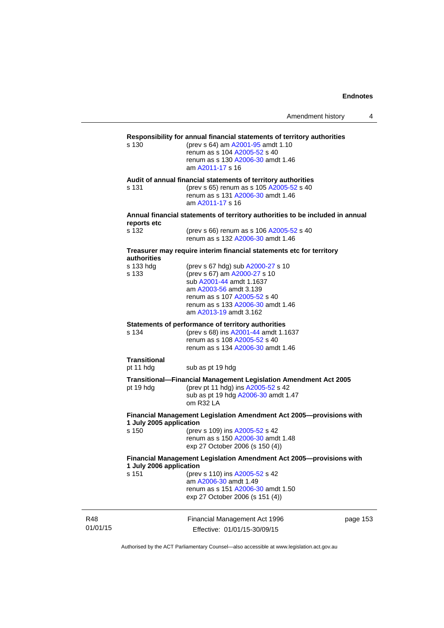| Amendment history |  |  |
|-------------------|--|--|
|-------------------|--|--|

# **Responsibility for annual financial statements of territory authorities**

(prev s 64) am [A2001-95](http://www.legislation.act.gov.au/a/2001-95) amdt 1.10 renum as s 104 [A2005-52](http://www.legislation.act.gov.au/a/2005-52) s 40 renum as s 130 [A2006-30](http://www.legislation.act.gov.au/a/2006-30) amdt 1.46 am [A2011-17](http://www.legislation.act.gov.au/a/2011-17) s 16

**Audit of annual financial statements of territory authorities** 

s 131 (prev s 65) renum as s 105 [A2005-52](http://www.legislation.act.gov.au/a/2005-52) s 40 renum as s 131 [A2006-30](http://www.legislation.act.gov.au/a/2006-30) amdt 1.46 am [A2011-17](http://www.legislation.act.gov.au/a/2011-17) s 16

#### **Annual financial statements of territory authorities to be included in annual reports etc**

| s 132 | (prev s 66) renum as s 106 A2005-52 s 40 |
|-------|------------------------------------------|
|       | renum as s 132 A2006-30 amdt 1.46        |

#### **Treasurer may require interim financial statements etc for territory authorities**

| s 133 hdg<br>s 133      | (prev s 67 hdg) sub A2000-27 s 10<br>(prev s 67) am A2000-27 s 10<br>sub A2001-44 amdt 1.1637<br>am A2003-56 amdt 3.139<br>renum as s 107 A2005-52 s 40<br>renum as s 133 A2006-30 amdt 1.46<br>am A2013-19 amdt 3.162 |        |
|-------------------------|------------------------------------------------------------------------------------------------------------------------------------------------------------------------------------------------------------------------|--------|
|                         | Statements of performance of territory authorities                                                                                                                                                                     |        |
| s 134                   | (prev s 68) ins A2001-44 amdt 1.1637<br>renum as s 108 A2005-52 s 40                                                                                                                                                   |        |
|                         | renum as s 134 A2006-30 amdt 1.46                                                                                                                                                                                      |        |
| <b>Transitional</b>     |                                                                                                                                                                                                                        |        |
| pt 11 hdg               | sub as pt 19 hdg                                                                                                                                                                                                       |        |
|                         | Transitional—Financial Management Legislation Amendment Act 2005                                                                                                                                                       |        |
| pt 19 hdg               | (prev pt 11 hdg) ins A2005-52 s 42<br>sub as pt 19 hdg A2006-30 amdt 1.47                                                                                                                                              |        |
|                         | $om$ R32 LA                                                                                                                                                                                                            |        |
|                         | Financial Management Legislation Amendment Act 2005-provisions with                                                                                                                                                    |        |
| 1 July 2005 application |                                                                                                                                                                                                                        |        |
| s 150                   | (prev s 109) ins A2005-52 s 42<br>renum as s 150 A2006-30 amdt 1.48                                                                                                                                                    |        |
|                         | exp 27 October 2006 (s 150 (4))                                                                                                                                                                                        |        |
| 1 July 2006 application | Financial Management Legislation Amendment Act 2005-provisions with                                                                                                                                                    |        |
| s 151                   | (prev s 110) ins A2005-52 s 42                                                                                                                                                                                         |        |
|                         | am A2006-30 amdt 1.49<br>renum as s 151 A2006-30 amdt 1.50                                                                                                                                                             |        |
|                         | exp 27 October 2006 (s 151 (4))                                                                                                                                                                                        |        |
|                         |                                                                                                                                                                                                                        |        |
|                         | Financial Management Act 1006                                                                                                                                                                                          | nana 1 |

01/01/15

R48

Financial Management Act 1996 Effective: 01/01/15-30/09/15

page 153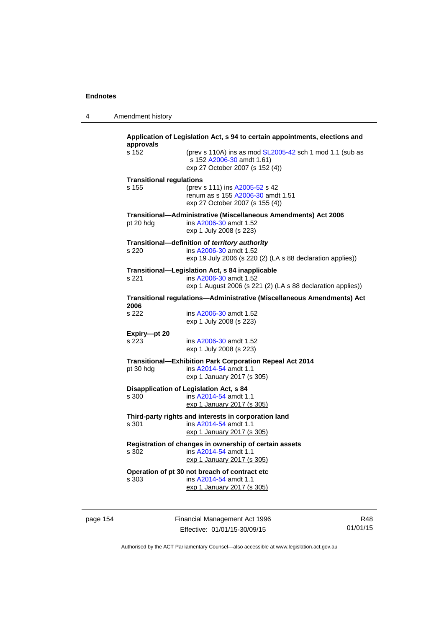4 Amendment history

| approvals                                              | Application of Legislation Act, s 94 to certain appointments, elections and                                              |  |  |  |  |
|--------------------------------------------------------|--------------------------------------------------------------------------------------------------------------------------|--|--|--|--|
| s 152                                                  | (prev s 110A) ins as mod SL2005-42 sch 1 mod 1.1 (sub as<br>s 152 A2006-30 amdt 1.61)<br>exp 27 October 2007 (s 152 (4)) |  |  |  |  |
| <b>Transitional regulations</b>                        |                                                                                                                          |  |  |  |  |
| s 155                                                  | (prev s 111) ins A2005-52 s 42<br>renum as s 155 A2006-30 amdt 1.51<br>exp 27 October 2007 (s 155 (4))                   |  |  |  |  |
| pt 20 hdg                                              | Transitional-Administrative (Miscellaneous Amendments) Act 2006<br>ins A2006-30 amdt 1.52<br>exp 1 July 2008 (s 223)     |  |  |  |  |
|                                                        | Transitional-definition of territory authority                                                                           |  |  |  |  |
| s 220                                                  | ins A2006-30 amdt 1.52<br>exp 19 July 2006 (s 220 (2) (LA s 88 declaration applies))                                     |  |  |  |  |
|                                                        | Transitional-Legislation Act, s 84 inapplicable                                                                          |  |  |  |  |
| s 221                                                  | ins A2006-30 amdt 1.52<br>exp 1 August 2006 (s 221 (2) (LA s 88 declaration applies))                                    |  |  |  |  |
| 2006                                                   | Transitional regulations-Administrative (Miscellaneous Amendments) Act                                                   |  |  |  |  |
| s 222                                                  | ins A2006-30 amdt 1.52<br>exp 1 July 2008 (s 223)                                                                        |  |  |  |  |
| Expiry-pt 20                                           |                                                                                                                          |  |  |  |  |
| s 223                                                  | ins A2006-30 amdt 1.52<br>exp 1 July 2008 (s 223)                                                                        |  |  |  |  |
|                                                        | Transitional-Exhibition Park Corporation Repeal Act 2014                                                                 |  |  |  |  |
| pt 30 hdg                                              | ins A2014-54 amdt 1.1<br>exp 1 January 2017 (s 305)                                                                      |  |  |  |  |
|                                                        | <b>Disapplication of Legislation Act, s 84</b>                                                                           |  |  |  |  |
| s 300                                                  | ins A2014-54 amdt 1.1<br>exp 1 January 2017 (s 305)                                                                      |  |  |  |  |
|                                                        | Third-party rights and interests in corporation land                                                                     |  |  |  |  |
| s 301                                                  | ins A2014-54 amdt 1.1<br>exp 1 January 2017 (s 305)                                                                      |  |  |  |  |
| Registration of changes in ownership of certain assets |                                                                                                                          |  |  |  |  |
| s 302                                                  | ins A2014-54 amdt 1.1<br>exp 1 January 2017 (s 305)                                                                      |  |  |  |  |
|                                                        | Operation of pt 30 not breach of contract etc                                                                            |  |  |  |  |
| s 303                                                  | ins A2014-54 amdt 1.1                                                                                                    |  |  |  |  |
|                                                        | exp 1 January 2017 (s 305)                                                                                               |  |  |  |  |

page 154 Financial Management Act 1996 Effective: 01/01/15-30/09/15

R48 01/01/15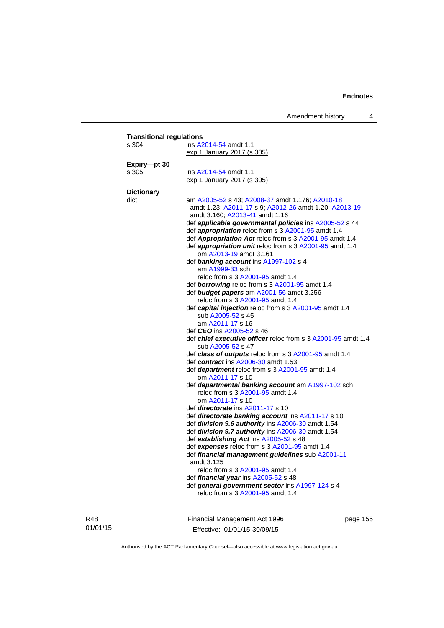| s 304             | ins A2014-54 amdt 1.1                                          |
|-------------------|----------------------------------------------------------------|
|                   | exp 1 January 2017 (s 305)                                     |
| Expiry-pt 30      |                                                                |
| s 305             | ins A2014-54 amdt 1.1                                          |
|                   | exp 1 January 2017 (s 305)                                     |
| <b>Dictionary</b> |                                                                |
| dict              | am A2005-52 s 43; A2008-37 amdt 1.176; A2010-18                |
|                   | amdt 1.23; A2011-17 s 9; A2012-26 amdt 1.20; A2013-19          |
|                   | amdt 3.160; A2013-41 amdt 1.16                                 |
|                   | def applicable governmental policies ins A2005-52 s 44         |
|                   | def <i>appropriation</i> reloc from s 3 A2001-95 amdt 1.4      |
|                   | def Appropriation Act reloc from s 3 A2001-95 amdt 1.4         |
|                   | def appropriation unit reloc from s 3 A2001-95 amdt 1.4        |
|                   | om A2013-19 amdt 3.161                                         |
|                   | def banking account ins A1997-102 s 4                          |
|                   | am A1999-33 sch                                                |
|                   | reloc from s 3 A2001-95 amdt 1.4                               |
|                   | def <b>borrowing</b> reloc from s 3 A2001-95 amdt 1.4          |
|                   | def budget papers am A2001-56 amdt 3.256                       |
|                   | reloc from s 3 A2001-95 amdt 1.4                               |
|                   | def capital injection reloc from s 3 A2001-95 amdt 1.4         |
|                   | sub A2005-52 s 45                                              |
|                   | am A2011-17 s 16                                               |
|                   | def <b>CEO</b> ins A2005-52 s 46                               |
|                   | def chief executive officer reloc from s 3 A2001-95 amdt 1.4   |
|                   | sub A2005-52 s 47                                              |
|                   | def class of outputs reloc from s 3 A2001-95 amdt 1.4          |
|                   | def contract ins A2006-30 amdt 1.53                            |
|                   | def <b>department</b> reloc from s 3 A2001-95 amdt 1.4         |
|                   | om A2011-17 s 10                                               |
|                   | def departmental banking account am A1997-102 sch              |
|                   | reloc from s 3 A2001-95 amdt 1.4                               |
|                   | om A2011-17 s 10                                               |
|                   | def <i>directorate</i> ins A2011-17 s 10                       |
|                   | def directorate banking account ins A2011-17 s 10              |
|                   | def division 9.6 authority ins A2006-30 amdt 1.54              |
|                   | def division 9.7 authority ins A2006-30 amdt 1.54              |
|                   | def establishing Act ins A2005-52 s 48                         |
|                   | def expenses reloc from s 3 A2001-95 amdt 1.4                  |
|                   | def financial management guidelines sub A2001-11<br>amdt 3.125 |
|                   | reloc from s 3 A2001-95 amdt 1.4                               |
|                   | def financial year ins A2005-52 s 48                           |
|                   | def general government sector ins A1997-124 s 4                |
|                   | reloc from s 3 A2001-95 amdt 1.4                               |

R48 01/01/15 Financial Management Act 1996 Effective: 01/01/15-30/09/15

page 155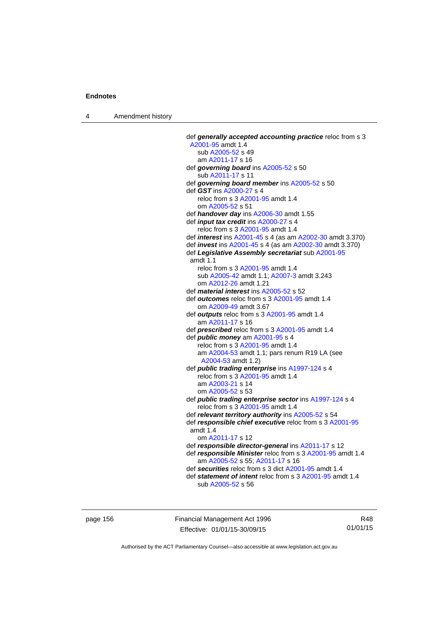4 Amendment history

 def *generally accepted accounting practice* reloc from s 3 [A2001-95](http://www.legislation.act.gov.au/a/2001-95) amdt 1.4 sub [A2005-52](http://www.legislation.act.gov.au/a/2005-52) s 49 am [A2011-17](http://www.legislation.act.gov.au/a/2011-17) s 16 def *governing board* ins [A2005-52](http://www.legislation.act.gov.au/a/2005-52) s 50 sub [A2011-17](http://www.legislation.act.gov.au/a/2011-17) s 11 def *governing board member* ins [A2005-52](http://www.legislation.act.gov.au/a/2005-52) s 50 def *GST* ins [A2000-27](http://www.legislation.act.gov.au/a/2000-27) s 4 reloc from s 3 [A2001-95](http://www.legislation.act.gov.au/a/2001-95) amdt 1.4 om [A2005-52](http://www.legislation.act.gov.au/a/2005-52) s 51 def *handover day* ins [A2006-30](http://www.legislation.act.gov.au/a/2006-30) amdt 1.55 def *input tax credit* ins [A2000-27](http://www.legislation.act.gov.au/a/2000-27) s 4 reloc from s 3 [A2001-95](http://www.legislation.act.gov.au/a/2001-95) amdt 1.4 def *interest* ins [A2001-45](http://www.legislation.act.gov.au/a/2001-45) s 4 (as am [A2002-30](http://www.legislation.act.gov.au/a/2002-30) amdt 3.370) def *invest* ins [A2001-45](http://www.legislation.act.gov.au/a/2001-45) s 4 (as am [A2002-30](http://www.legislation.act.gov.au/a/2002-30) amdt 3.370) def *Legislative Assembly secretariat* sub [A2001-95](http://www.legislation.act.gov.au/a/2001-95) amdt 1.1 reloc from s 3 [A2001-95](http://www.legislation.act.gov.au/a/2001-95) amdt 1.4 sub [A2005-42](http://www.legislation.act.gov.au/a/2005-42) amdt 1.1; [A2007-3](http://www.legislation.act.gov.au/a/2007-3) amdt 3.243 om [A2012-26](http://www.legislation.act.gov.au/a/2012-26) amdt 1.21 def *material interest* ins [A2005-52](http://www.legislation.act.gov.au/a/2005-52) s 52 def *outcomes* reloc from s 3 [A2001-95](http://www.legislation.act.gov.au/a/2001-95) amdt 1.4 om [A2009-49](http://www.legislation.act.gov.au/a/2009-49) amdt 3.67 def *outputs* reloc from s 3 [A2001-95](http://www.legislation.act.gov.au/a/2001-95) amdt 1.4 am [A2011-17](http://www.legislation.act.gov.au/a/2011-17) s 16 def *prescribed* reloc from s 3 [A2001-95](http://www.legislation.act.gov.au/a/2001-95) amdt 1.4 def *public money* am [A2001-95](http://www.legislation.act.gov.au/a/2001-95) s 4 reloc from s 3 [A2001-95](http://www.legislation.act.gov.au/a/2001-95) amdt 1.4 am [A2004-53](http://www.legislation.act.gov.au/a/2004-53) amdt 1.1; pars renum R19 LA (see [A2004-53](http://www.legislation.act.gov.au/a/2004-53) amdt 1.2) def *public trading enterprise* ins [A1997-124](http://www.legislation.act.gov.au/a/1997-124) s 4 reloc from s 3 [A2001-95](http://www.legislation.act.gov.au/a/2001-95) amdt 1.4 am [A2003-21](http://www.legislation.act.gov.au/a/2003-21) s 14 om [A2005-52](http://www.legislation.act.gov.au/a/2005-52) s 53 def *public trading enterprise sector* ins [A1997-124](http://www.legislation.act.gov.au/a/1997-124) s 4 reloc from s 3 [A2001-95](http://www.legislation.act.gov.au/a/2001-95) amdt 1.4 def *relevant territory authority* ins [A2005-52](http://www.legislation.act.gov.au/a/2005-52) s 54 def *responsible chief executive* reloc from s 3 [A2001-95](http://www.legislation.act.gov.au/a/2001-95) amdt 1.4 om [A2011-17](http://www.legislation.act.gov.au/a/2011-17) s 12 def *responsible director-general* ins [A2011-17](http://www.legislation.act.gov.au/a/2011-17) s 12 def *responsible Minister* reloc from s 3 [A2001-95](http://www.legislation.act.gov.au/a/2001-95) amdt 1.4 am [A2005-52](http://www.legislation.act.gov.au/a/2005-52) s 55; [A2011-17](http://www.legislation.act.gov.au/a/2011-17) s 16 def *securities* reloc from s 3 dict [A2001-95](http://www.legislation.act.gov.au/a/2001-95) amdt 1.4 def *statement of intent* reloc from s 3 [A2001-95](http://www.legislation.act.gov.au/a/2001-95) amdt 1.4 sub [A2005-52](http://www.legislation.act.gov.au/a/2005-52) s 56

page 156 Financial Management Act 1996 Effective: 01/01/15-30/09/15

R48 01/01/15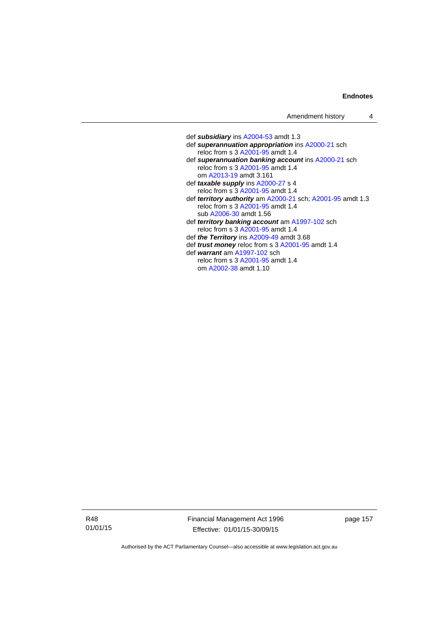| Amendment history |  |
|-------------------|--|
|-------------------|--|

 def *subsidiary* ins [A2004-53](http://www.legislation.act.gov.au/a/2004-53) amdt 1.3 def *superannuation appropriation* ins [A2000-21](http://www.legislation.act.gov.au/a/2000-21) sch reloc from s 3 [A2001-95](http://www.legislation.act.gov.au/a/2001-95) amdt 1.4 def *superannuation banking account* ins [A2000-21](http://www.legislation.act.gov.au/a/2000-21) sch reloc from s 3 [A2001-95](http://www.legislation.act.gov.au/a/2001-95) amdt 1.4 om [A2013-19](http://www.legislation.act.gov.au/a/2013-19) amdt 3.161 def *taxable supply* ins [A2000-27](http://www.legislation.act.gov.au/a/2000-27) s 4 reloc from s 3 [A2001-95](http://www.legislation.act.gov.au/a/2001-95) amdt 1.4 def *territory authority* am [A2000-21](http://www.legislation.act.gov.au/a/2000-21) sch; [A2001-95](http://www.legislation.act.gov.au/a/2001-95) amdt 1.3 reloc from s 3 [A2001-95](http://www.legislation.act.gov.au/a/2001-95) amdt 1.4 sub [A2006-30](http://www.legislation.act.gov.au/a/2006-30) amdt 1.56 def *territory banking account* am [A1997-102](http://www.legislation.act.gov.au/a/1997-102) sch reloc from s 3 [A2001-95](http://www.legislation.act.gov.au/a/2001-95) amdt 1.4 def *the Territory* ins [A2009-49](http://www.legislation.act.gov.au/a/2009-49) amdt 3.68 def *trust money* reloc from s 3 [A2001-95](http://www.legislation.act.gov.au/a/2001-95) amdt 1.4 def *warrant* am [A1997-102](http://www.legislation.act.gov.au/a/1997-102) sch reloc from s 3 [A2001-95](http://www.legislation.act.gov.au/a/2001-95) amdt 1.4 om [A2002-38](http://www.legislation.act.gov.au/a/2002-38) amdt 1.10

R48 01/01/15 Financial Management Act 1996 Effective: 01/01/15-30/09/15

page 157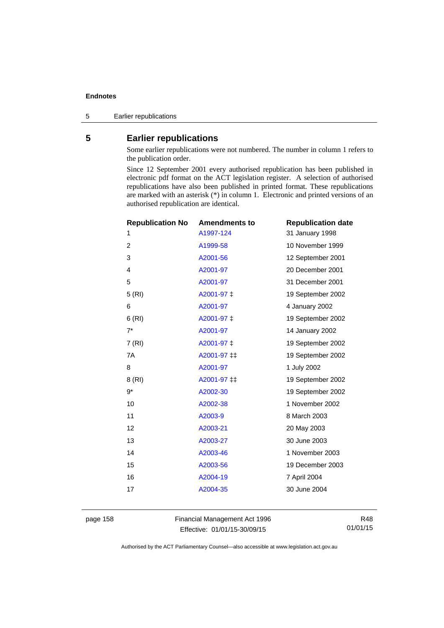5 Earlier republications

# **5 Earlier republications**

Some earlier republications were not numbered. The number in column 1 refers to the publication order.

Since 12 September 2001 every authorised republication has been published in electronic pdf format on the ACT legislation register. A selection of authorised republications have also been published in printed format. These republications are marked with an asterisk (\*) in column 1. Electronic and printed versions of an authorised republication are identical.

| <b>Republication No</b> | <b>Amendments to</b> | <b>Republication date</b> |
|-------------------------|----------------------|---------------------------|
| 1                       | A1997-124            | 31 January 1998           |
| $\overline{c}$          | A1999-58             | 10 November 1999          |
| 3                       | A2001-56             | 12 September 2001         |
| 4                       | A2001-97             | 20 December 2001          |
| 5                       | A2001-97             | 31 December 2001          |
| 5(RI)                   | A2001-97 ‡           | 19 September 2002         |
| 6                       | A2001-97             | 4 January 2002            |
| 6(RI)                   | A2001-97 ‡           | 19 September 2002         |
| $7^*$                   | A2001-97             | 14 January 2002           |
| 7(RI)                   | A2001-97 ‡           | 19 September 2002         |
| 7A                      | A2001-97 ‡‡          | 19 September 2002         |
| 8                       | A2001-97             | 1 July 2002               |
| 8 (RI)                  | A2001-97 ‡‡          | 19 September 2002         |
| 9*                      | A2002-30             | 19 September 2002         |
| 10                      | A2002-38             | 1 November 2002           |
| 11                      | A2003-9              | 8 March 2003              |
| 12                      | A2003-21             | 20 May 2003               |
| 13                      | A2003-27             | 30 June 2003              |
| 14                      | A2003-46             | 1 November 2003           |
| 15                      | A2003-56             | 19 December 2003          |
| 16                      | A2004-19             | 7 April 2004              |
| 17                      | A2004-35             | 30 June 2004              |
|                         |                      |                           |

page 158 Financial Management Act 1996 Effective: 01/01/15-30/09/15

R48 01/01/15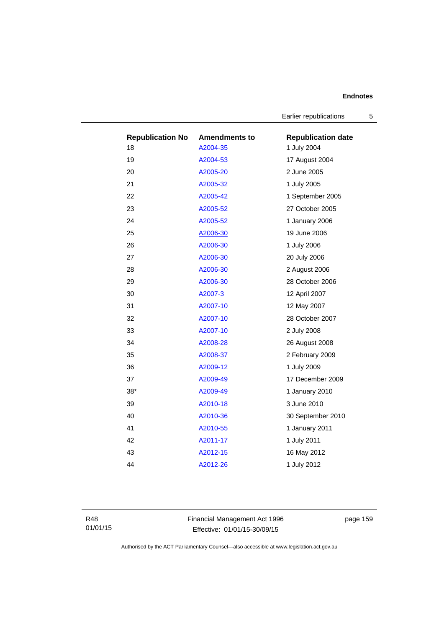Earlier republications 5

| <b>Republication No</b> | <b>Amendments to</b> | <b>Republication date</b> |
|-------------------------|----------------------|---------------------------|
| 18                      | A2004-35             | 1 July 2004               |
| 19                      | A2004-53             | 17 August 2004            |
| 20                      | A2005-20             | 2 June 2005               |
| 21                      | A2005-32             | 1 July 2005               |
| 22                      | A2005-42             | 1 September 2005          |
| 23                      | A2005-52             | 27 October 2005           |
| 24                      | A2005-52             | 1 January 2006            |
| 25                      | A2006-30             | 19 June 2006              |
| 26                      | A2006-30             | 1 July 2006               |
| 27                      | A2006-30             | 20 July 2006              |
| 28                      | A2006-30             | 2 August 2006             |
| 29                      | A2006-30             | 28 October 2006           |
| 30                      | A2007-3              | 12 April 2007             |
| 31                      | A2007-10             | 12 May 2007               |
| 32                      | A2007-10             | 28 October 2007           |
| 33                      | A2007-10             | 2 July 2008               |
| 34                      | A2008-28             | 26 August 2008            |
| 35                      | A2008-37             | 2 February 2009           |
| 36                      | A2009-12             | 1 July 2009               |
| 37                      | A2009-49             | 17 December 2009          |
| $38*$                   | A2009-49             | 1 January 2010            |
| 39                      | A2010-18             | 3 June 2010               |
| 40                      | A2010-36             | 30 September 2010         |
| 41                      | A2010-55             | 1 January 2011            |
| 42                      | A2011-17             | 1 July 2011               |
| 43                      | A2012-15             | 16 May 2012               |
| 44                      | A2012-26             | 1 July 2012               |

R48 01/01/15 Financial Management Act 1996 Effective: 01/01/15-30/09/15

page 159